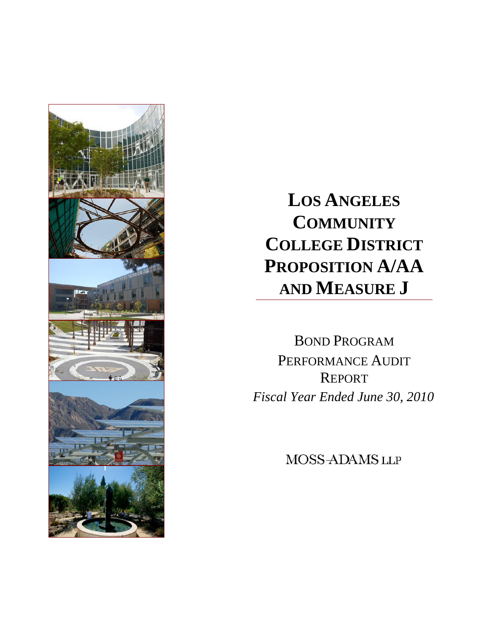

**LOS ANGELES COMMUNITY COLLEGE DISTRICT PROPOSITION A/AA AND MEASURE J** 

BOND PROGRAM PERFORMANCE AUDIT REPORT *Fiscal Year Ended June 30, 2010* 

MOSS-ADAMS LLP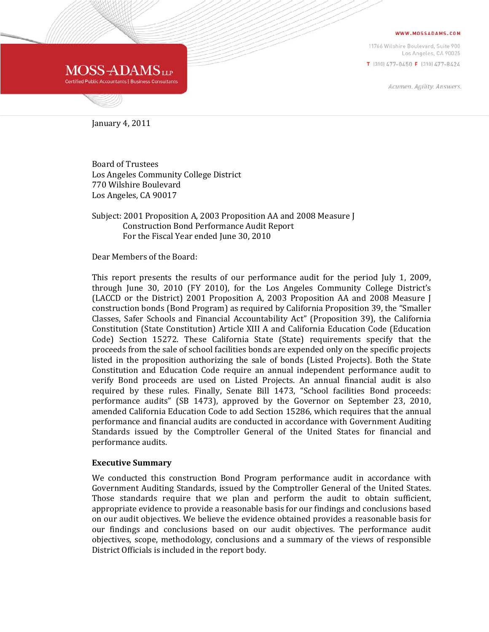#### WWW.MOSSADAMS.COM

11766 Wilshire Boulevard, Suite 900 Los Angeles, CA 90025 T [310] 477-0450 F [310] 477-8424

Acumen. Agility. Answers.



January 4, 2011

Board of Trustees Los Angeles Community College District 770 Wilshire Boulevard Los Angeles, CA 90017

#### Subject: 2001 Proposition A, 2003 Proposition AA and 2008 Measure J Construction Bond Performance Audit Report For the Fiscal Year ended June 30, 2010

Dear Members of the Board:

This report presents the results of our performance audit for the period July 1, 2009, through June 30, 2010 (FY 2010), for the Los Angeles Community College District's (LACCD or the District) 2001 Proposition A, 2003 Proposition AA and 2008 Measure J construction bonds (Bond Program) as required by California Proposition 39, the "Smaller Classes, Safer Schools and Financial Accountability Act" (Proposition 39), the California Constitution (State Constitution) Article XIII A and California Education Code (Education Code) Section 15272. These California State (State) requirements specify that the proceeds from the sale of school facilities bonds are expended only on the specific projects listed in the proposition authorizing the sale of bonds (Listed Projects). Both the State Constitution and Education Code require an annual independent performance audit to verify Bond proceeds are used on Listed Projects. An annual financial audit is also required by these rules. Finally, Senate Bill 1473, "School facilities Bond proceeds: performance audits" (SB 1473), approved by the Governor on September 23, 2010, amended California Education Code to add Section 15286, which requires that the annual performance and financial audits are conducted in accordance with Government Auditing Standards issued by the Comptroller General of the United States for financial and performance audits.

#### **Executive Summary**

We conducted this construction Bond Program performance audit in accordance with Government Auditing Standards, issued by the Comptroller General of the United States. Those standards require that we plan and perform the audit to obtain sufficient, appropriate evidence to provide a reasonable basis for our findings and conclusions based on our audit objectives. We believe the evidence obtained provides a reasonable basis for our findings and conclusions based on our audit objectives. The performance audit objectives, scope, methodology, conclusions and a summary of the views of responsible District Officials is included in the report body.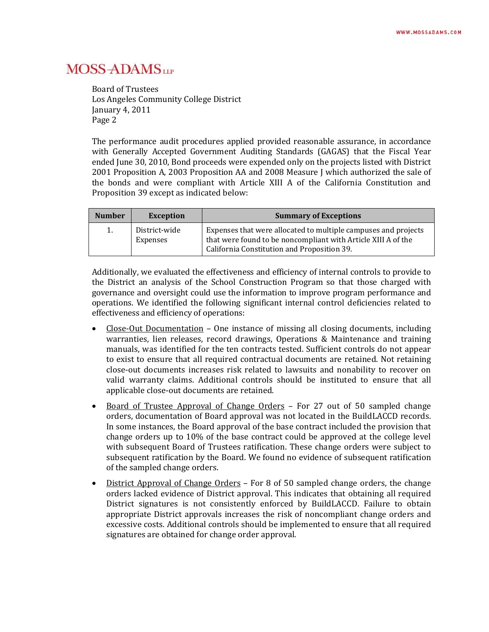Board of Trustees Los Angeles Community College District January 4, 2011 Page 2

The performance audit procedures applied provided reasonable assurance, in accordance with Generally Accepted Government Auditing Standards (GAGAS) that the Fiscal Year ended June 30, 2010, Bond proceeds were expended only on the projects listed with District 2001 Proposition A, 2003 Proposition AA and 2008 Measure J which authorized the sale of the bonds and were compliant with Article XIII A of the California Constitution and Proposition 39 except as indicated below:

| <b>Number</b> | <b>Exception</b>          | <b>Summary of Exceptions</b>                                                                                                                                                   |
|---------------|---------------------------|--------------------------------------------------------------------------------------------------------------------------------------------------------------------------------|
| 1.            | District-wide<br>Expenses | Expenses that were allocated to multiple campuses and projects<br>that were found to be noncompliant with Article XIII A of the<br>California Constitution and Proposition 39. |

Additionally, we evaluated the effectiveness and efficiency of internal controls to provide to the District an analysis of the School Construction Program so that those charged with governance and oversight could use the information to improve program performance and operations. We identified the following significant internal control deficiencies related to effectiveness and efficiency of operations:

- Close‐Out Documentation One instance of missing all closing documents, including warranties, lien releases, record drawings, Operations & Maintenance and training manuals, was identified for the ten contracts tested. Sufficient controls do not appear to exist to ensure that all required contractual documents are retained. Not retaining close‐out documents increases risk related to lawsuits and nonability to recover on valid warranty claims. Additional controls should be instituted to ensure that all applicable close‐out documents are retained.
- Board of Trustee Approval of Change Orders For 27 out of 50 sampled change orders, documentation of Board approval was not located in the BuildLACCD records. In some instances, the Board approval of the base contract included the provision that change orders up to 10% of the base contract could be approved at the college level with subsequent Board of Trustees ratification. These change orders were subject to subsequent ratification by the Board. We found no evidence of subsequent ratification of the sampled change orders.
- District Approval of Change Orders For 8 of 50 sampled change orders, the change orders lacked evidence of District approval. This indicates that obtaining all required District signatures is not consistently enforced by BuildLACCD. Failure to obtain appropriate District approvals increases the risk of noncompliant change orders and excessive costs. Additional controls should be implemented to ensure that all required signatures are obtained for change order approval.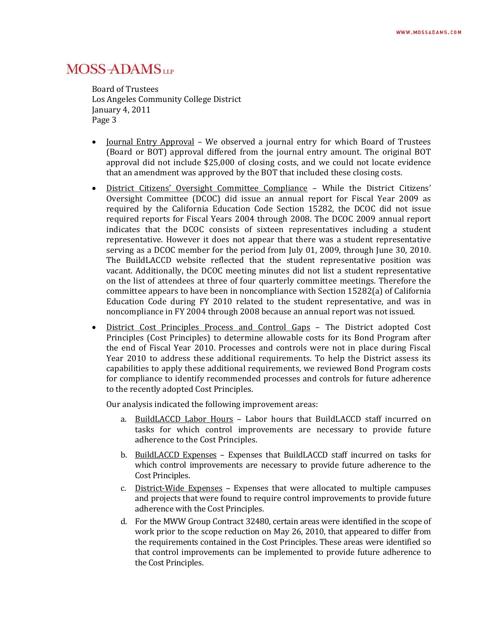Board of Trustees Los Angeles Community College District January 4, 2011 Page 3

- Journal Entry Approval We observed a journal entry for which Board of Trustees (Board or BOT) approval differed from the journal entry amount. The original BOT approval did not include \$25,000 of closing costs, and we could not locate evidence that an amendment was approved by the BOT that included these closing costs.
- District Citizens' Oversight Committee Compliance While the District Citizens' Oversight Committee (DCOC) did issue an annual report for Fiscal Year 2009 as required by the California Education Code Section 15282, the DCOC did not issue required reports for Fiscal Years 2004 through 2008. The DCOC 2009 annual report indicates that the DCOC consists of sixteen representatives including a student representative. However it does not appear that there was a student representative serving as a DCOC member for the period from July 01, 2009, through June 30, 2010. The BuildLACCD website reflected that the student representative position was vacant. Additionally, the DCOC meeting minutes did not list a student representative on the list of attendees at three of four quarterly committee meetings. Therefore the committee appears to have been in noncompliance with Section 15282(a) of California Education Code during FY 2010 related to the student representative, and was in noncompliance in FY 2004 through 2008 because an annual report was not issued.
- District Cost Principles Process and Control Gaps The District adopted Cost Principles (Cost Principles) to determine allowable costs for its Bond Program after the end of Fiscal Year 2010. Processes and controls were not in place during Fiscal Year 2010 to address these additional requirements. To help the District assess its capabilities to apply these additional requirements, we reviewed Bond Program costs for compliance to identify recommended processes and controls for future adherence to the recently adopted Cost Principles.

Our analysis indicated the following improvement areas:

- a. BuildLACCD Labor Hours Labor hours that BuildLACCD staff incurred on tasks for which control improvements are necessary to provide future adherence to the Cost Principles.
- b. BuildLACCD Expenses Expenses that BuildLACCD staff incurred on tasks for which control improvements are necessary to provide future adherence to the Cost Principles.
- c. District-Wide Expenses Expenses that were allocated to multiple campuses and projects that were found to require control improvements to provide future adherence with the Cost Principles.
- d. For the MWW Group Contract 32480, certain areas were identified in the scope of work prior to the scope reduction on May 26, 2010, that appeared to differ from the requirements contained in the Cost Principles. These areas were identified so that control improvements can be implemented to provide future adherence to the Cost Principles.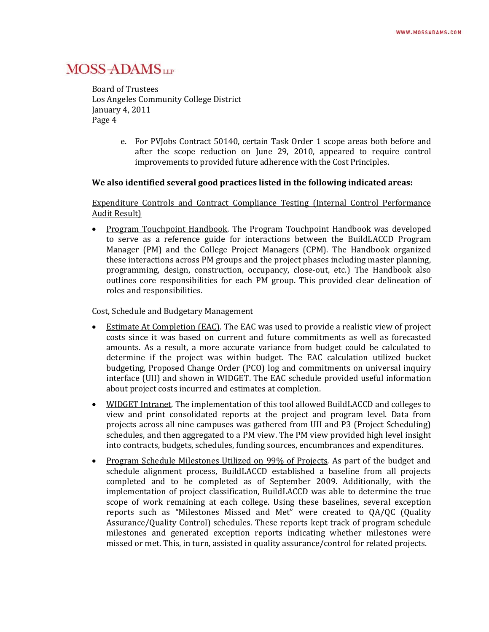Board of Trustees Los Angeles Community College District January 4, 2011 Page 4

> e. For PVJobs Contract 50140, certain Task Order 1 scope areas both before and after the scope reduction on June 29, 2010, appeared to require control improvements to provided future adherence with the Cost Principles.

#### **We also identified several good practices listed in the following indicated areas:**

Expenditure Controls and Contract Compliance Testing (Internal Control Performance Audit Result)

 Program Touchpoint Handbook. The Program Touchpoint Handbook was developed to serve as a reference guide for interactions between the BuildLACCD Program Manager (PM) and the College Project Managers (CPM). The Handbook organized these interactions across PM groups and the project phases including master planning, programming, design, construction, occupancy, close‐out, etc.) The Handbook also outlines core responsibilities for each PM group. This provided clear delineation of roles and responsibilities.

Cost, Schedule and Budgetary Management

- Estimate At Completion (EAC). The EAC was used to provide a realistic view of project costs since it was based on current and future commitments as well as forecasted amounts. As a result, a more accurate variance from budget could be calculated to determine if the project was within budget. The EAC calculation utilized bucket budgeting, Proposed Change Order (PCO) log and commitments on universal inquiry interface (UII) and shown in WIDGET. The EAC schedule provided useful information about project costs incurred and estimates at completion.
- WIDGET Intranet. The implementation of this tool allowed BuildLACCD and colleges to view and print consolidated reports at the project and program level. Data from projects across all nine campuses was gathered from UII and P3 (Project Scheduling) schedules, and then aggregated to a PM view. The PM view provided high level insight into contracts, budgets, schedules, funding sources, encumbrances and expenditures.
- Program Schedule Milestones Utilized on 99% of Projects*.* As part of the budget and schedule alignment process, BuildLACCD established a baseline from all projects completed and to be completed as of September 2009. Additionally, with the implementation of project classification, BuildLACCD was able to determine the true scope of work remaining at each college. Using these baselines, several exception reports such as "Milestones Missed and Met" were created to QA/QC (Quality Assurance/Quality Control) schedules. These reports kept track of program schedule milestones and generated exception reports indicating whether milestones were missed or met. This, in turn, assisted in quality assurance/control for related projects.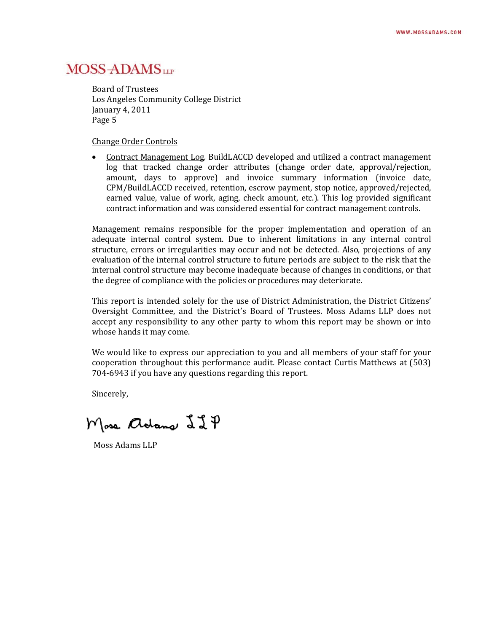Board of Trustees Los Angeles Community College District January 4, 2011 Page 5

Change Order Controls

 Contract Management Log*.* BuildLACCD developed and utilized a contract management log that tracked change order attributes (change order date, approval/rejection, amount, days to approve) and invoice summary information (invoice date, CPM/BuildLACCD received, retention, escrow payment, stop notice, approved/rejected, earned value, value of work, aging, check amount, etc.). This log provided significant contract information and was considered essential for contract management controls.

Management remains responsible for the proper implementation and operation of an adequate internal control system. Due to inherent limitations in any internal control structure, errors or irregularities may occur and not be detected. Also, projections of any evaluation of the internal control structure to future periods are subject to the risk that the internal control structure may become inadequate because of changes in conditions, or that the degree of compliance with the policies or procedures may deteriorate.

This report is intended solely for the use of District Administration, the District Citizens' Oversight Committee, and the District's Board of Trustees. Moss Adams LLP does not accept any responsibility to any other party to whom this report may be shown or into whose hands it may come.

We would like to express our appreciation to you and all members of your staff for your cooperation throughout this performance audit. Please contact Curtis Matthews at (503) 704‐6943 if you have any questions regarding this report.

Sincerely,

Mose adams 22P

Moss Adams LLP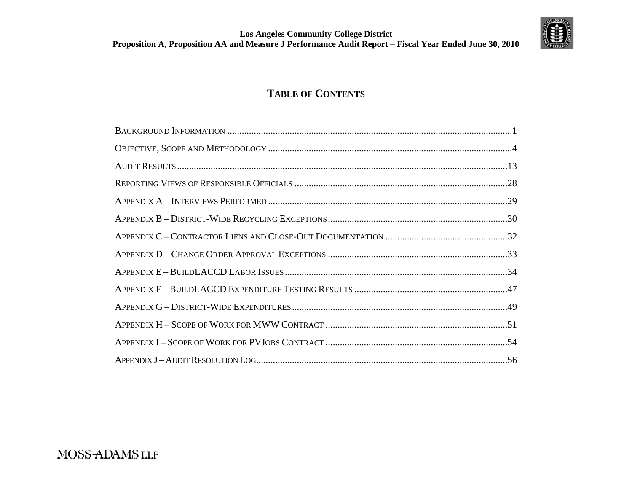

# **TABLE OF CONTENTS**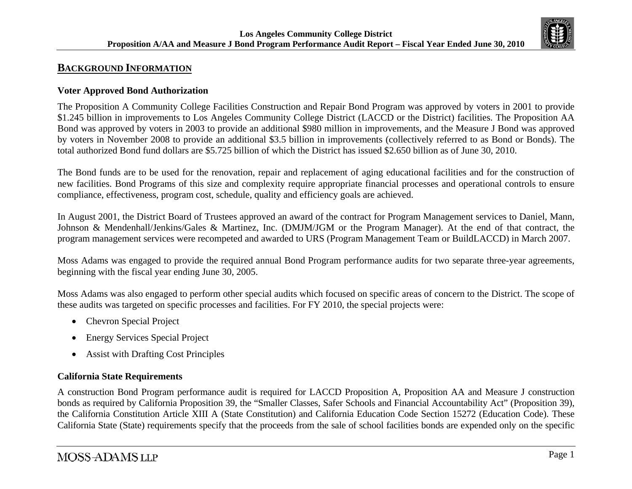

# **BACKGROUND INFORMATION**

### **Voter Approved Bond Authorization**

The Proposition A Community College Facilities Construction and Repair Bond Program was approved by voters in 2001 to provide \$1.245 billion in improvements to Los Angeles Community College District (LACCD or the District) facilities. The Proposition AA Bond was approved by voters in 2003 to provide an additional \$980 million in improvements, and the Measure J Bond was approved by voters in November 2008 to provide an additional \$3.5 billion in improvements (collectively referred to as Bond or Bonds). The total authorized Bond fund dollars are \$5.725 billion of which the District has issued \$2.650 billion as of June 30, 2010.

The Bond funds are to be used for the renovation, repair and replacement of aging educational facilities and for the construction of new facilities. Bond Programs of this size and complexity require appropriate financial processes and operational controls to ensure compliance, effectiveness, program cost, schedule, quality and efficiency goals are achieved.

In August 2001, the District Board of Trustees approved an award of the contract for Program Management services to Daniel, Mann, Johnson & Mendenhall/Jenkins/Gales & Martinez, Inc. (DMJM/JGM or the Program Manager). At the end of that contract, the program management services were recompeted and awarded to URS (Program Management Team or BuildLACCD) in March 2007.

Moss Adams was engaged to provide the required annual Bond Program performance audits for two separate three-year agreements, beginning with the fiscal year ending June 30, 2005.

Moss Adams was also engaged to perform other special audits which focused on specific areas of concern to the District. The scope of these audits was targeted on specific processes and facilities. For FY 2010, the special projects were:

- $\bullet$ Chevron Special Project
- $\bullet$ Energy Services Special Project
- $\bullet$ Assist with Drafting Cost Principles

### **California State Requirements**

A construction Bond Program performance audit is required for LACCD Proposition A, Proposition AA and Measure J construction bonds as required by California Proposition 39, the "Smaller Classes, Safer Schools and Financial Accountability Act" (Proposition 39), the California Constitution Article XIII A (State Constitution) and California Education Code Section 15272 (Education Code). These California State (State) requirements specify that the proceeds from the sale of school facilities bonds are expended only on the specific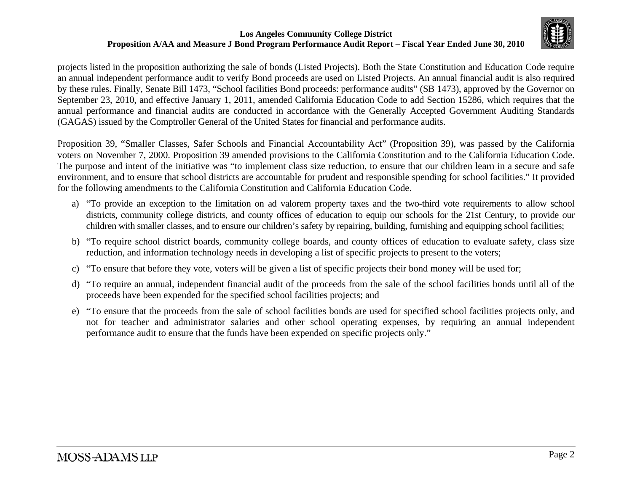

projects listed in the proposition authorizing the sale of bonds (Listed Projects). Both the State Constitution and Education Code require an annual independent performance audit to verify Bond proceeds are used on Listed Projects. An annual financial audit is also required by these rules. Finally, Senate Bill 1473, "School facilities Bond proceeds: performance audits" (SB 1473), approved by the Governor on September 23, 2010, and effective January 1, 2011, amended California Education Code to add Section 15286, which requires that the annual performance and financial audits are conducted in accordance with the Generally Accepted Government Auditing Standards (GAGAS) issued by the Comptroller General of the United States for financial and performance audits.

Proposition 39, "Smaller Classes, Safer Schools and Financial Accountability Act" (Proposition 39), was passed by the California voters on November 7, 2000. Proposition 39 amended provisions to the California Constitution and to the California Education Code. The purpose and intent of the initiative was "to implement class size reduction, to ensure that our children learn in a secure and safe environment, and to ensure that school districts are accountable for prudent and responsible spending for school facilities." It provided for the following amendments to the California Constitution and California Education Code.

- a) "To provide an exception to the limitation on ad valorem property taxes and the two-third vote requirements to allow school districts, community college districts, and county offices of education to equip our schools for the 21st Century, to provide our children with smaller classes, and to ensure our children's safety by repairing, building, furnishing and equipping school facilities;
- b) "To require school district boards, community college boards, and county offices of education to evaluate safety, class size reduction, and information technology needs in developing a list of specific projects to present to the voters;
- c) "To ensure that before they vote, voters will be given a list of specific projects their bond money will be used for;
- d) "To require an annual, independent financial audit of the proceeds from the sale of the school facilities bonds until all of the proceeds have been expended for the specified school facilities projects; and
- e) "To ensure that the proceeds from the sale of school facilities bonds are used for specified school facilities projects only, and not for teacher and administrator salaries and other school operating expenses, by requiring an annual independent performance audit to ensure that the funds have been expended on specific projects only."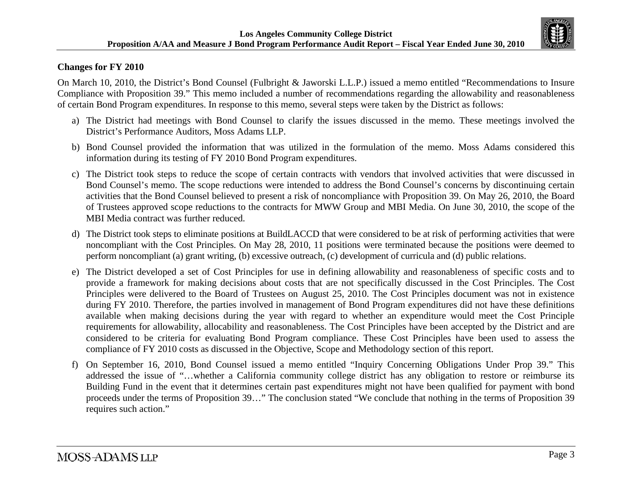

### **Changes for FY 2010**

On March 10, 2010, the District's Bond Counsel (Fulbright & Jaworski L.L.P.) issued a memo entitled "Recommendations to Insure Compliance with Proposition 39." This memo included a number of recommendations regarding the allowability and reasonableness of certain Bond Program expenditures. In response to this memo, several steps were taken by the District as follows:

- a) The District had meetings with Bond Counsel to clarify the issues discussed in the memo. These meetings involved the District's Performance Auditors, Moss Adams LLP.
- b) Bond Counsel provided the information that was utilized in the formulation of the memo. Moss Adams considered this information during its testing of FY 2010 Bond Program expenditures.
- c) The District took steps to reduce the scope of certain contracts with vendors that involved activities that were discussed in Bond Counsel's memo. The scope reductions were intended to address the Bond Counsel's concerns by discontinuing certain activities that the Bond Counsel believed to present a risk of noncompliance with Proposition 39. On May 26, 2010, the Board of Trustees approved scope reductions to the contracts for MWW Group and MBI Media. On June 30, 2010, the scope of the MBI Media contract was further reduced.
- d) The District took steps to eliminate positions at BuildLACCD that were considered to be at risk of performing activities that were noncompliant with the Cost Principles. On May 28, 2010, 11 positions were terminated because the positions were deemed to perform noncompliant (a) grant writing, (b) excessive outreach, (c) development of curricula and (d) public relations.
- e) The District developed a set of Cost Principles for use in defining allowability and reasonableness of specific costs and to provide a framework for making decisions about costs that are not specifically discussed in the Cost Principles. The Cost Principles were delivered to the Board of Trustees on August 25, 2010. The Cost Principles document was not in existence during FY 2010. Therefore, the parties involved in management of Bond Program expenditures did not have these definitions available when making decisions during the year with regard to whether an expenditure would meet the Cost Principle requirements for allowability, allocability and reasonableness. The Cost Principles have been accepted by the District and are considered to be criteria for evaluating Bond Program compliance. These Cost Principles have been used to assess the compliance of FY 2010 costs as discussed in the Objective, Scope and Methodology section of this report.
- f) On September 16, 2010, Bond Counsel issued a memo entitled "Inquiry Concerning Obligations Under Prop 39." This addressed the issue of "…whether a California community college district has any obligation to restore or reimburse its Building Fund in the event that it determines certain past expenditures might not have been qualified for payment with bond proceeds under the terms of Proposition 39…" The conclusion stated "We conclude that nothing in the terms of Proposition 39 requires such action."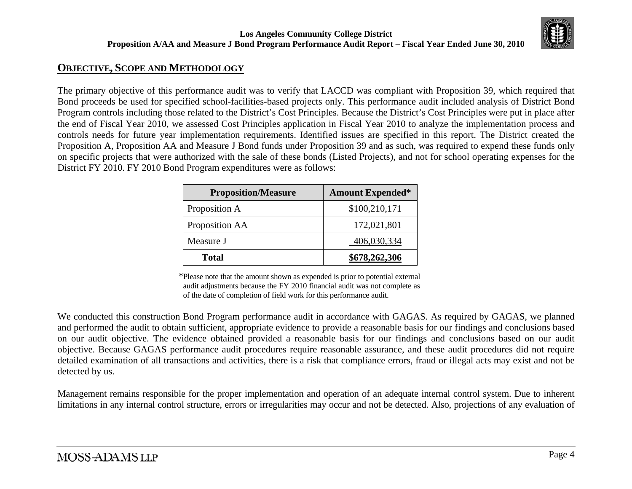

# **OBJECTIVE, SCOPE AND METHODOLOGY**

The primary objective of this performance audit was to verify that LACCD was compliant with Proposition 39, which required that Bond proceeds be used for specified school-facilities-based projects only. This performance audit included analysis of District Bond Program controls including those related to the District's Cost Principles. Because the District's Cost Principles were put in place after the end of Fiscal Year 2010, we assessed Cost Principles application in Fiscal Year 2010 to analyze the implementation process and controls needs for future year implementation requirements. Identified issues are specified in this report. The District created the Proposition A, Proposition AA and Measure J Bond funds under Proposition 39 and as such, was required to expend these funds only on specific projects that were authorized with the sale of these bonds (Listed Projects), and not for school operating expenses for the District FY 2010. FY 2010 Bond Program expenditures were as follows:

| <b>Proposition/Measure</b> | <b>Amount Expended*</b> |
|----------------------------|-------------------------|
| Proposition A              | \$100,210,171           |
| Proposition AA             | 172,021,801             |
| Measure J                  | 406,030,334             |
| <b>Total</b>               | \$678,262,306           |

\*Please note that the amount shown as expended is prior to potential external audit adjustments because the FY 2010 financial audit was not complete as of the date of completion of field work for this performance audit.

We conducted this construction Bond Program performance audit in accordance with GAGAS. As required by GAGAS, we planned and performed the audit to obtain sufficient, appropriate evidence to provide a reasonable basis for our findings and conclusions based on our audit objective. The evidence obtained provided a reasonable basis for our findings and conclusions based on our audit objective. Because GAGAS performance audit procedures require reasonable assurance, and these audit procedures did not require detailed examination of all transactions and activities, there is a risk that compliance errors, fraud or illegal acts may exist and not be detected by us.

Management remains responsible for the proper implementation and operation of an adequate internal control system. Due to inherent limitations in any internal control structure, errors or irregularities may occur and not be detected. Also, projections of any evaluation of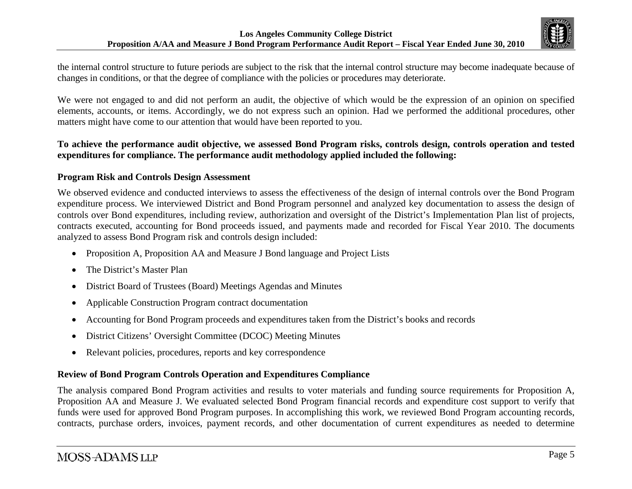

the internal control structure to future periods are subject to the risk that the internal control structure may become inadequate because of changes in conditions, or that the degree of compliance with the policies or procedures may deteriorate.

We were not engaged to and did not perform an audit, the objective of which would be the expression of an opinion on specified elements, accounts, or items. Accordingly, we do not express such an opinion. Had we performed the additional procedures, other matters might have come to our attention that would have been reported to you.

### **To achieve the performance audit objective, we assessed Bond Program risks, controls design, controls operation and tested expenditures for compliance. The performance audit methodology applied included the following:**

### **Program Risk and Controls Design Assessment**

We observed evidence and conducted interviews to assess the effectiveness of the design of internal controls over the Bond Program expenditure process. We interviewed District and Bond Program personnel and analyzed key documentation to assess the design of controls over Bond expenditures, including review, authorization and oversight of the District's Implementation Plan list of projects, contracts executed, accounting for Bond proceeds issued, and payments made and recorded for Fiscal Year 2010. The documents analyzed to assess Bond Program risk and controls design included:

- $\bullet$ Proposition A, Proposition AA and Measure J Bond language and Project Lists
- $\bullet$ The District's Master Plan
- $\bullet$ District Board of Trustees (Board) Meetings Agendas and Minutes
- $\bullet$ Applicable Construction Program contract documentation
- $\bullet$ Accounting for Bond Program proceeds and expenditures taken from the District's books and records
- $\bullet$ District Citizens' Oversight Committee (DCOC) Meeting Minutes
- $\bullet$ Relevant policies, procedures, reports and key correspondence

## **Review of Bond Program Controls Operation and Expenditures Compliance**

The analysis compared Bond Program activities and results to voter materials and funding source requirements for Proposition A, Proposition AA and Measure J. We evaluated selected Bond Program financial records and expenditure cost support to verify that funds were used for approved Bond Program purposes. In accomplishing this work, we reviewed Bond Program accounting records, contracts, purchase orders, invoices, payment records, and other documentation of current expenditures as needed to determine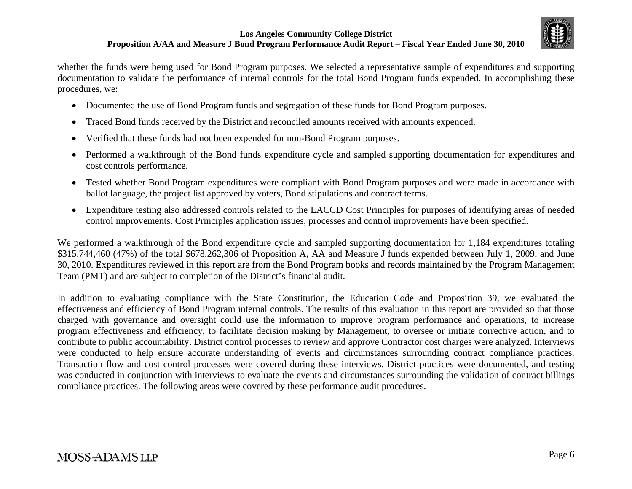

whether the funds were being used for Bond Program purposes. We selected a representative sample of expenditures and supporting documentation to validate the performance of internal controls for the total Bond Program funds expended. In accomplishing these procedures, we:

- Documented the use of Bond Program funds and segregation of these funds for Bond Program purposes.
- $\bullet$ Traced Bond funds received by the District and reconciled amounts received with amounts expended.
- $\bullet$ Verified that these funds had not been expended for non-Bond Program purposes.
- $\bullet$  Performed a walkthrough of the Bond funds expenditure cycle and sampled supporting documentation for expenditures and cost controls performance.
- $\bullet$  Tested whether Bond Program expenditures were compliant with Bond Program purposes and were made in accordance with ballot language, the project list approved by voters, Bond stipulations and contract terms.
- $\bullet$  Expenditure testing also addressed controls related to the LACCD Cost Principles for purposes of identifying areas of needed control improvements. Cost Principles application issues, processes and control improvements have been specified.

We performed a walkthrough of the Bond expenditure cycle and sampled supporting documentation for 1,184 expenditures totaling \$315,744,460 (47%) of the total \$678,262,306 of Proposition A, AA and Measure J funds expended between July 1, 2009, and June 30, 2010. Expenditures reviewed in this report are from the Bond Program books and records maintained by the Program Management Team (PMT) and are subject to completion of the District's financial audit.

In addition to evaluating compliance with the State Constitution, the Education Code and Proposition 39, we evaluated the effectiveness and efficiency of Bond Program internal controls. The results of this evaluation in this report are provided so that those charged with governance and oversight could use the information to improve program performance and operations, to increase program effectiveness and efficiency, to facilitate decision making by Management, to oversee or initiate corrective action, and to contribute to public accountability. District control processes to review and approve Contractor cost charges were analyzed. Interviews were conducted to help ensure accurate understanding of events and circumstances surrounding contract compliance practices. Transaction flow and cost control processes were covered during these interviews. District practices were documented, and testing was conducted in conjunction with interviews to evaluate the events and circumstances surrounding the validation of contract billings compliance practices. The following areas were covered by these performance audit procedures.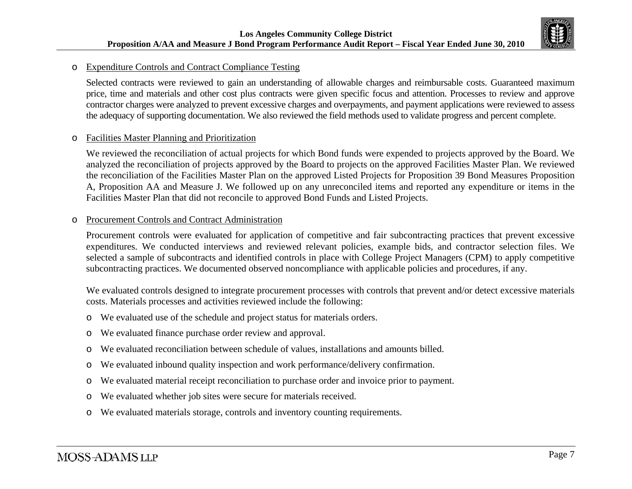

#### oExpenditure Controls and Contract Compliance Testing

Selected contracts were reviewed to gain an understanding of allowable charges and reimbursable costs. Guaranteed maximum price, time and materials and other cost plus contracts were given specific focus and attention. Processes to review and approve contractor charges were analyzed to prevent excessive charges and overpayments, and payment applications were reviewed to assess the adequacy of supporting documentation. We also reviewed the field methods used to validate progress and percent complete.

#### oFacilities Master Planning and Prioritization

We reviewed the reconciliation of actual projects for which Bond funds were expended to projects approved by the Board. We analyzed the reconciliation of projects approved by the Board to projects on the approved Facilities Master Plan. We reviewed the reconciliation of the Facilities Master Plan on the approved Listed Projects for Proposition 39 Bond Measures Proposition A, Proposition AA and Measure J. We followed up on any unreconciled items and reported any expenditure or items in the Facilities Master Plan that did not reconcile to approved Bond Funds and Listed Projects.

#### oProcurement Controls and Contract Administration

Procurement controls were evaluated for application of competitive and fair subcontracting practices that prevent excessive expenditures. We conducted interviews and reviewed relevant policies, example bids, and contractor selection files. We selected a sample of subcontracts and identified controls in place with College Project Managers (CPM) to apply competitive subcontracting practices. We documented observed noncompliance with applicable policies and procedures, if any.

We evaluated controls designed to integrate procurement processes with controls that prevent and/or detect excessive materials costs. Materials processes and activities reviewed include the following:

- oWe evaluated use of the schedule and project status for materials orders.
- oWe evaluated finance purchase order review and approval.
- oWe evaluated reconciliation between schedule of values, installations and amounts billed.
- oWe evaluated inbound quality inspection and work performance/delivery confirmation.
- oWe evaluated material receipt reconciliation to purchase order and invoice prior to payment.
- oWe evaluated whether job sites were secure for materials received.
- oWe evaluated materials storage, controls and inventory counting requirements.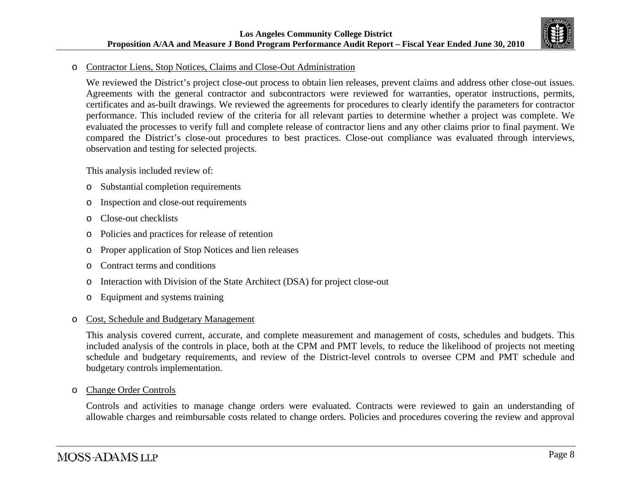

#### oContractor Liens, Stop Notices, Claims and Close-Out Administration

We reviewed the District's project close-out process to obtain lien releases, prevent claims and address other close-out issues. Agreements with the general contractor and subcontractors were reviewed for warranties, operator instructions, permits, certificates and as-built drawings. We reviewed the agreements for procedures to clearly identify the parameters for contractor performance. This included review of the criteria for all relevant parties to determine whether a project was complete. We evaluated the processes to verify full and complete release of contractor liens and any other claims prior to final payment. We compared the District's close-out procedures to best practices. Close-out compliance was evaluated through interviews, observation and testing for selected projects.

This analysis included review of:

- oSubstantial completion requirements
- oInspection and close-out requirements
- oClose-out checklists
- oPolicies and practices for release of retention
- oProper application of Stop Notices and lien releases
- oContract terms and conditions
- oInteraction with Division of the State Architect (DSA) for project close-out
- oEquipment and systems training

#### oCost, Schedule and Budgetary Management

This analysis covered current, accurate, and complete measurement and management of costs, schedules and budgets. This included analysis of the controls in place, both at the CPM and PMT levels, to reduce the likelihood of projects not meeting schedule and budgetary requirements, and review of the District-level controls to oversee CPM and PMT schedule and budgetary controls implementation.

oChange Order Controls

> Controls and activities to manage change orders were evaluated. Contracts were reviewed to gain an understanding of allowable charges and reimbursable costs related to change orders. Policies and procedures covering the review and approval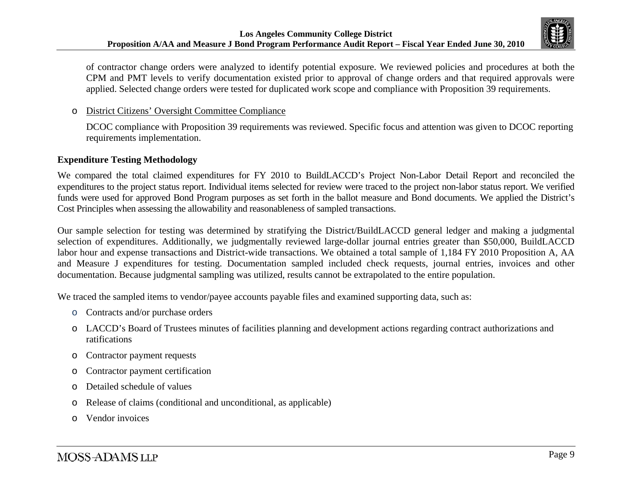

of contractor change orders were analyzed to identify potential exposure. We reviewed policies and procedures at both the CPM and PMT levels to verify documentation existed prior to approval of change orders and that required approvals were applied. Selected change orders were tested for duplicated work scope and compliance with Proposition 39 requirements.

#### oDistrict Citizens' Oversight Committee Compliance

DCOC compliance with Proposition 39 requirements was reviewed. Specific focus and attention was given to DCOC reporting requirements implementation.

#### **Expenditure Testing Methodology**

We compared the total claimed expenditures for FY 2010 to BuildLACCD's Project Non-Labor Detail Report and reconciled the expenditures to the project status report. Individual items selected for review were traced to the project non-labor status report. We verified funds were used for approved Bond Program purposes as set forth in the ballot measure and Bond documents. We applied the District's Cost Principles when assessing the allowability and reasonableness of sampled transactions.

Our sample selection for testing was determined by stratifying the District/BuildLACCD general ledger and making a judgmental selection of expenditures. Additionally, we judgmentally reviewed large-dollar journal entries greater than \$50,000, BuildLACCD labor hour and expense transactions and District-wide transactions. We obtained a total sample of 1,184 FY 2010 Proposition A, AA and Measure J expenditures for testing. Documentation sampled included check requests, journal entries, invoices and other documentation. Because judgmental sampling was utilized, results cannot be extrapolated to the entire population.

We traced the sampled items to vendor/payee accounts payable files and examined supporting data, such as:

- oContracts and/or purchase orders
- o LACCD's Board of Trustees minutes of facilities planning and development actions regarding contract authorizations and ratifications
- oContractor payment requests
- oContractor payment certification
- oDetailed schedule of values
- oRelease of claims (conditional and unconditional, as applicable)
- oVendor invoices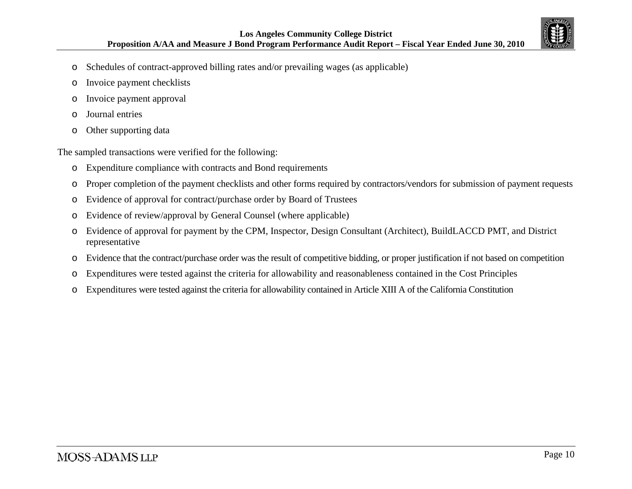

- oSchedules of contract-approved billing rates and/or prevailing wages (as applicable)
- oInvoice payment checklists
- oInvoice payment approval
- oJournal entries
- oOther supporting data

The sampled transactions were verified for the following:

- oExpenditure compliance with contracts and Bond requirements
- oProper completion of the payment checklists and other forms required by contractors/vendors for submission of payment requests
- oEvidence of approval for contract/purchase order by Board of Trustees
- oEvidence of review/approval by General Counsel (where applicable)
- o Evidence of approval for payment by the CPM, Inspector, Design Consultant (Architect), BuildLACCD PMT, and District representative
- oEvidence that the contract/purchase order was the result of competitive bidding, or proper justification if not based on competition
- oExpenditures were tested against the criteria for allowability and reasonableness contained in the Cost Principles
- oExpenditures were tested against the criteria for allowability contained in Article XIII A of the California Constitution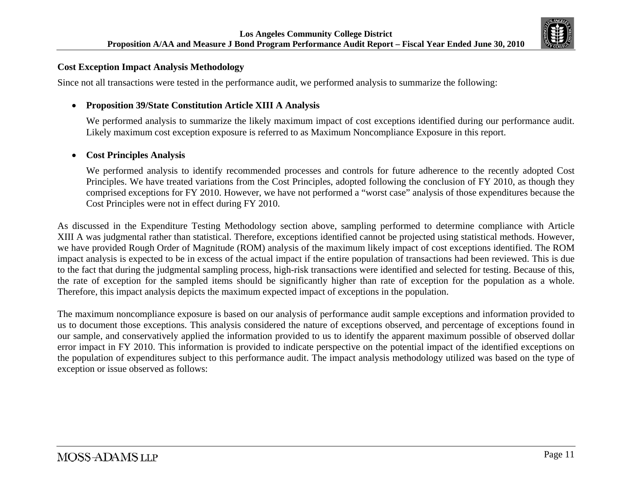

#### **Cost Exception Impact Analysis Methodology**

Since not all transactions were tested in the performance audit, we performed analysis to summarize the following:

### **Proposition 39/State Constitution Article XIII A Analysis**

We performed analysis to summarize the likely maximum impact of cost exceptions identified during our performance audit. Likely maximum cost exception exposure is referred to as Maximum Noncompliance Exposure in this report.

#### $\bullet$ **Cost Principles Analysis**

We performed analysis to identify recommended processes and controls for future adherence to the recently adopted Cost Principles. We have treated variations from the Cost Principles, adopted following the conclusion of FY 2010, as though they comprised exceptions for FY 2010. However, we have not performed a "worst case" analysis of those expenditures because the Cost Principles were not in effect during FY 2010.

As discussed in the Expenditure Testing Methodology section above, sampling performed to determine compliance with Article XIII A was judgmental rather than statistical. Therefore, exceptions identified cannot be projected using statistical methods. However, we have provided Rough Order of Magnitude (ROM) analysis of the maximum likely impact of cost exceptions identified. The ROM impact analysis is expected to be in excess of the actual impact if the entire population of transactions had been reviewed. This is due to the fact that during the judgmental sampling process, high-risk transactions were identified and selected for testing. Because of this, the rate of exception for the sampled items should be significantly higher than rate of exception for the population as a whole. Therefore, this impact analysis depicts the maximum expected impact of exceptions in the population.

The maximum noncompliance exposure is based on our analysis of performance audit sample exceptions and information provided to us to document those exceptions. This analysis considered the nature of exceptions observed, and percentage of exceptions found in our sample, and conservatively applied the information provided to us to identify the apparent maximum possible of observed dollar error impact in FY 2010. This information is provided to indicate perspective on the potential impact of the identified exceptions on the population of expenditures subject to this performance audit. The impact analysis methodology utilized was based on the type of exception or issue observed as follows: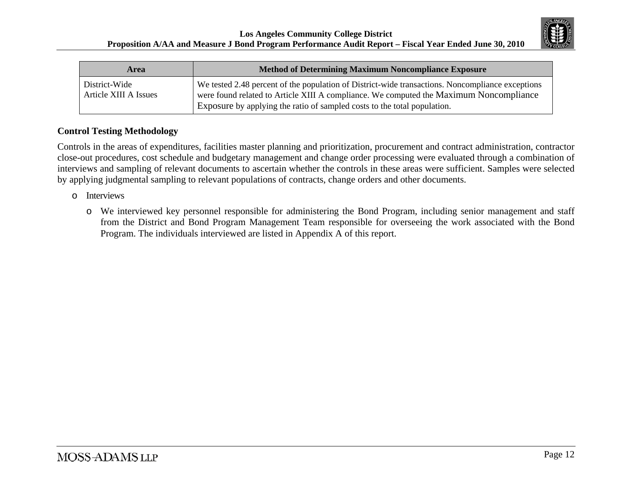

| Area                                   | <b>Method of Determining Maximum Noncompliance Exposure</b>                                                                                                                                                                                                            |  |
|----------------------------------------|------------------------------------------------------------------------------------------------------------------------------------------------------------------------------------------------------------------------------------------------------------------------|--|
| District-Wide<br>Article XIII A Issues | We tested 2.48 percent of the population of District-wide transactions. Noncompliance exceptions<br>were found related to Article XIII A compliance. We computed the Maximum Noncompliance<br>Exposure by applying the ratio of sampled costs to the total population. |  |

## **Control Testing Methodology**

Controls in the areas of expenditures, facilities master planning and prioritization, procurement and contract administration, contractor close-out procedures, cost schedule and budgetary management and change order processing were evaluated through a combination of interviews and sampling of relevant documents to ascertain whether the controls in these areas were sufficient. Samples were selected by applying judgmental sampling to relevant populations of contracts, change orders and other documents.

- o Interviews
	- o We interviewed key personnel responsible for administering the Bond Program, including senior management and staff from the District and Bond Program Management Team responsible for overseeing the work associated with the Bond Program. The individuals interviewed are listed in Appendix A of this report.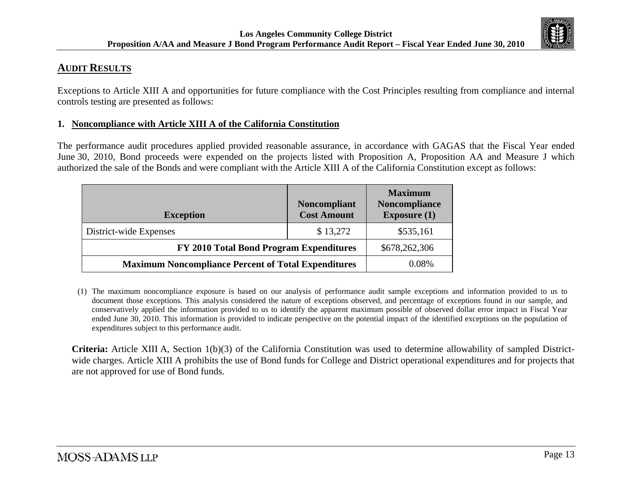

# **AUDIT RESULTS**

Exceptions to Article XIII A and opportunities for future compliance with the Cost Principles resulting from compliance and internal controls testing are presented as follows:

### **1. Noncompliance with Article XIII A of the California Constitution**

The performance audit procedures applied provided reasonable assurance, in accordance with GAGAS that the Fiscal Year ended June 30, 2010, Bond proceeds were expended on the projects listed with Proposition A, Proposition AA and Measure J which authorized the sale of the Bonds and were compliant with the Article XIII A of the California Constitution except as follows:

| <b>Exception</b>                                           | <b>Noncompliant</b><br><b>Cost Amount</b> | <b>Maximum</b><br>Noncompliance<br>Exposure $(1)$ |
|------------------------------------------------------------|-------------------------------------------|---------------------------------------------------|
| District-wide Expenses                                     | \$13,272                                  | \$535,161                                         |
| FY 2010 Total Bond Program Expenditures                    | \$678,262,306                             |                                                   |
| <b>Maximum Noncompliance Percent of Total Expenditures</b> | 0.08%                                     |                                                   |

<sup>(1)</sup> The maximum noncompliance exposure is based on our analysis of performance audit sample exceptions and information provided to us to document those exceptions. This analysis considered the nature of exceptions observed, and percentage of exceptions found in our sample, and conservatively applied the information provided to us to identify the apparent maximum possible of observed dollar error impact in Fiscal Year ended June 30, 2010. This information is provided to indicate perspective on the potential impact of the identified exceptions on the population of expenditures subject to this performance audit.

**Criteria:** Article XIII A, Section 1(b)(3) of the California Constitution was used to determine allowability of sampled Districtwide charges. Article XIII A prohibits the use of Bond funds for College and District operational expenditures and for projects that are not approved for use of Bond funds.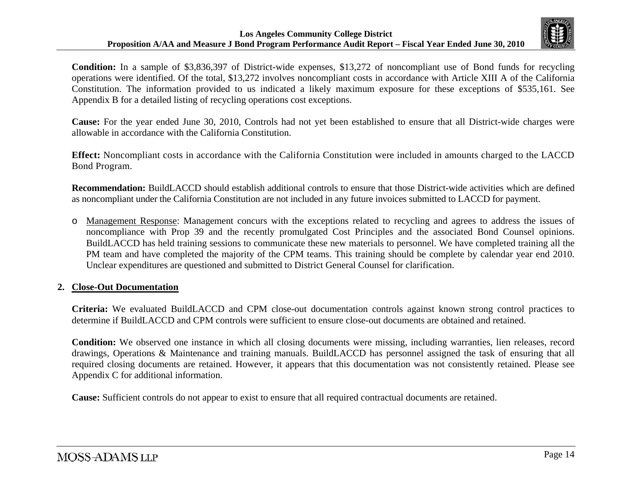

**Condition:** In a sample of \$3,836,397 of District-wide expenses, \$13,272 of noncompliant use of Bond funds for recycling operations were identified. Of the total, \$13,272 involves noncompliant costs in accordance with Article XIII A of the California Constitution. The information provided to us indicated a likely maximum exposure for these exceptions of \$535,161. See Appendix B for a detailed listing of recycling operations cost exceptions.

**Cause:** For the year ended June 30, 2010, Controls had not yet been established to ensure that all District-wide charges were allowable in accordance with the California Constitution.

**Effect:** Noncompliant costs in accordance with the California Constitution were included in amounts charged to the LACCD Bond Program.

**Recommendation:** BuildLACCD should establish additional controls to ensure that those District-wide activities which are defined as noncompliant under the California Constitution are not included in any future invoices submitted to LACCD for payment.

o Management Response: Management concurs with the exceptions related to recycling and agrees to address the issues of noncompliance with Prop 39 and the recently promulgated Cost Principles and the associated Bond Counsel opinions. BuildLACCD has held training sessions to communicate these new materials to personnel. We have completed training all the PM team and have completed the majority of the CPM teams. This training should be complete by calendar year end 2010. Unclear expenditures are questioned and submitted to District General Counsel for clarification.

### **2. Close-Out Documentation**

**Criteria:** We evaluated BuildLACCD and CPM close-out documentation controls against known strong control practices to determine if BuildLACCD and CPM controls were sufficient to ensure close-out documents are obtained and retained.

**Condition:** We observed one instance in which all closing documents were missing, including warranties, lien releases, record drawings, Operations & Maintenance and training manuals. BuildLACCD has personnel assigned the task of ensuring that all required closing documents are retained. However, it appears that this documentation was not consistently retained. Please see Appendix C for additional information.

**Cause:** Sufficient controls do not appear to exist to ensure that all required contractual documents are retained.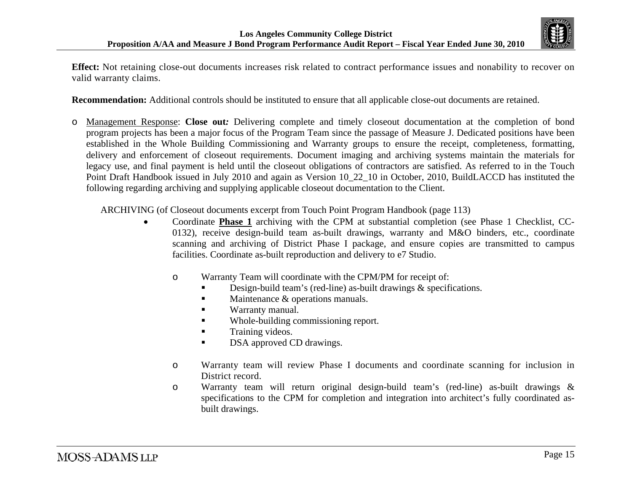

**Effect:** Not retaining close-out documents increases risk related to contract performance issues and nonability to recover on valid warranty claims.

**Recommendation:** Additional controls should be instituted to ensure that all applicable close-out documents are retained.

o Management Response: **Close out***:* Delivering complete and timely closeout documentation at the completion of bond program projects has been a major focus of the Program Team since the passage of Measure J. Dedicated positions have been established in the Whole Building Commissioning and Warranty groups to ensure the receipt, completeness, formatting, delivery and enforcement of closeout requirements. Document imaging and archiving systems maintain the materials for legacy use, and final payment is held until the closeout obligations of contractors are satisfied. As referred to in the Touch Point Draft Handbook issued in July 2010 and again as Version 10\_22\_10 in October, 2010, BuildLACCD has instituted the following regarding archiving and supplying applicable closeout documentation to the Client.

ARCHIVING (of Closeout documents excerpt from Touch Point Program Handbook (page 113)

- 0 Coordinate **Phase 1** archiving with the CPM at substantial completion (see Phase 1 Checklist, CC-0132), receive design-build team as-built drawings, warranty and M&O binders, etc., coordinate scanning and archiving of District Phase I package, and ensure copies are transmitted to campus facilities. Coordinate as-built reproduction and delivery to e7 Studio.
	- o Warranty Team will coordinate with the CPM/PM for receipt of:
		- Design-build team's (red-line) as-built drawings & specifications.
		- $\blacksquare$ Maintenance & operations manuals.
		- Warranty manual.
		- Whole-building commissioning report.
		- $\blacksquare$ Training videos.
		- $\blacksquare$ DSA approved CD drawings.
	- o Warranty team will review Phase I documents and coordinate scanning for inclusion in District record.
	- o Warranty team will return original design-build team's (red-line) as-built drawings & specifications to the CPM for completion and integration into architect's fully coordinated asbuilt drawings.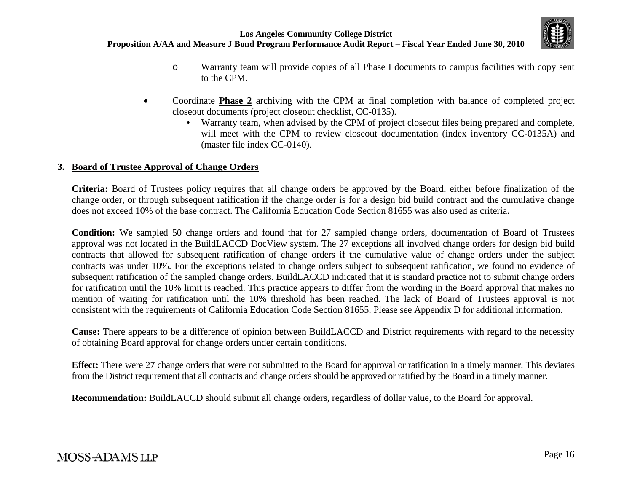

- o Warranty team will provide copies of all Phase I documents to campus facilities with copy sent to the CPM.
- . Coordinate **Phase 2** archiving with the CPM at final completion with balance of completed project closeout documents (project closeout checklist, CC-0135).
	- Warranty team, when advised by the CPM of project closeout files being prepared and complete, will meet with the CPM to review closeout documentation (index inventory CC-0135A) and (master file index CC-0140).

### **3. Board of Trustee Approval of Change Orders**

**Criteria:** Board of Trustees policy requires that all change orders be approved by the Board, either before finalization of the change order, or through subsequent ratification if the change order is for a design bid build contract and the cumulative change does not exceed 10% of the base contract. The California Education Code Section 81655 was also used as criteria.

**Condition:** We sampled 50 change orders and found that for 27 sampled change orders, documentation of Board of Trustees approval was not located in the BuildLACCD DocView system. The 27 exceptions all involved change orders for design bid build contracts that allowed for subsequent ratification of change orders if the cumulative value of change orders under the subject contracts was under 10%. For the exceptions related to change orders subject to subsequent ratification, we found no evidence of subsequent ratification of the sampled change orders. BuildLACCD indicated that it is standard practice not to submit change orders for ratification until the 10% limit is reached. This practice appears to differ from the wording in the Board approval that makes no mention of waiting for ratification until the 10% threshold has been reached. The lack of Board of Trustees approval is not consistent with the requirements of California Education Code Section 81655. Please see Appendix D for additional information.

**Cause:** There appears to be a difference of opinion between BuildLACCD and District requirements with regard to the necessity of obtaining Board approval for change orders under certain conditions.

**Effect:** There were 27 change orders that were not submitted to the Board for approval or ratification in a timely manner. This deviates from the District requirement that all contracts and change orders should be approved or ratified by the Board in a timely manner.

**Recommendation:** BuildLACCD should submit all change orders, regardless of dollar value, to the Board for approval.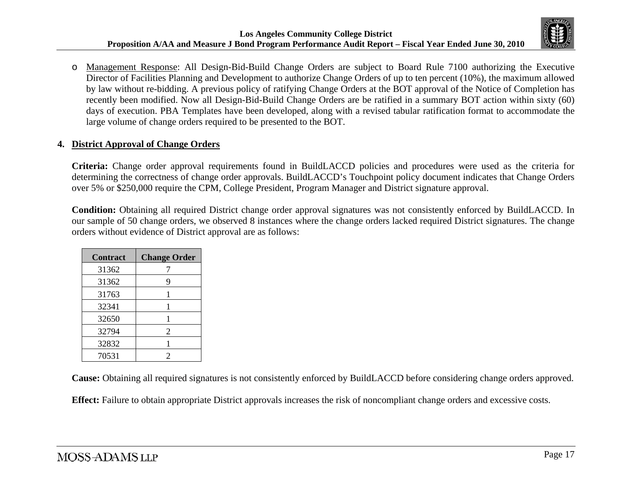

o Management Response: All Design-Bid-Build Change Orders are subject to Board Rule 7100 authorizing the Executive Director of Facilities Planning and Development to authorize Change Orders of up to ten percent (10%), the maximum allowed by law without re-bidding. A previous policy of ratifying Change Orders at the BOT approval of the Notice of Completion has recently been modified. Now all Design-Bid-Build Change Orders are be ratified in a summary BOT action within sixty (60) days of execution. PBA Templates have been developed, along with a revised tabular ratification format to accommodate the large volume of change orders required to be presented to the BOT.

### **4. District Approval of Change Orders**

**Criteria:** Change order approval requirements found in BuildLACCD policies and procedures were used as the criteria for determining the correctness of change order approvals. BuildLACCD's Touchpoint policy document indicates that Change Orders over 5% or \$250,000 require the CPM, College President, Program Manager and District signature approval.

**Condition:** Obtaining all required District change order approval signatures was not consistently enforced by BuildLACCD. In our sample of 50 change orders, we observed 8 instances where the change orders lacked required District signatures. The change orders without evidence of District approval are as follows:

| <b>Contract</b> | <b>Change Order</b> |
|-----------------|---------------------|
| 31362           |                     |
| 31362           | 9                   |
| 31763           | 1                   |
| 32341           |                     |
| 32650           | 1                   |
| 32794           | $\overline{2}$      |
| 32832           |                     |
| 70531           | 2                   |

**Cause:** Obtaining all required signatures is not consistently enforced by BuildLACCD before considering change orders approved.

**Effect:** Failure to obtain appropriate District approvals increases the risk of noncompliant change orders and excessive costs.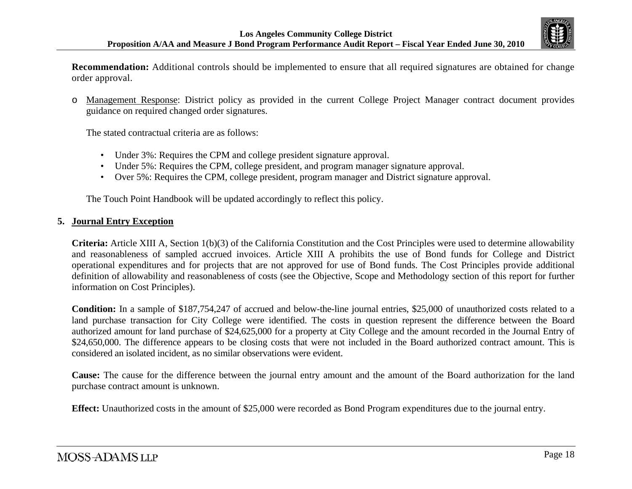

**Recommendation:** Additional controls should be implemented to ensure that all required signatures are obtained for change order approval.

o Management Response: District policy as provided in the current College Project Manager contract document provides guidance on required changed order signatures.

The stated contractual criteria are as follows:

- •Under 3%: Requires the CPM and college president signature approval.
- •Under 5%: Requires the CPM, college president, and program manager signature approval.
- Over 5%: Requires the CPM, college president, program manager and District signature approval.

The Touch Point Handbook will be updated accordingly to reflect this policy.

#### **5. Journal Entry Exception**

**Criteria:** Article XIII A, Section 1(b)(3) of the California Constitution and the Cost Principles were used to determine allowability and reasonableness of sampled accrued invoices. Article XIII A prohibits the use of Bond funds for College and District operational expenditures and for projects that are not approved for use of Bond funds. The Cost Principles provide additional definition of allowability and reasonableness of costs (see the Objective, Scope and Methodology section of this report for further information on Cost Principles).

**Condition:** In a sample of \$187,754,247 of accrued and below-the-line journal entries, \$25,000 of unauthorized costs related to a land purchase transaction for City College were identified. The costs in question represent the difference between the Board authorized amount for land purchase of \$24,625,000 for a property at City College and the amount recorded in the Journal Entry of \$24,650,000. The difference appears to be closing costs that were not included in the Board authorized contract amount. This is considered an isolated incident, as no similar observations were evident.

**Cause:** The cause for the difference between the journal entry amount and the amount of the Board authorization for the land purchase contract amount is unknown.

**Effect:** Unauthorized costs in the amount of \$25,000 were recorded as Bond Program expenditures due to the journal entry.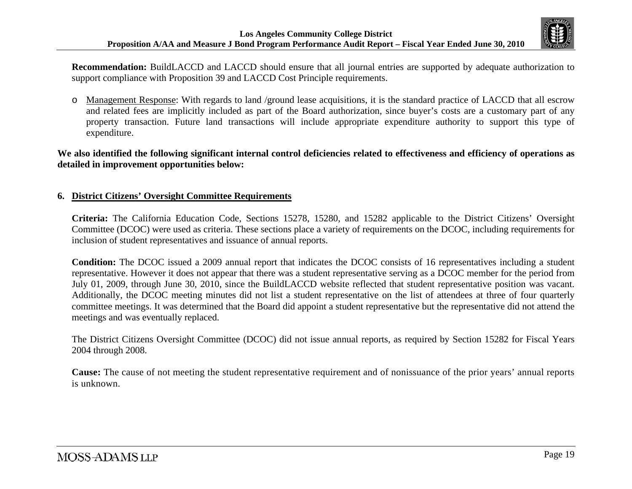

**Recommendation:** BuildLACCD and LACCD should ensure that all journal entries are supported by adequate authorization to support compliance with Proposition 39 and LACCD Cost Principle requirements.

o Management Response: With regards to land /ground lease acquisitions, it is the standard practice of LACCD that all escrow and related fees are implicitly included as part of the Board authorization, since buyer's costs are a customary part of any property transaction. Future land transactions will include appropriate expenditure authority to support this type of expenditure.

#### **We also identified the following significant internal control deficiencies related to effectiveness and efficiency of operations as detailed in improvement opportunities below:**

### **6. District Citizens' Oversight Committee Requirements**

**Criteria:** The California Education Code, Sections 15278, 15280, and 15282 applicable to the District Citizens' Oversight Committee (DCOC) were used as criteria. These sections place a variety of requirements on the DCOC, including requirements for inclusion of student representatives and issuance of annual reports.

**Condition:** The DCOC issued a 2009 annual report that indicates the DCOC consists of 16 representatives including a student representative. However it does not appear that there was a student representative serving as a DCOC member for the period from July 01, 2009, through June 30, 2010, since the BuildLACCD website reflected that student representative position was vacant. Additionally, the DCOC meeting minutes did not list a student representative on the list of attendees at three of four quarterly committee meetings. It was determined that the Board did appoint a student representative but the representative did not attend the meetings and was eventually replaced.

The District Citizens Oversight Committee (DCOC) did not issue annual reports, as required by Section 15282 for Fiscal Years 2004 through 2008.

**Cause:** The cause of not meeting the student representative requirement and of nonissuance of the prior years' annual reports is unknown.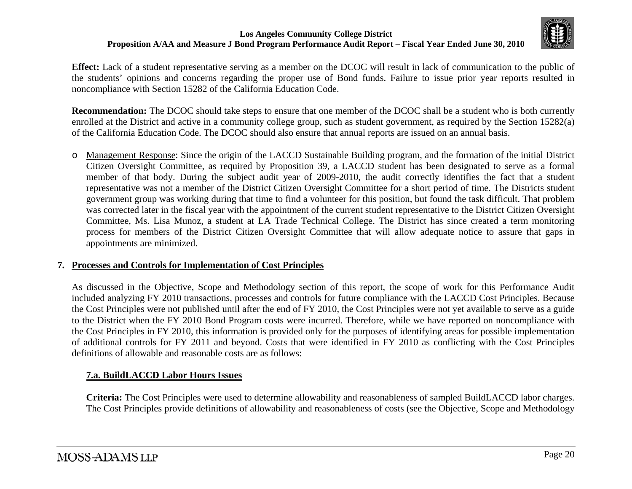

**Effect:** Lack of a student representative serving as a member on the DCOC will result in lack of communication to the public of the students' opinions and concerns regarding the proper use of Bond funds. Failure to issue prior year reports resulted in noncompliance with Section 15282 of the California Education Code.

**Recommendation:** The DCOC should take steps to ensure that one member of the DCOC shall be a student who is both currently enrolled at the District and active in a community college group, such as student government, as required by the Section 15282(a) of the California Education Code. The DCOC should also ensure that annual reports are issued on an annual basis.

o Management Response: Since the origin of the LACCD Sustainable Building program, and the formation of the initial District Citizen Oversight Committee, as required by Proposition 39, a LACCD student has been designated to serve as a formal member of that body. During the subject audit year of 2009-2010, the audit correctly identifies the fact that a student representative was not a member of the District Citizen Oversight Committee for a short period of time. The Districts student government group was working during that time to find a volunteer for this position, but found the task difficult. That problem was corrected later in the fiscal year with the appointment of the current student representative to the District Citizen Oversight Committee, Ms. Lisa Munoz, a student at LA Trade Technical College. The District has since created a term monitoring process for members of the District Citizen Oversight Committee that will allow adequate notice to assure that gaps in appointments are minimized.

## **7. Processes and Controls for Implementation of Cost Principles**

As discussed in the Objective, Scope and Methodology section of this report, the scope of work for this Performance Audit included analyzing FY 2010 transactions, processes and controls for future compliance with the LACCD Cost Principles. Because the Cost Principles were not published until after the end of FY 2010, the Cost Principles were not yet available to serve as a guide to the District when the FY 2010 Bond Program costs were incurred. Therefore, while we have reported on noncompliance with the Cost Principles in FY 2010, this information is provided only for the purposes of identifying areas for possible implementation of additional controls for FY 2011 and beyond. Costs that were identified in FY 2010 as conflicting with the Cost Principles definitions of allowable and reasonable costs are as follows:

## **7.a. BuildLACCD Labor Hours Issues**

**Criteria:** The Cost Principles were used to determine allowability and reasonableness of sampled BuildLACCD labor charges. The Cost Principles provide definitions of allowability and reasonableness of costs (see the Objective, Scope and Methodology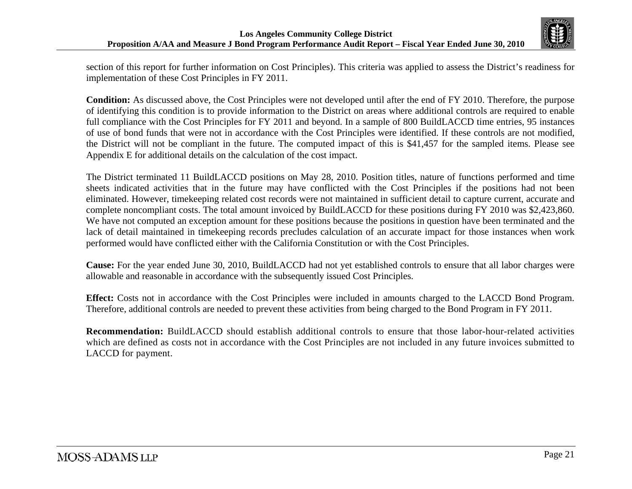

section of this report for further information on Cost Principles). This criteria was applied to assess the District's readiness for implementation of these Cost Principles in FY 2011.

**Condition:** As discussed above, the Cost Principles were not developed until after the end of FY 2010. Therefore, the purpose of identifying this condition is to provide information to the District on areas where additional controls are required to enable full compliance with the Cost Principles for FY 2011 and beyond. In a sample of 800 BuildLACCD time entries, 95 instances of use of bond funds that were not in accordance with the Cost Principles were identified. If these controls are not modified, the District will not be compliant in the future. The computed impact of this is \$41,457 for the sampled items. Please see Appendix E for additional details on the calculation of the cost impact.

The District terminated 11 BuildLACCD positions on May 28, 2010. Position titles, nature of functions performed and time sheets indicated activities that in the future may have conflicted with the Cost Principles if the positions had not been eliminated. However, timekeeping related cost records were not maintained in sufficient detail to capture current, accurate and complete noncompliant costs. The total amount invoiced by BuildLACCD for these positions during FY 2010 was \$2,423,860. We have not computed an exception amount for these positions because the positions in question have been terminated and the lack of detail maintained in timekeeping records precludes calculation of an accurate impact for those instances when work performed would have conflicted either with the California Constitution or with the Cost Principles.

**Cause:** For the year ended June 30, 2010, BuildLACCD had not yet established controls to ensure that all labor charges were allowable and reasonable in accordance with the subsequently issued Cost Principles.

**Effect:** Costs not in accordance with the Cost Principles were included in amounts charged to the LACCD Bond Program. Therefore, additional controls are needed to prevent these activities from being charged to the Bond Program in FY 2011.

**Recommendation:** BuildLACCD should establish additional controls to ensure that those labor-hour-related activities which are defined as costs not in accordance with the Cost Principles are not included in any future invoices submitted to LACCD for payment.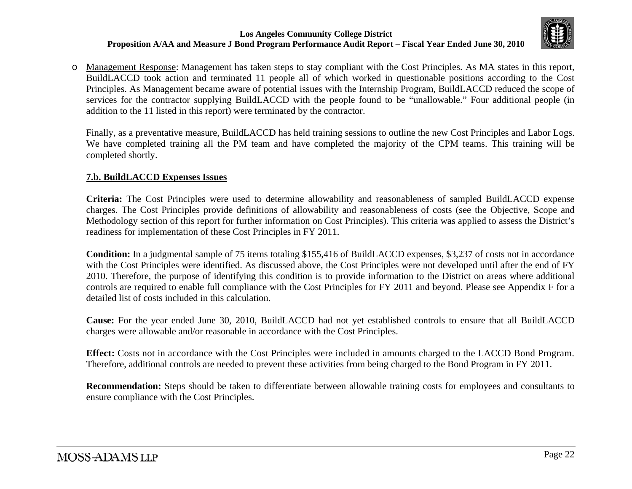

o Management Response: Management has taken steps to stay compliant with the Cost Principles. As MA states in this report, BuildLACCD took action and terminated 11 people all of which worked in questionable positions according to the Cost Principles. As Management became aware of potential issues with the Internship Program, BuildLACCD reduced the scope of services for the contractor supplying BuildLACCD with the people found to be "unallowable." Four additional people (in addition to the 11 listed in this report) were terminated by the contractor.

Finally, as a preventative measure, BuildLACCD has held training sessions to outline the new Cost Principles and Labor Logs. We have completed training all the PM team and have completed the majority of the CPM teams. This training will be completed shortly.

### **7.b. BuildLACCD Expenses Issues**

**Criteria:** The Cost Principles were used to determine allowability and reasonableness of sampled BuildLACCD expense charges. The Cost Principles provide definitions of allowability and reasonableness of costs (see the Objective, Scope and Methodology section of this report for further information on Cost Principles). This criteria was applied to assess the District's readiness for implementation of these Cost Principles in FY 2011.

**Condition:** In a judgmental sample of 75 items totaling \$155,416 of BuildLACCD expenses, \$3,237 of costs not in accordance with the Cost Principles were identified. As discussed above, the Cost Principles were not developed until after the end of FY 2010. Therefore, the purpose of identifying this condition is to provide information to the District on areas where additional controls are required to enable full compliance with the Cost Principles for FY 2011 and beyond. Please see Appendix F for a detailed list of costs included in this calculation.

**Cause:** For the year ended June 30, 2010, BuildLACCD had not yet established controls to ensure that all BuildLACCD charges were allowable and/or reasonable in accordance with the Cost Principles.

**Effect:** Costs not in accordance with the Cost Principles were included in amounts charged to the LACCD Bond Program. Therefore, additional controls are needed to prevent these activities from being charged to the Bond Program in FY 2011.

**Recommendation:** Steps should be taken to differentiate between allowable training costs for employees and consultants to ensure compliance with the Cost Principles.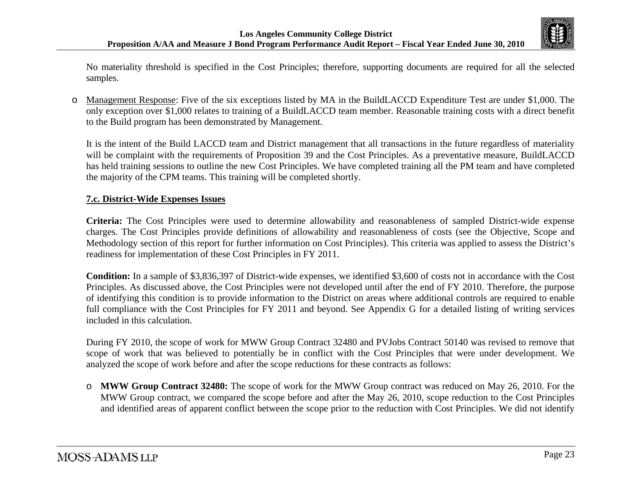

No materiality threshold is specified in the Cost Principles; therefore, supporting documents are required for all the selected samples.

o Management Response: Five of the six exceptions listed by MA in the BuildLACCD Expenditure Test are under \$1,000. The only exception over \$1,000 relates to training of a BuildLACCD team member. Reasonable training costs with a direct benefit to the Build program has been demonstrated by Management.

It is the intent of the Build LACCD team and District management that all transactions in the future regardless of materiality will be complaint with the requirements of Proposition 39 and the Cost Principles. As a preventative measure, BuildLACCD has held training sessions to outline the new Cost Principles. We have completed training all the PM team and have completed the majority of the CPM teams. This training will be completed shortly.

### **7.c. District-Wide Expenses Issues**

**Criteria:** The Cost Principles were used to determine allowability and reasonableness of sampled District-wide expense charges. The Cost Principles provide definitions of allowability and reasonableness of costs (see the Objective, Scope and Methodology section of this report for further information on Cost Principles). This criteria was applied to assess the District's readiness for implementation of these Cost Principles in FY 2011.

**Condition:** In a sample of \$3,836,397 of District-wide expenses, we identified \$3,600 of costs not in accordance with the Cost Principles. As discussed above, the Cost Principles were not developed until after the end of FY 2010. Therefore, the purpose of identifying this condition is to provide information to the District on areas where additional controls are required to enable full compliance with the Cost Principles for FY 2011 and beyond. See Appendix G for a detailed listing of writing services included in this calculation.

During FY 2010, the scope of work for MWW Group Contract 32480 and PVJobs Contract 50140 was revised to remove that scope of work that was believed to potentially be in conflict with the Cost Principles that were under development. We analyzed the scope of work before and after the scope reductions for these contracts as follows:

o **MWW Group Contract 32480:** The scope of work for the MWW Group contract was reduced on May 26, 2010. For the MWW Group contract, we compared the scope before and after the May 26, 2010, scope reduction to the Cost Principles and identified areas of apparent conflict between the scope prior to the reduction with Cost Principles. We did not identify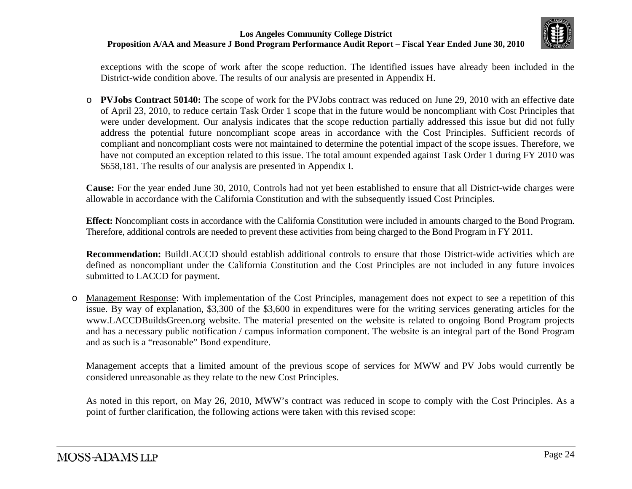

exceptions with the scope of work after the scope reduction. The identified issues have already been included in the District-wide condition above. The results of our analysis are presented in Appendix H.

o **PVJobs Contract 50140:** The scope of work for the PVJobs contract was reduced on June 29, 2010 with an effective date of April 23, 2010, to reduce certain Task Order 1 scope that in the future would be noncompliant with Cost Principles that were under development. Our analysis indicates that the scope reduction partially addressed this issue but did not fully address the potential future noncompliant scope areas in accordance with the Cost Principles. Sufficient records of compliant and noncompliant costs were not maintained to determine the potential impact of the scope issues. Therefore, we have not computed an exception related to this issue. The total amount expended against Task Order 1 during FY 2010 was \$658,181. The results of our analysis are presented in Appendix I.

**Cause:** For the year ended June 30, 2010, Controls had not yet been established to ensure that all District-wide charges were allowable in accordance with the California Constitution and with the subsequently issued Cost Principles.

**Effect:** Noncompliant costs in accordance with the California Constitution were included in amounts charged to the Bond Program. Therefore, additional controls are needed to prevent these activities from being charged to the Bond Program in FY 2011.

**Recommendation:** BuildLACCD should establish additional controls to ensure that those District-wide activities which are defined as noncompliant under the California Constitution and the Cost Principles are not included in any future invoices submitted to LACCD for payment.

o Management Response: With implementation of the Cost Principles, management does not expect to see a repetition of this issue. By way of explanation, \$3,300 of the \$3,600 in expenditures were for the writing services generating articles for the www.LACCDBuildsGreen.org website. The material presented on the website is related to ongoing Bond Program projects and has a necessary public notification / campus information component. The website is an integral part of the Bond Program and as such is a "reasonable" Bond expenditure.

Management accepts that a limited amount of the previous scope of services for MWW and PV Jobs would currently be considered unreasonable as they relate to the new Cost Principles.

As noted in this report, on May 26, 2010, MWW's contract was reduced in scope to comply with the Cost Principles. As a point of further clarification, the following actions were taken with this revised scope: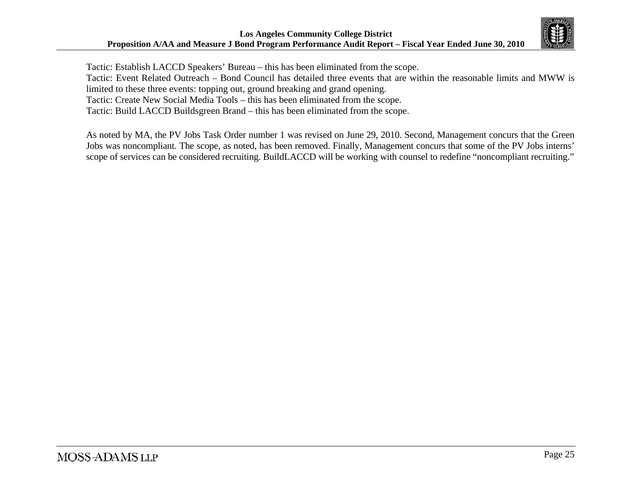

Tactic: Establish LACCD Speakers' Bureau – this has been eliminated from the scope. Tactic: Event Related Outreach – Bond Council has detailed three events that are within the reasonable limits and MWW is limited to these three events: topping out, ground breaking and grand opening. Tactic: Create New Social Media Tools – this has been eliminated from the scope. Tactic: Build LACCD Buildsgreen Brand – this has been eliminated from the scope.

As noted by MA, the PV Jobs Task Order number 1 was revised on June 29, 2010. Second, Management concurs that the Green Jobs was noncompliant. The scope, as noted, has been removed. Finally, Management concurs that some of the PV Jobs interns' scope of services can be considered recruiting. BuildLACCD will be working with counsel to redefine "noncompliant recruiting."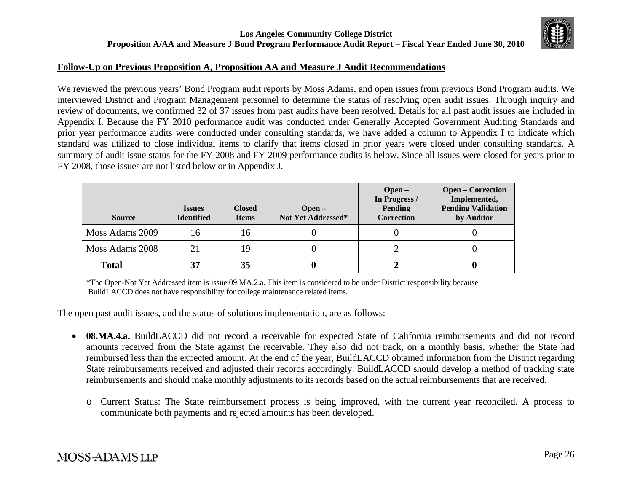

#### **Follow-Up on Previous Proposition A, Proposition AA and Measure J Audit Recommendations**

We reviewed the previous years' Bond Program audit reports by Moss Adams, and open issues from previous Bond Program audits. We interviewed District and Program Management personnel to determine the status of resolving open audit issues. Through inquiry and review of documents, we confirmed 32 of 37 issues from past audits have been resolved. Details for all past audit issues are included in Appendix I. Because the FY 2010 performance audit was conducted under Generally Accepted Government Auditing Standards and prior year performance audits were conducted under consulting standards, we have added a column to Appendix I to indicate which standard was utilized to close individual items to clarify that items closed in prior years were closed under consulting standards. A summary of audit issue status for the FY 2008 and FY 2009 performance audits is below. Since all issues were closed for years prior to FY 2008, those issues are not listed below or in Appendix J.

| <b>Source</b>   | <b>Issues</b><br><b>Identified</b> | <b>Closed</b><br><b>Items</b> | $Open-$<br>Not Yet Addressed* | $Open-$<br>In Progress /<br><b>Pending</b><br>Correction | <b>Open – Correction</b><br>Implemented,<br><b>Pending Validation</b><br>by Auditor |
|-----------------|------------------------------------|-------------------------------|-------------------------------|----------------------------------------------------------|-------------------------------------------------------------------------------------|
| Moss Adams 2009 | 16                                 | 16                            |                               |                                                          |                                                                                     |
| Moss Adams 2008 | 21                                 | 19                            |                               |                                                          |                                                                                     |
| <b>Total</b>    |                                    | $\underline{35}$              |                               |                                                          | <u>ບ</u>                                                                            |

\*The Open-Not Yet Addressed item is issue 09.MA.2.a. This item is considered to be under District responsibility because BuildLACCD does not have responsibility for college maintenance related items.

The open past audit issues, and the status of solutions implementation, are as follows:

- **08.MA.4.a.** BuildLACCD did not record a receivable for expected State of California reimbursements and did not record amounts received from the State against the receivable. They also did not track, on a monthly basis, whether the State had reimbursed less than the expected amount. At the end of the year, BuildLACCD obtained information from the District regarding State reimbursements received and adjusted their records accordingly. BuildLACCD should develop a method of tracking state reimbursements and should make monthly adjustments to its records based on the actual reimbursements that are received.
	- o Current Status: The State reimbursement process is being improved, with the current year reconciled. A process to communicate both payments and rejected amounts has been developed.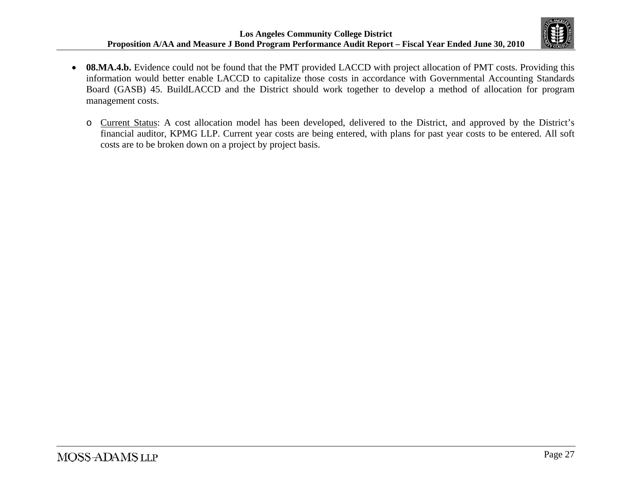

- **08.MA.4.b.** Evidence could not be found that the PMT provided LACCD with project allocation of PMT costs. Providing this information would better enable LACCD to capitalize those costs in accordance with Governmental Accounting Standards Board (GASB) 45. BuildLACCD and the District should work together to develop a method of allocation for program management costs.
	- o Current Status: A cost allocation model has been developed, delivered to the District, and approved by the District's financial auditor, KPMG LLP. Current year costs are being entered, with plans for past year costs to be entered. All soft costs are to be broken down on a project by project basis.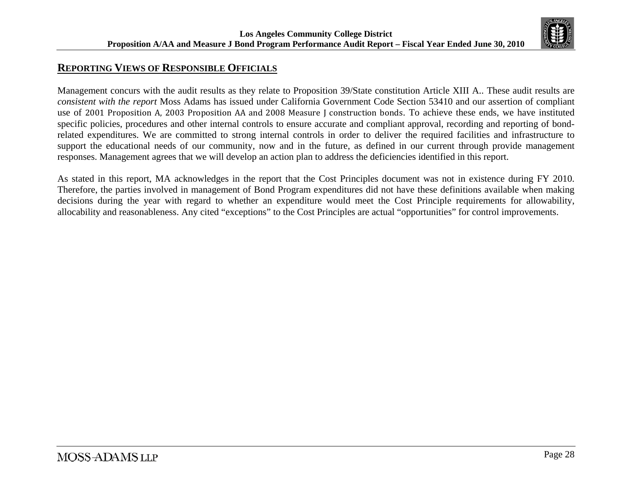

# **REPORTING VIEWS OF RESPONSIBLE OFFICIALS**

Management concurs with the audit results as they relate to Proposition 39/State constitution Article XIII A.. These audit results are *consistent with the report* Moss Adams has issued under California Government Code Section 53410 and our assertion of compliant use of 2001 Proposition A, 2003 Proposition AA and 2008 Measure J construction bonds. To achieve these ends, we have instituted specific policies, procedures and other internal controls to ensure accurate and compliant approval, recording and reporting of bondrelated expenditures. We are committed to strong internal controls in order to deliver the required facilities and infrastructure to support the educational needs of our community, now and in the future, as defined in our current through provide management responses. Management agrees that we will develop an action plan to address the deficiencies identified in this report.

As stated in this report, MA acknowledges in the report that the Cost Principles document was not in existence during FY 2010. Therefore, the parties involved in management of Bond Program expenditures did not have these definitions available when making decisions during the year with regard to whether an expenditure would meet the Cost Principle requirements for allowability, allocability and reasonableness. Any cited "exceptions" to the Cost Principles are actual "opportunities" for control improvements.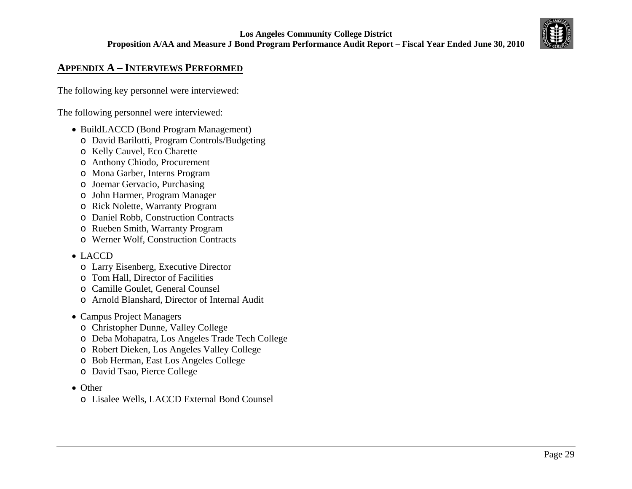

# **APPENDIX A – INTERVIEWS PERFORMED**

The following key personnel were interviewed:

The following personnel were interviewed:

- BuildLACCD (Bond Program Management)
	- o David Barilotti, Program Controls/Budgeting
	- o Kelly Cauvel, Eco Charette
	- o Anthony Chiodo, Procurement
	- o Mona Garber, Interns Program
	- o Joemar Gervacio, Purchasing
	- o John Harmer, Program Manager
	- o Rick Nolette, Warranty Program
	- o Daniel Robb, Construction Contracts
	- o Rueben Smith, Warranty Program
	- o Werner Wolf, Construction Contracts

### • LACCD

- o Larry Eisenberg, Executive Director
- o Tom Hall, Director of Facilities
- o Camille Goulet, General Counsel
- o Arnold Blanshard, Director of Internal Audit
- Campus Project Managers
	- o Christopher Dunne, Valley College
	- o Deba Mohapatra, Los Angeles Trade Tech College
	- o Robert Dieken, Los Angeles Valley College
	- o Bob Herman, East Los Angeles College
	- o David Tsao, Pierce College
- Other
	- o Lisalee Wells, LACCD External Bond Counsel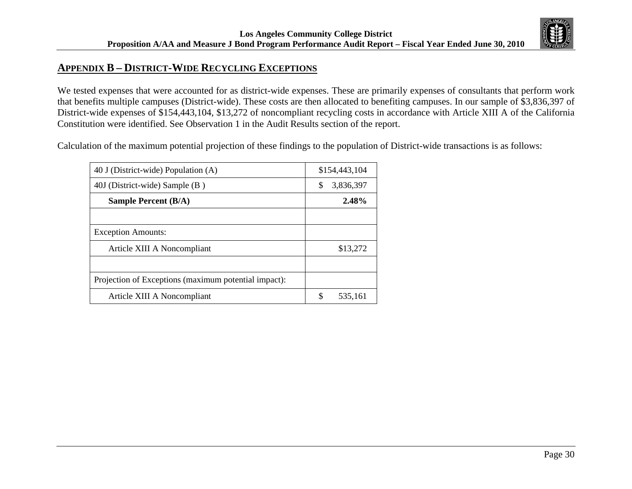## **APPENDIX B – DISTRICT-WIDE RECYCLING EXCEPTIONS**

We tested expenses that were accounted for as district-wide expenses. These are primarily expenses of consultants that perform work that benefits multiple campuses (District-wide). These costs are then allocated to benefiting campuses. In our sample of \$3,836,397 of District-wide expenses of \$154,443,104, \$13,272 of noncompliant recycling costs in accordance with Article XIII A of the California Constitution were identified. See Observation 1 in the Audit Results section of the report.

Calculation of the maximum potential projection of these findings to the population of District-wide transactions is as follows:

| 40 J (District-wide) Population (A)                  |    | \$154,443,104 |
|------------------------------------------------------|----|---------------|
| 40J (District-wide) Sample (B)                       | S  | 3,836,397     |
| <b>Sample Percent (B/A)</b>                          |    | 2.48%         |
|                                                      |    |               |
| <b>Exception Amounts:</b>                            |    |               |
| Article XIII A Noncompliant                          |    | \$13,272      |
|                                                      |    |               |
| Projection of Exceptions (maximum potential impact): |    |               |
| Article XIII A Noncompliant                          | \$ | 535,161       |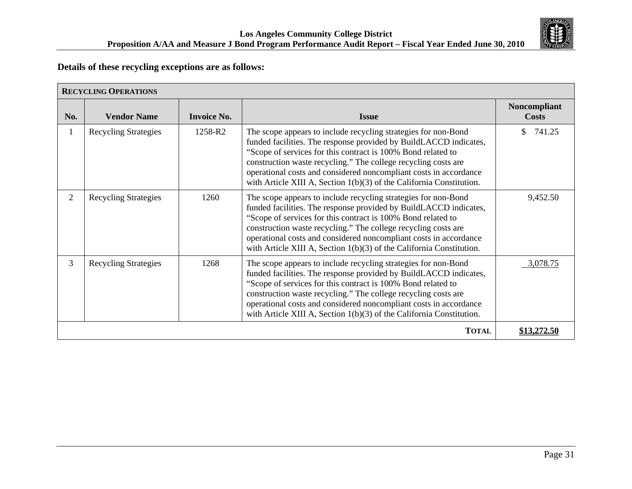

## **Details of these recycling exceptions are as follows:**

|                | <b>RECYCLING OPERATIONS</b> |                    |                                                                                                                                                                                                                                                                                                                                                                                                                      |                                     |  |
|----------------|-----------------------------|--------------------|----------------------------------------------------------------------------------------------------------------------------------------------------------------------------------------------------------------------------------------------------------------------------------------------------------------------------------------------------------------------------------------------------------------------|-------------------------------------|--|
| No.            | <b>Vendor Name</b>          | <b>Invoice No.</b> | <b>Issue</b>                                                                                                                                                                                                                                                                                                                                                                                                         | <b>Noncompliant</b><br><b>Costs</b> |  |
| $\mathbf{1}$   | <b>Recycling Strategies</b> | 1258-R2            | The scope appears to include recycling strategies for non-Bond<br>funded facilities. The response provided by BuildLACCD indicates,<br>"Scope of services for this contract is 100% Bond related to<br>construction waste recycling." The college recycling costs are<br>operational costs and considered noncompliant costs in accordance<br>with Article XIII A, Section $1(b)(3)$ of the California Constitution. | 741.25<br>\$                        |  |
| $\overline{2}$ | <b>Recycling Strategies</b> | 1260               | The scope appears to include recycling strategies for non-Bond<br>funded facilities. The response provided by BuildLACCD indicates,<br>"Scope of services for this contract is 100% Bond related to<br>construction waste recycling." The college recycling costs are<br>operational costs and considered noncompliant costs in accordance<br>with Article XIII A, Section $1(b)(3)$ of the California Constitution. | 9,452.50                            |  |
| $\overline{3}$ | <b>Recycling Strategies</b> | 1268               | The scope appears to include recycling strategies for non-Bond<br>funded facilities. The response provided by BuildLACCD indicates,<br>"Scope of services for this contract is 100% Bond related to<br>construction waste recycling." The college recycling costs are<br>operational costs and considered noncompliant costs in accordance<br>with Article XIII A, Section $1(b)(3)$ of the California Constitution. | 3,078.75                            |  |
|                |                             |                    | <b>TOTAL</b>                                                                                                                                                                                                                                                                                                                                                                                                         | \$13,272.50                         |  |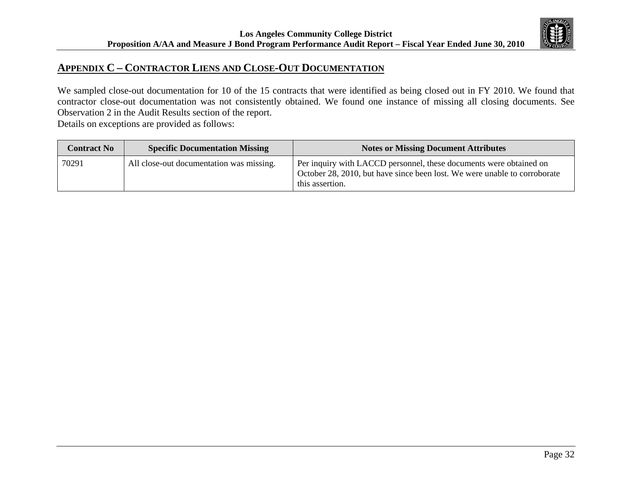

## **APPENDIX C – CONTRACTOR LIENS AND CLOSE-OUT DOCUMENTATION**

We sampled close-out documentation for 10 of the 15 contracts that were identified as being closed out in FY 2010. We found that contractor close-out documentation was not consistently obtained. We found one instance of missing all closing documents. See Observation 2 in the Audit Results section of the report.

Details on exceptions are provided as follows:

| <b>Contract No</b> | <b>Specific Documentation Missing</b>    | <b>Notes or Missing Document Attributes</b>                                                                                                                        |
|--------------------|------------------------------------------|--------------------------------------------------------------------------------------------------------------------------------------------------------------------|
| 70291              | All close-out documentation was missing. | Per inquiry with LACCD personnel, these documents were obtained on<br>October 28, 2010, but have since been lost. We were unable to corroborate<br>this assertion. |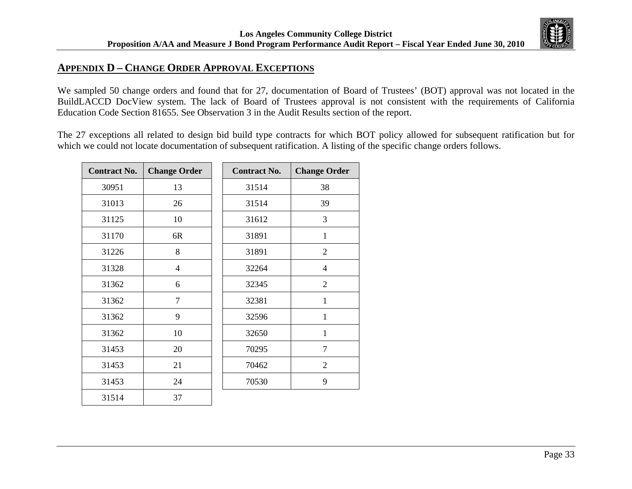## **APPENDIX D – CHANGE ORDER APPROVAL EXCEPTIONS**

We sampled 50 change orders and found that for 27, documentation of Board of Trustees' (BOT) approval was not located in the BuildLACCD DocView system. The lack of Board of Trustees approval is not consistent with the requirements of California Education Code Section 81655. See Observation 3 in the Audit Results section of the report.

The 27 exceptions all related to design bid build type contracts for which BOT policy allowed for subsequent ratification but for which we could not locate documentation of subsequent ratification. A listing of the specific change orders follows.

| <b>Contract No.</b> | <b>Change Order</b> |  | <b>Contract No.</b> | <b>Change Order</b> |
|---------------------|---------------------|--|---------------------|---------------------|
| 30951               | 13                  |  | 31514               | 38                  |
| 31013               | 26                  |  | 31514               | 39                  |
| 31125               | 10                  |  | 31612               | 3                   |
| 31170               | 6R                  |  | 31891               | $\mathbf{1}$        |
| 31226               | 8                   |  | 31891               | $\overline{2}$      |
| 31328               | $\overline{4}$      |  | 32264               | 4                   |
| 31362               | 6                   |  | 32345               | $\overline{2}$      |
| 31362               | 7                   |  | 32381               | 1                   |
| 31362               | 9                   |  | 32596               | $\mathbf{1}$        |
| 31362               | 10                  |  | 32650               | $\mathbf 1$         |
| 31453               | 20                  |  | 70295               | $\overline{7}$      |
| 31453               | 21                  |  | 70462               | $\overline{2}$      |
| 31453               | 24                  |  | 70530               | 9                   |
| 31514               | 37                  |  |                     |                     |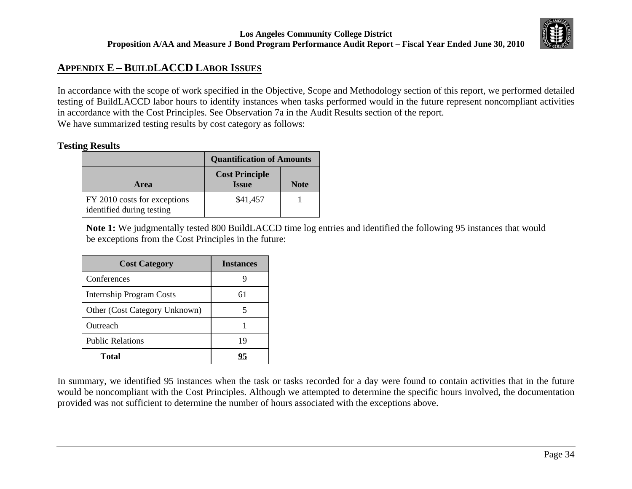# **APPENDIX E – BUILDLACCD LABOR ISSUES**

In accordance with the scope of work specified in the Objective, Scope and Methodology section of this report, we performed detailed testing of BuildLACCD labor hours to identify instances when tasks performed would in the future represent noncompliant activities in accordance with the Cost Principles. See Observation 7a in the Audit Results section of the report. We have summarized testing results by cost category as follows:

### **Testing Results**

|                                                           | <b>Quantification of Amounts</b>      |             |  |  |
|-----------------------------------------------------------|---------------------------------------|-------------|--|--|
| <b>Area</b>                                               | <b>Cost Principle</b><br><b>Issue</b> | <b>Note</b> |  |  |
| FY 2010 costs for exceptions<br>identified during testing | \$41,457                              |             |  |  |

**Note 1:** We judgmentally tested 800 BuildLACCD time log entries and identified the following 95 instances that would be exceptions from the Cost Principles in the future:

| <b>Cost Category</b>          | <b>Instances</b> |
|-------------------------------|------------------|
| Conferences                   |                  |
| Internship Program Costs      | 61               |
| Other (Cost Category Unknown) | 5                |
| Outreach                      |                  |
| <b>Public Relations</b>       | 19               |
| <b>Total</b>                  | 95               |

In summary, we identified 95 instances when the task or tasks recorded for a day were found to contain activities that in the future would be noncompliant with the Cost Principles. Although we attempted to determine the specific hours involved, the documentation provided was not sufficient to determine the number of hours associated with the exceptions above.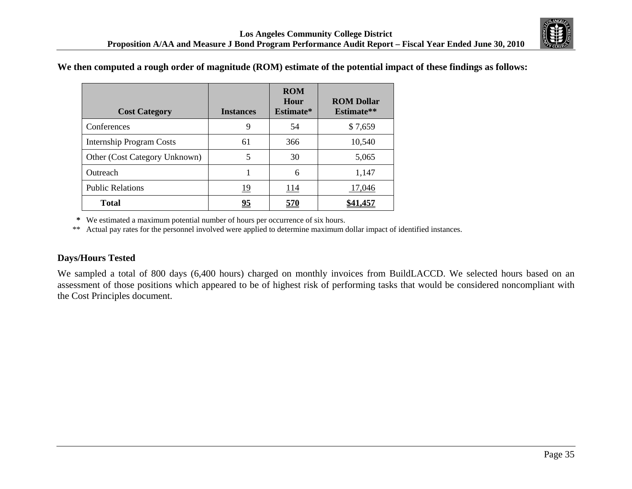

### **We then computed a rough order of magnitude (ROM) estimate of the potential impact of these findings as follows:**

| <b>Cost Category</b>            | <b>Instances</b> | <b>ROM</b><br>Hour<br>Estimate* | <b>ROM Dollar</b><br>Estimate** |
|---------------------------------|------------------|---------------------------------|---------------------------------|
| Conferences                     | 9                | 54                              | \$7,659                         |
| <b>Internship Program Costs</b> | 61               | 366                             | 10,540                          |
| Other (Cost Category Unknown)   | 5                | 30                              | 5,065                           |
| Outreach                        |                  | 6                               | 1,147                           |
| <b>Public Relations</b>         | 19               | 114                             | 17,046                          |
| <b>Total</b>                    | <u>95</u>        | <u>570</u>                      |                                 |

**\*** We estimated a maximum potential number of hours per occurrence of six hours.

\*\* Actual pay rates for the personnel involved were applied to determine maximum dollar impact of identified instances.

## **Days/Hours Tested**

We sampled a total of 800 days (6,400 hours) charged on monthly invoices from BuildLACCD. We selected hours based on an assessment of those positions which appeared to be of highest risk of performing tasks that would be considered noncompliant with the Cost Principles document.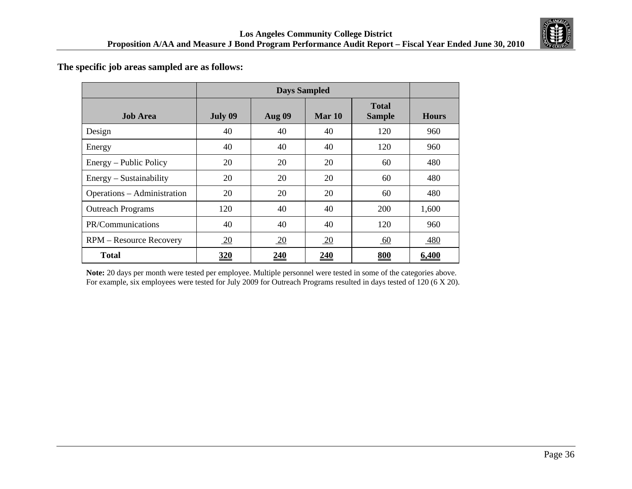

### **The specific job areas sampled are as follows:**

|                                |         | <b>Days Sampled</b> |            |                               |              |  |
|--------------------------------|---------|---------------------|------------|-------------------------------|--------------|--|
| <b>Job Area</b>                | July 09 | <b>Aug 09</b>       | Mar 10     | <b>Total</b><br><b>Sample</b> | <b>Hours</b> |  |
| Design                         | 40      | 40                  | 40         | 120                           | 960          |  |
| Energy                         | 40      | 40                  | 40         | 120                           | 960          |  |
| Energy – Public Policy         | 20      | 20                  | 20         | 60                            | 480          |  |
| Energy – Sustainability        | 20      | 20                  | 20         | 60                            | 480          |  |
| Operations – Administration    | 20      | 20                  | 20         | 60                            | 480          |  |
| <b>Outreach Programs</b>       | 120     | 40                  | 40         | 200                           | 1,600        |  |
| PR/Communications              | 40      | 40                  | 40         | 120                           | 960          |  |
| <b>RPM</b> – Resource Recovery | 20      | 20                  | 20         | 60                            | 480          |  |
| <b>Total</b>                   | 320     | <u>240</u>          | <u>240</u> | 800                           | 6,400        |  |

**Note:** 20 days per month were tested per employee. Multiple personnel were tested in some of the categories above. For example, six employees were tested for July 2009 for Outreach Programs resulted in days tested of 120 (6 X 20).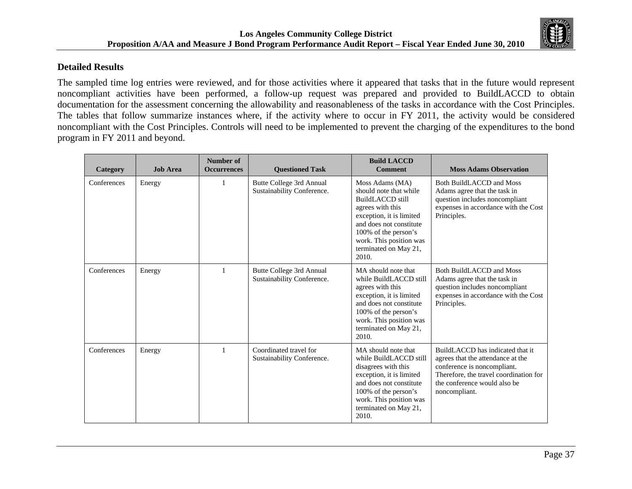

### **Detailed Results**

The sampled time log entries were reviewed, and for those activities where it appeared that tasks that in the future would represent noncompliant activities have been performed, a follow-up request was prepared and provided to BuildLACCD to obtain documentation for the assessment concerning the allowability and reasonableness of the tasks in accordance with the Cost Principles. The tables that follow summarize instances where, if the activity where to occur in FY 2011, the activity would be considered noncompliant with the Cost Principles. Controls will need to be implemented to prevent the charging of the expenditures to the bond program in FY 2011 and beyond.

| Category    | <b>Job Area</b> | Number of<br><b>Occurrences</b> | <b>Ouestioned Task</b>                                 | <b>Build LACCD</b><br><b>Comment</b>                                                                                                                                                                                                 | <b>Moss Adams Observation</b>                                                                                                                                                                   |
|-------------|-----------------|---------------------------------|--------------------------------------------------------|--------------------------------------------------------------------------------------------------------------------------------------------------------------------------------------------------------------------------------------|-------------------------------------------------------------------------------------------------------------------------------------------------------------------------------------------------|
| Conferences | Energy          | 1                               | Butte College 3rd Annual<br>Sustainability Conference. | Moss Adams (MA)<br>should note that while<br><b>BuildLACCD</b> still<br>agrees with this<br>exception, it is limited<br>and does not constitute<br>100% of the person's<br>work. This position was<br>terminated on May 21,<br>2010. | <b>Both BuildLACCD and Moss</b><br>Adams agree that the task in<br>question includes noncompliant<br>expenses in accordance with the Cost<br>Principles.                                        |
| Conferences | Energy          | $\mathbf{1}$                    | Butte College 3rd Annual<br>Sustainability Conference. | MA should note that<br>while BuildLACCD still<br>agrees with this<br>exception, it is limited<br>and does not constitute<br>100% of the person's<br>work. This position was<br>terminated on May 21,<br>2010.                        | Both BuildLACCD and Moss<br>Adams agree that the task in<br>question includes noncompliant<br>expenses in accordance with the Cost<br>Principles.                                               |
| Conferences | Energy          | $\mathbf{1}$                    | Coordinated travel for<br>Sustainability Conference.   | MA should note that<br>while BuildLACCD still<br>disagrees with this<br>exception, it is limited<br>and does not constitute<br>100% of the person's<br>work. This position was<br>terminated on May 21,<br>2010.                     | BuildLACCD has indicated that it<br>agrees that the attendance at the<br>conference is noncompliant.<br>Therefore, the travel coordination for<br>the conference would also be<br>noncompliant. |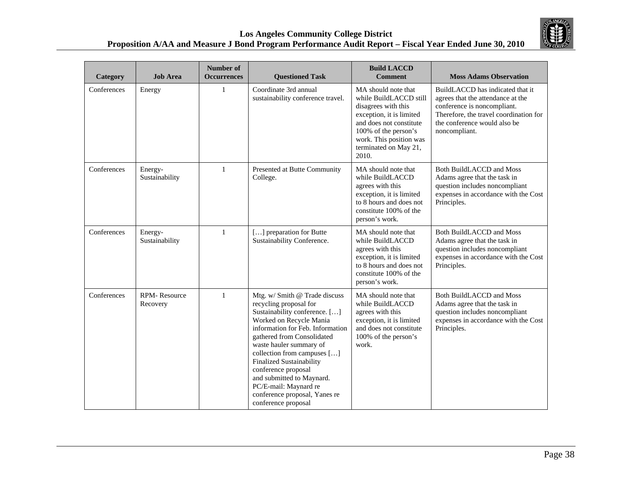

| Category    | <b>Job Area</b>                 | <b>Number of</b><br><b>Occurrences</b> | <b>Questioned Task</b>                                                                                                                                                                                                                                                                                                                                                                                                  | <b>Build LACCD</b><br><b>Comment</b>                                                                                                                                                                             | <b>Moss Adams Observation</b>                                                                                                                                                                   |
|-------------|---------------------------------|----------------------------------------|-------------------------------------------------------------------------------------------------------------------------------------------------------------------------------------------------------------------------------------------------------------------------------------------------------------------------------------------------------------------------------------------------------------------------|------------------------------------------------------------------------------------------------------------------------------------------------------------------------------------------------------------------|-------------------------------------------------------------------------------------------------------------------------------------------------------------------------------------------------|
| Conferences | Energy                          | $\mathbf{1}$                           | Coordinate 3rd annual<br>sustainability conference travel.                                                                                                                                                                                                                                                                                                                                                              | MA should note that<br>while BuildLACCD still<br>disagrees with this<br>exception, it is limited<br>and does not constitute<br>100% of the person's<br>work. This position was<br>terminated on May 21,<br>2010. | BuildLACCD has indicated that it<br>agrees that the attendance at the<br>conference is noncompliant.<br>Therefore, the travel coordination for<br>the conference would also be<br>noncompliant. |
| Conferences | Energy-<br>Sustainability       | $\mathbf{1}$                           | Presented at Butte Community<br>College.                                                                                                                                                                                                                                                                                                                                                                                | MA should note that<br>while BuildLACCD<br>agrees with this<br>exception, it is limited<br>to 8 hours and does not<br>constitute 100% of the<br>person's work.                                                   | <b>Both BuildLACCD and Moss</b><br>Adams agree that the task in<br>question includes noncompliant<br>expenses in accordance with the Cost<br>Principles.                                        |
| Conferences | Energy-<br>Sustainability       | $\mathbf{1}$                           | [] preparation for Butte<br>Sustainability Conference.                                                                                                                                                                                                                                                                                                                                                                  | MA should note that<br>while BuildLACCD<br>agrees with this<br>exception, it is limited<br>to 8 hours and does not<br>constitute 100% of the<br>person's work.                                                   | <b>Both BuildLACCD and Moss</b><br>Adams agree that the task in<br>question includes noncompliant<br>expenses in accordance with the Cost<br>Principles.                                        |
| Conferences | <b>RPM-Resource</b><br>Recovery | $\mathbf{1}$                           | Mtg. w/ Smith @ Trade discuss<br>recycling proposal for<br>Sustainability conference. []<br>Worked on Recycle Mania<br>information for Feb. Information<br>gathered from Consolidated<br>waste hauler summary of<br>collection from campuses []<br><b>Finalized Sustainability</b><br>conference proposal<br>and submitted to Maynard.<br>PC/E-mail: Maynard re<br>conference proposal, Yanes re<br>conference proposal | MA should note that<br>while BuildLACCD<br>agrees with this<br>exception, it is limited<br>and does not constitute<br>100% of the person's<br>work.                                                              | <b>Both BuildLACCD and Moss</b><br>Adams agree that the task in<br>question includes noncompliant<br>expenses in accordance with the Cost<br>Principles.                                        |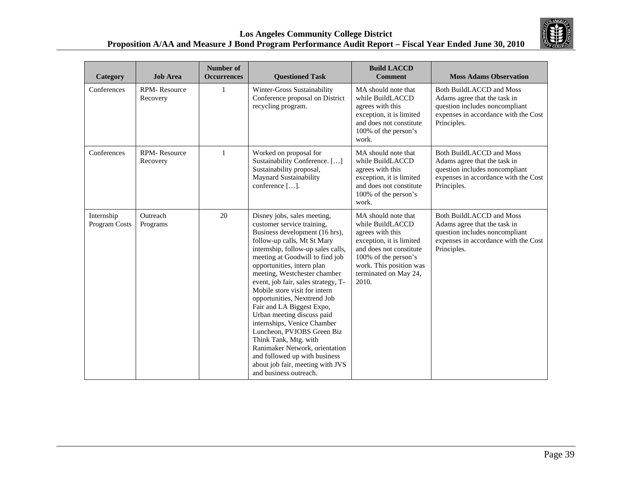

| Category                    | <b>Job Area</b>                 | Number of<br><b>Occurrences</b> | <b>Questioned Task</b>                                                                                                                                                                                                                                                                                                                                                                                                                                                                                                                                                                                                                                      | <b>Build LACCD</b><br><b>Comment</b>                                                                                                                                                                    | <b>Moss Adams Observation</b>                                                                                                                            |
|-----------------------------|---------------------------------|---------------------------------|-------------------------------------------------------------------------------------------------------------------------------------------------------------------------------------------------------------------------------------------------------------------------------------------------------------------------------------------------------------------------------------------------------------------------------------------------------------------------------------------------------------------------------------------------------------------------------------------------------------------------------------------------------------|---------------------------------------------------------------------------------------------------------------------------------------------------------------------------------------------------------|----------------------------------------------------------------------------------------------------------------------------------------------------------|
| Conferences                 | <b>RPM-Resource</b><br>Recovery | $\mathbf{1}$                    | Winter-Gross Sustainability<br>Conference proposal on District<br>recycling program.                                                                                                                                                                                                                                                                                                                                                                                                                                                                                                                                                                        | MA should note that<br>while BuildLACCD<br>agrees with this<br>exception, it is limited<br>and does not constitute<br>100% of the person's<br>work.                                                     | <b>Both BuildLACCD and Moss</b><br>Adams agree that the task in<br>question includes noncompliant<br>expenses in accordance with the Cost<br>Principles. |
| Conferences                 | <b>RPM-Resource</b><br>Recovery | $\mathbf{1}$                    | Worked on proposal for<br>Sustainability Conference. []<br>Sustainability proposal,<br>Maynard Sustainability<br>conference [].                                                                                                                                                                                                                                                                                                                                                                                                                                                                                                                             | MA should note that<br>while BuildLACCD<br>agrees with this<br>exception, it is limited<br>and does not constitute<br>100% of the person's<br>work.                                                     | <b>Both BuildLACCD and Moss</b><br>Adams agree that the task in<br>question includes noncompliant<br>expenses in accordance with the Cost<br>Principles. |
| Internship<br>Program Costs | Outreach<br>Programs            | 20                              | Disney jobs, sales meeting,<br>customer service training,<br>Business development (16 hrs),<br>follow-up calls, Mt St Mary<br>internship, follow-up sales calls,<br>meeting at Goodwill to find job<br>opportunities, intern plan<br>meeting, Westchester chamber<br>event, job fair, sales strategy, T-<br>Mobile store visit for intern<br>opportunities, Nexttrend Job<br>Fair and LA Biggest Expo,<br>Urban meeting discuss paid<br>internships, Venice Chamber<br>Luncheon, PVJOBS Green Biz<br>Think Tank, Mtg. with<br>Ranimaker Network, orientation<br>and followed up with business<br>about job fair, meeting with JVS<br>and business outreach. | MA should note that<br>while BuildLACCD<br>agrees with this<br>exception, it is limited<br>and does not constitute<br>100% of the person's<br>work. This position was<br>terminated on May 24,<br>2010. | <b>Both BuildLACCD and Moss</b><br>Adams agree that the task in<br>question includes noncompliant<br>expenses in accordance with the Cost<br>Principles. |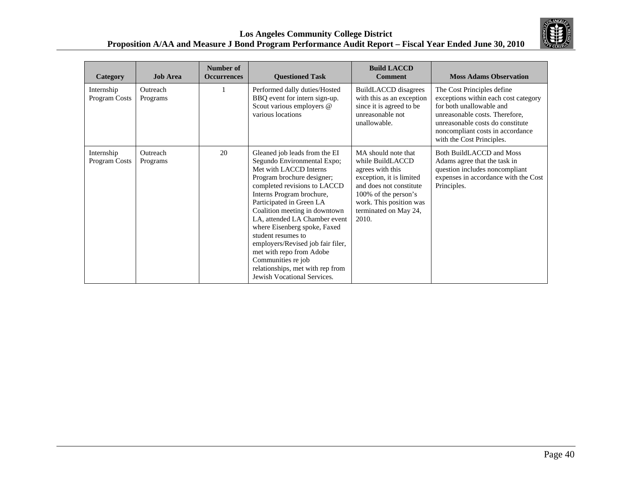

| Category                    | <b>Job Area</b>      | Number of<br><b>Occurrences</b> | <b>Questioned Task</b>                                                                                                                                                                                                                                                                                                                                                                                                                                                                          | <b>Build LACCD</b><br><b>Comment</b>                                                                                                                                                                    | <b>Moss Adams Observation</b>                                                                                                                                                                                                         |
|-----------------------------|----------------------|---------------------------------|-------------------------------------------------------------------------------------------------------------------------------------------------------------------------------------------------------------------------------------------------------------------------------------------------------------------------------------------------------------------------------------------------------------------------------------------------------------------------------------------------|---------------------------------------------------------------------------------------------------------------------------------------------------------------------------------------------------------|---------------------------------------------------------------------------------------------------------------------------------------------------------------------------------------------------------------------------------------|
| Internship<br>Program Costs | Outreach<br>Programs |                                 | Performed dally duties/Hosted<br>BBQ event for intern sign-up.<br>Scout various employers @<br>various locations                                                                                                                                                                                                                                                                                                                                                                                | BuildLACCD disagrees<br>with this as an exception<br>since it is agreed to be<br>unreasonable not<br>unallowable.                                                                                       | The Cost Principles define<br>exceptions within each cost category<br>for both unallowable and<br>unreasonable costs. Therefore,<br>unreasonable costs do constitute<br>noncompliant costs in accordance<br>with the Cost Principles. |
| Internship<br>Program Costs | Outreach<br>Programs | 20                              | Gleaned job leads from the EI<br>Segundo Environmental Expo;<br>Met with LACCD Interns<br>Program brochure designer;<br>completed revisions to LACCD<br>Interns Program brochure,<br>Participated in Green LA<br>Coalition meeting in downtown<br>LA, attended LA Chamber event<br>where Eisenberg spoke, Faxed<br>student resumes to<br>employers/Revised job fair filer,<br>met with repo from Adobe<br>Communities re job<br>relationships, met with rep from<br>Jewish Vocational Services. | MA should note that<br>while BuildLACCD<br>agrees with this<br>exception, it is limited<br>and does not constitute<br>100% of the person's<br>work. This position was<br>terminated on May 24,<br>2010. | Both BuildLACCD and Moss<br>Adams agree that the task in<br>question includes noncompliant<br>expenses in accordance with the Cost<br>Principles.                                                                                     |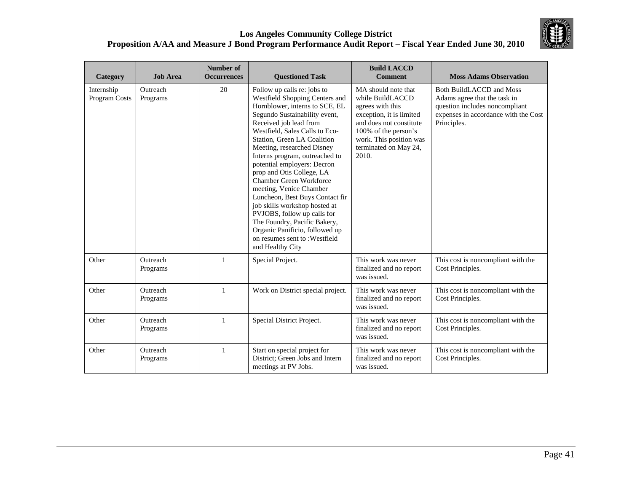

| Category                    | <b>Job Area</b>      | Number of<br><b>Occurrences</b> | <b>Questioned Task</b>                                                                                                                                                                                                                                                                                                                                                                                                                                                                                                                                                                                                                          | <b>Build LACCD</b><br><b>Comment</b>                                                                                                                                                                    | <b>Moss Adams Observation</b>                                                                                                                            |
|-----------------------------|----------------------|---------------------------------|-------------------------------------------------------------------------------------------------------------------------------------------------------------------------------------------------------------------------------------------------------------------------------------------------------------------------------------------------------------------------------------------------------------------------------------------------------------------------------------------------------------------------------------------------------------------------------------------------------------------------------------------------|---------------------------------------------------------------------------------------------------------------------------------------------------------------------------------------------------------|----------------------------------------------------------------------------------------------------------------------------------------------------------|
| Internship<br>Program Costs | Outreach<br>Programs | 20                              | Follow up calls re: jobs to<br>Westfield Shopping Centers and<br>Hornblower, interns to SCE, EL<br>Segundo Sustainability event,<br>Received job lead from<br>Westfield, Sales Calls to Eco-<br>Station, Green LA Coalition<br>Meeting, researched Disney<br>Interns program, outreached to<br>potential employers: Decron<br>prop and Otis College, LA<br><b>Chamber Green Workforce</b><br>meeting, Venice Chamber<br>Luncheon, Best Buys Contact fir<br>job skills workshop hosted at<br>PVJOBS, follow up calls for<br>The Foundry, Pacific Bakery,<br>Organic Panificio, followed up<br>on resumes sent to : Westfield<br>and Healthy City | MA should note that<br>while BuildLACCD<br>agrees with this<br>exception, it is limited<br>and does not constitute<br>100% of the person's<br>work. This position was<br>terminated on May 24,<br>2010. | <b>Both BuildLACCD and Moss</b><br>Adams agree that the task in<br>question includes noncompliant<br>expenses in accordance with the Cost<br>Principles. |
| Other                       | Outreach<br>Programs | $\mathbf{1}$                    | Special Project.                                                                                                                                                                                                                                                                                                                                                                                                                                                                                                                                                                                                                                | This work was never<br>finalized and no report<br>was issued.                                                                                                                                           | This cost is noncompliant with the<br>Cost Principles.                                                                                                   |
| Other                       | Outreach<br>Programs | $\mathbf{1}$                    | Work on District special project.                                                                                                                                                                                                                                                                                                                                                                                                                                                                                                                                                                                                               | This work was never<br>finalized and no report<br>was issued.                                                                                                                                           | This cost is noncompliant with the<br>Cost Principles.                                                                                                   |
| Other                       | Outreach<br>Programs | $\mathbf{1}$                    | Special District Project.                                                                                                                                                                                                                                                                                                                                                                                                                                                                                                                                                                                                                       | This work was never<br>finalized and no report<br>was issued.                                                                                                                                           | This cost is noncompliant with the<br>Cost Principles.                                                                                                   |
| Other                       | Outreach<br>Programs | $\mathbf{1}$                    | Start on special project for<br>District; Green Jobs and Intern<br>meetings at PV Jobs.                                                                                                                                                                                                                                                                                                                                                                                                                                                                                                                                                         | This work was never<br>finalized and no report<br>was issued.                                                                                                                                           | This cost is noncompliant with the<br>Cost Principles.                                                                                                   |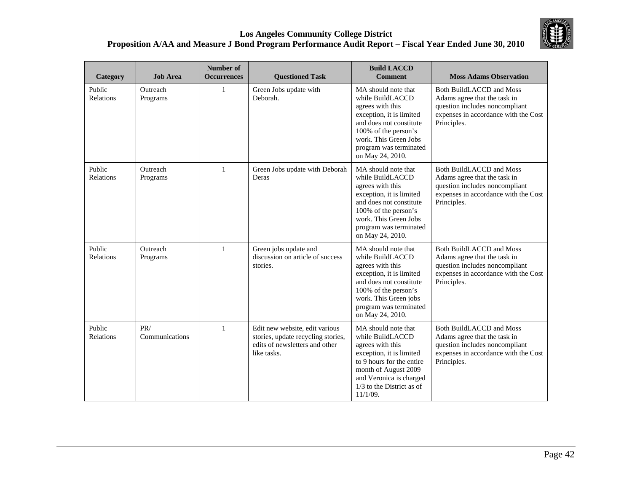

| Category            | <b>Job Area</b>       | Number of<br><b>Occurrences</b> | <b>Questioned Task</b>                                                                                                | <b>Build LACCD</b><br><b>Comment</b>                                                                                                                                                                                | <b>Moss Adams Observation</b>                                                                                                                            |
|---------------------|-----------------------|---------------------------------|-----------------------------------------------------------------------------------------------------------------------|---------------------------------------------------------------------------------------------------------------------------------------------------------------------------------------------------------------------|----------------------------------------------------------------------------------------------------------------------------------------------------------|
| Public<br>Relations | Outreach<br>Programs  | 1                               | Green Jobs update with<br>Deborah.                                                                                    | MA should note that<br>while BuildLACCD<br>agrees with this<br>exception, it is limited<br>and does not constitute<br>100% of the person's<br>work. This Green Jobs<br>program was terminated<br>on May 24, 2010.   | Both BuildLACCD and Moss<br>Adams agree that the task in<br>question includes noncompliant<br>expenses in accordance with the Cost<br>Principles.        |
| Public<br>Relations | Outreach<br>Programs  | 1                               | Green Jobs update with Deborah<br>Deras                                                                               | MA should note that<br>while BuildLACCD<br>agrees with this<br>exception, it is limited<br>and does not constitute<br>100% of the person's<br>work. This Green Jobs<br>program was terminated<br>on May 24, 2010.   | <b>Both BuildLACCD and Moss</b><br>Adams agree that the task in<br>question includes noncompliant<br>expenses in accordance with the Cost<br>Principles. |
| Public<br>Relations | Outreach<br>Programs  | 1                               | Green jobs update and<br>discussion on article of success<br>stories.                                                 | MA should note that<br>while BuildLACCD<br>agrees with this<br>exception, it is limited<br>and does not constitute<br>100% of the person's<br>work. This Green jobs<br>program was terminated<br>on May 24, 2010.   | <b>Both BuildLACCD and Moss</b><br>Adams agree that the task in<br>question includes noncompliant<br>expenses in accordance with the Cost<br>Principles. |
| Public<br>Relations | PR/<br>Communications | $\mathbf{1}$                    | Edit new website, edit various<br>stories, update recycling stories,<br>edits of newsletters and other<br>like tasks. | MA should note that<br>while BuildLACCD<br>agrees with this<br>exception, it is limited<br>to 9 hours for the entire<br>month of August 2009<br>and Veronica is charged<br>1/3 to the District as of<br>$11/1/09$ . | <b>Both BuildLACCD and Moss</b><br>Adams agree that the task in<br>question includes noncompliant<br>expenses in accordance with the Cost<br>Principles. |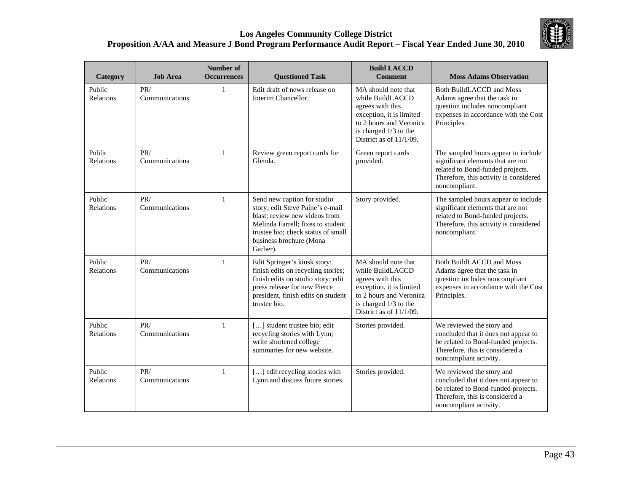

| Category                   | <b>Job Area</b>       | Number of<br><b>Occurrences</b> | <b>Questioned Task</b>                                                                                                                                                                                             | <b>Build LACCD</b><br><b>Comment</b>                                                                                                                                      | <b>Moss Adams Observation</b>                                                                                                                                           |
|----------------------------|-----------------------|---------------------------------|--------------------------------------------------------------------------------------------------------------------------------------------------------------------------------------------------------------------|---------------------------------------------------------------------------------------------------------------------------------------------------------------------------|-------------------------------------------------------------------------------------------------------------------------------------------------------------------------|
| Public<br><b>Relations</b> | PR/<br>Communications | $\mathbf{1}$                    | Edit draft of news release on<br>Interim Chancellor.                                                                                                                                                               | MA should note that<br>while BuildLACCD<br>agrees with this<br>exception, it is limited<br>to 2 hours and Veronica<br>is charged 1/3 to the<br>District as of 11/1/09.    | <b>Both BuildLACCD and Moss</b><br>Adams agree that the task in<br>question includes noncompliant<br>expenses in accordance with the Cost<br>Principles.                |
| Public<br>Relations        | PR/<br>Communications | $\mathbf{1}$                    | Review green report cards for<br>Glenda.                                                                                                                                                                           | Green report cards<br>provided.                                                                                                                                           | The sampled hours appear to include<br>significant elements that are not<br>related to Bond-funded projects.<br>Therefore, this activity is considered<br>noncompliant. |
| Public<br>Relations        | PR/<br>Communications | 1                               | Send new caption for studio<br>story; edit Steve Paine's e-mail<br>blast; review new videos from<br>Melinda Farrell: fixes to student<br>trustee bio; check status of small<br>business brochure (Mona<br>Garber). | Story provided.                                                                                                                                                           | The sampled hours appear to include<br>significant elements that are not<br>related to Bond-funded projects.<br>Therefore, this activity is considered<br>noncompliant. |
| Public<br>Relations        | PR/<br>Communications | $\mathbf{1}$                    | Edit Springer's kiosk story;<br>finish edits on recycling stories;<br>finish edits on studio story; edit<br>press release for new Pierce<br>president, finish edits on student<br>trustee bio.                     | MA should note that<br>while BuildLACCD<br>agrees with this<br>exception, it is limited<br>to 2 hours and Veronica<br>is charged 1/3 to the<br>District as of $11/1/09$ . | <b>Both BuildLACCD and Moss</b><br>Adams agree that the task in<br>question includes noncompliant<br>expenses in accordance with the Cost<br>Principles.                |
| Public<br>Relations        | PR/<br>Communications | 1                               | [] student trustee bio; edit<br>recycling stories with Lynn;<br>write shortened college<br>summaries for new website.                                                                                              | Stories provided.                                                                                                                                                         | We reviewed the story and<br>concluded that it does not appear to<br>be related to Bond-funded projects.<br>Therefore, this is considered a<br>noncompliant activity.   |
| Public<br>Relations        | PR/<br>Communications | 1                               | [] edit recycling stories with<br>Lynn and discuss future stories.                                                                                                                                                 | Stories provided.                                                                                                                                                         | We reviewed the story and<br>concluded that it does not appear to<br>be related to Bond-funded projects.<br>Therefore, this is considered a<br>noncompliant activity.   |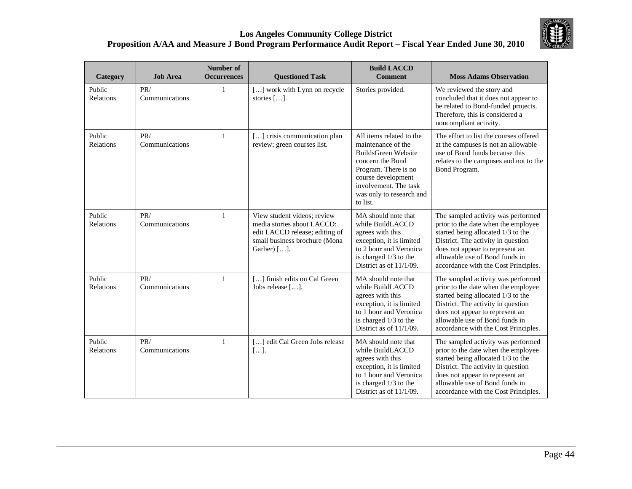

| Category                   | <b>Job Area</b>       | <b>Number of</b><br><b>Occurrences</b> | <b>Questioned Task</b>                                                                                                                      | <b>Build LACCD</b><br><b>Comment</b>                                                                                                                                                                     | <b>Moss Adams Observation</b>                                                                                                                                                                                                                                      |
|----------------------------|-----------------------|----------------------------------------|---------------------------------------------------------------------------------------------------------------------------------------------|----------------------------------------------------------------------------------------------------------------------------------------------------------------------------------------------------------|--------------------------------------------------------------------------------------------------------------------------------------------------------------------------------------------------------------------------------------------------------------------|
| Public<br><b>Relations</b> | PR/<br>Communications | 1                                      | [] work with Lynn on recycle<br>stories [].                                                                                                 | Stories provided.                                                                                                                                                                                        | We reviewed the story and<br>concluded that it does not appear to<br>be related to Bond-funded projects.<br>Therefore, this is considered a<br>noncompliant activity.                                                                                              |
| Public<br>Relations        | PR/<br>Communications | $\mathbf{1}$                           | [] crisis communication plan<br>review; green courses list.                                                                                 | All items related to the<br>maintenance of the<br>BuildsGreen Website<br>concern the Bond<br>Program. There is no<br>course development<br>involvement. The task<br>was only to research and<br>to list. | The effort to list the courses offered<br>at the campuses is not an allowable<br>use of Bond funds because this<br>relates to the campuses and not to the<br>Bond Program.                                                                                         |
| Public<br>Relations        | PR/<br>Communications | $\mathbf{1}$                           | View student videos; review<br>media stories about LACCD:<br>edit LACCD release; editing of<br>small business brochure (Mona<br>Garber) []. | MA should note that<br>while BuildLACCD<br>agrees with this<br>exception, it is limited<br>to 2 hour and Veronica<br>is charged 1/3 to the<br>District as of $11/1/09$ .                                 | The sampled activity was performed<br>prior to the date when the employee<br>started being allocated 1/3 to the<br>District. The activity in question<br>does not appear to represent an<br>allowable use of Bond funds in<br>accordance with the Cost Principles. |
| Public<br>Relations        | PR/<br>Communications | $\mathbf{1}$                           | [] finish edits on Cal Green<br>Jobs release [].                                                                                            | MA should note that<br>while BuildLACCD<br>agrees with this<br>exception, it is limited<br>to 1 hour and Veronica<br>is charged 1/3 to the<br>District as of 11/1/09.                                    | The sampled activity was performed<br>prior to the date when the employee<br>started being allocated 1/3 to the<br>District. The activity in question<br>does not appear to represent an<br>allowable use of Bond funds in<br>accordance with the Cost Principles. |
| Public<br>Relations        | PR/<br>Communications | $\mathbf{1}$                           | [] edit Cal Green Jobs release<br>[]                                                                                                        | MA should note that<br>while BuildLACCD<br>agrees with this<br>exception, it is limited<br>to 1 hour and Veronica<br>is charged 1/3 to the<br>District as of $11/1/09$ .                                 | The sampled activity was performed<br>prior to the date when the employee<br>started being allocated 1/3 to the<br>District. The activity in question<br>does not appear to represent an<br>allowable use of Bond funds in<br>accordance with the Cost Principles. |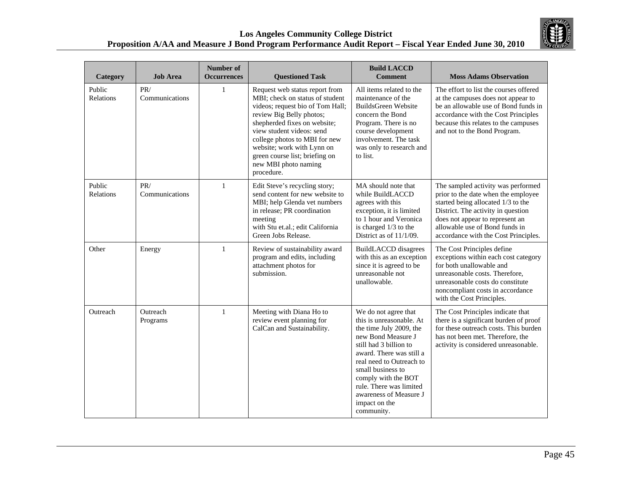

| <b>Category</b>     | <b>Job Area</b>       | <b>Number of</b><br><b>Occurrences</b> | <b>Questioned Task</b>                                                                                                                                                                                                                                                                                                                | <b>Build LACCD</b><br><b>Comment</b>                                                                                                                                                                                                                                                                                | <b>Moss Adams Observation</b>                                                                                                                                                                                                                                      |
|---------------------|-----------------------|----------------------------------------|---------------------------------------------------------------------------------------------------------------------------------------------------------------------------------------------------------------------------------------------------------------------------------------------------------------------------------------|---------------------------------------------------------------------------------------------------------------------------------------------------------------------------------------------------------------------------------------------------------------------------------------------------------------------|--------------------------------------------------------------------------------------------------------------------------------------------------------------------------------------------------------------------------------------------------------------------|
| Public<br>Relations | PR/<br>Communications | 1                                      | Request web status report from<br>MBI; check on status of student<br>videos; request bio of Tom Hall;<br>review Big Belly photos;<br>shepherded fixes on website;<br>view student videos: send<br>college photos to MBI for new<br>website; work with Lynn on<br>green course list; briefing on<br>new MBI photo naming<br>procedure. | All items related to the<br>maintenance of the<br>BuildsGreen Website<br>concern the Bond<br>Program. There is no<br>course development<br>involvement. The task<br>was only to research and<br>to list.                                                                                                            | The effort to list the courses offered<br>at the campuses does not appear to<br>be an allowable use of Bond funds in<br>accordance with the Cost Principles<br>because this relates to the campuses<br>and not to the Bond Program.                                |
| Public<br>Relations | PR/<br>Communications | $\mathbf{1}$                           | Edit Steve's recycling story;<br>send content for new website to<br>MBI; help Glenda vet numbers<br>in release; PR coordination<br>meeting<br>with Stu et.al.; edit California<br>Green Jobs Release.                                                                                                                                 | MA should note that<br>while BuildLACCD<br>agrees with this<br>exception, it is limited<br>to 1 hour and Veronica<br>is charged 1/3 to the<br>District as of 11/1/09.                                                                                                                                               | The sampled activity was performed<br>prior to the date when the employee<br>started being allocated 1/3 to the<br>District. The activity in question<br>does not appear to represent an<br>allowable use of Bond funds in<br>accordance with the Cost Principles. |
| Other               | Energy                | 1                                      | Review of sustainability award<br>program and edits, including<br>attachment photos for<br>submission.                                                                                                                                                                                                                                | <b>BuildLACCD</b> disagrees<br>with this as an exception<br>since it is agreed to be<br>unreasonable not<br>unallowable.                                                                                                                                                                                            | The Cost Principles define<br>exceptions within each cost category<br>for both unallowable and<br>unreasonable costs. Therefore,<br>unreasonable costs do constitute<br>noncompliant costs in accordance<br>with the Cost Principles.                              |
| Outreach            | Outreach<br>Programs  | $\mathbf{1}$                           | Meeting with Diana Ho to<br>review event planning for<br>CalCan and Sustainability.                                                                                                                                                                                                                                                   | We do not agree that<br>this is unreasonable. At<br>the time July 2009, the<br>new Bond Measure J<br>still had 3 billion to<br>award. There was still a<br>real need to Outreach to<br>small business to<br>comply with the BOT<br>rule. There was limited<br>awareness of Measure J<br>impact on the<br>community. | The Cost Principles indicate that<br>there is a significant burden of proof<br>for these outreach costs. This burden<br>has not been met. Therefore, the<br>activity is considered unreasonable.                                                                   |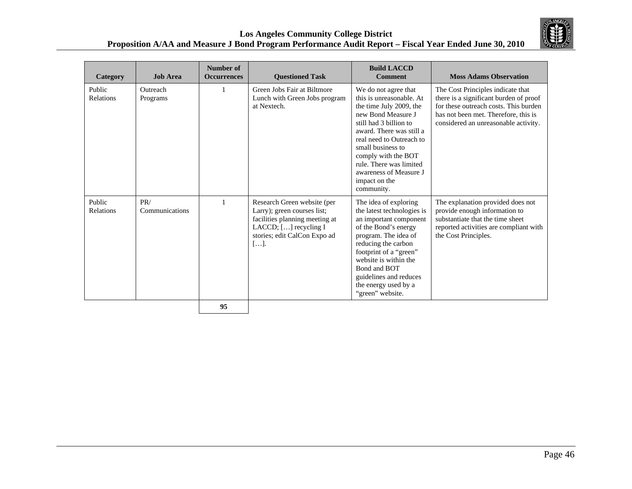

| Category            | <b>Job Area</b>       | Number of<br><b>Occurrences</b> | <b>Questioned Task</b>                                                                                                                                                           | <b>Build LACCD</b><br><b>Comment</b>                                                                                                                                                                                                                                                                                | <b>Moss Adams Observation</b>                                                                                                                                                                        |
|---------------------|-----------------------|---------------------------------|----------------------------------------------------------------------------------------------------------------------------------------------------------------------------------|---------------------------------------------------------------------------------------------------------------------------------------------------------------------------------------------------------------------------------------------------------------------------------------------------------------------|------------------------------------------------------------------------------------------------------------------------------------------------------------------------------------------------------|
| Public<br>Relations | Outreach<br>Programs  |                                 | Green Jobs Fair at Biltmore<br>Lunch with Green Jobs program<br>at Nextech.                                                                                                      | We do not agree that<br>this is unreasonable. At<br>the time July 2009, the<br>new Bond Measure J<br>still had 3 billion to<br>award. There was still a<br>real need to Outreach to<br>small business to<br>comply with the BOT<br>rule. There was limited<br>awareness of Measure J<br>impact on the<br>community. | The Cost Principles indicate that<br>there is a significant burden of proof<br>for these outreach costs. This burden<br>has not been met. Therefore, this is<br>considered an unreasonable activity. |
| Public<br>Relations | PR/<br>Communications |                                 | Research Green website (per<br>Larry); green courses list;<br>facilities planning meeting at<br>LACCD; [] recycling I<br>stories; edit CalCon Expo ad<br>$\lceil \dots \rceil$ . | The idea of exploring<br>the latest technologies is<br>an important component<br>of the Bond's energy<br>program. The idea of<br>reducing the carbon<br>footprint of a "green"<br>website is within the<br>Bond and BOT<br>guidelines and reduces<br>the energy used by a<br>"green" website.                       | The explanation provided does not<br>provide enough information to<br>substantiate that the time sheet<br>reported activities are compliant with<br>the Cost Principles.                             |
|                     |                       | 95                              |                                                                                                                                                                                  |                                                                                                                                                                                                                                                                                                                     |                                                                                                                                                                                                      |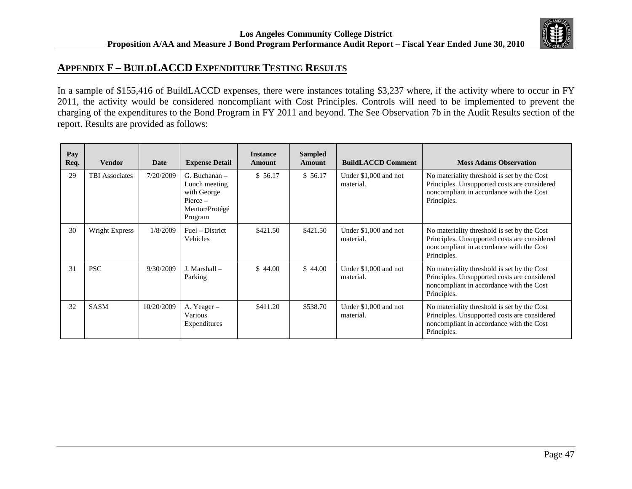

## **APPENDIX F – BUILDLACCD EXPENDITURE TESTING RESULTS**

In a sample of \$155,416 of BuildLACCD expenses, there were instances totaling \$3,237 where, if the activity where to occur in FY 2011, the activity would be considered noncompliant with Cost Principles. Controls will need to be implemented to prevent the charging of the expenditures to the Bond Program in FY 2011 and beyond. The See Observation 7b in the Audit Results section of the report. Results are provided as follows:

| Pay<br>Req. | <b>Vendor</b>         | Date       | <b>Expense Detail</b>                                                                     | <b>Instance</b><br>Amount | <b>Sampled</b><br><b>Amount</b> | <b>BuildLACCD Comment</b>          | <b>Moss Adams Observation</b>                                                                                                                          |
|-------------|-----------------------|------------|-------------------------------------------------------------------------------------------|---------------------------|---------------------------------|------------------------------------|--------------------------------------------------------------------------------------------------------------------------------------------------------|
| 29          | <b>TBI</b> Associates | 7/20/2009  | $G.$ Buchanan $-$<br>Lunch meeting<br>with George<br>Pierce-<br>Mentor/Protégé<br>Program | \$56.17                   | \$56.17                         | Under \$1,000 and not<br>material. | No materiality threshold is set by the Cost<br>Principles. Unsupported costs are considered<br>noncompliant in accordance with the Cost<br>Principles. |
| 30          | Wright Express        | 1/8/2009   | Fuel – District<br><b>Vehicles</b>                                                        | \$421.50                  | \$421.50                        | Under \$1,000 and not<br>material. | No materiality threshold is set by the Cost<br>Principles. Unsupported costs are considered<br>noncompliant in accordance with the Cost<br>Principles. |
| 31          | <b>PSC</b>            | 9/30/2009  | $J.$ Marshall $-$<br>Parking                                                              | \$44.00                   | \$44.00                         | Under \$1,000 and not<br>material. | No materiality threshold is set by the Cost<br>Principles. Unsupported costs are considered<br>noncompliant in accordance with the Cost<br>Principles. |
| 32          | <b>SASM</b>           | 10/20/2009 | A. Yeager-<br>Various<br>Expenditures                                                     | \$411.20                  | \$538.70                        | Under \$1,000 and not<br>material. | No materiality threshold is set by the Cost<br>Principles. Unsupported costs are considered<br>noncompliant in accordance with the Cost<br>Principles. |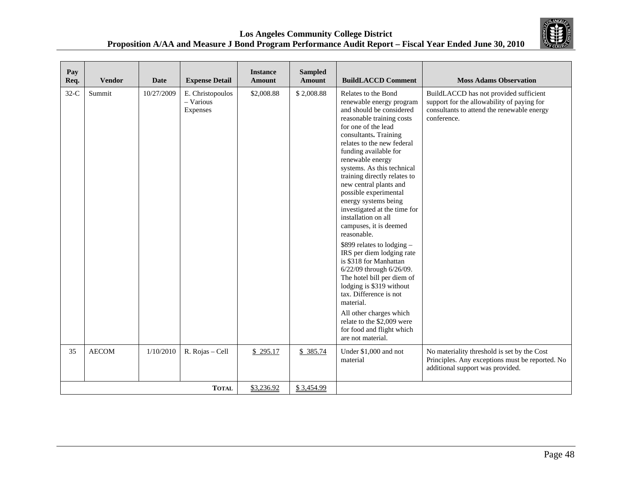

| Pay<br>Req. | <b>Vendor</b> | <b>Date</b> | <b>Expense Detail</b>                     | <b>Instance</b><br><b>Amount</b> | <b>Sampled</b><br><b>Amount</b> | <b>BuildLACCD Comment</b>                                                                                                                                                                                                                                                                                                                                                                                                                                                                                                                                                                                                                                                                                                                                                                                 | <b>Moss Adams Observation</b>                                                                                                                     |
|-------------|---------------|-------------|-------------------------------------------|----------------------------------|---------------------------------|-----------------------------------------------------------------------------------------------------------------------------------------------------------------------------------------------------------------------------------------------------------------------------------------------------------------------------------------------------------------------------------------------------------------------------------------------------------------------------------------------------------------------------------------------------------------------------------------------------------------------------------------------------------------------------------------------------------------------------------------------------------------------------------------------------------|---------------------------------------------------------------------------------------------------------------------------------------------------|
| $32-C$      | Summit        | 10/27/2009  | E. Christopoulos<br>- Various<br>Expenses | \$2,008.88                       | \$2,008.88                      | Relates to the Bond<br>renewable energy program<br>and should be considered<br>reasonable training costs<br>for one of the lead<br>consultants. Training<br>relates to the new federal<br>funding available for<br>renewable energy<br>systems. As this technical<br>training directly relates to<br>new central plants and<br>possible experimental<br>energy systems being<br>investigated at the time for<br>installation on all<br>campuses, it is deemed<br>reasonable.<br>\$899 relates to lodging -<br>IRS per diem lodging rate<br>is \$318 for Manhattan<br>6/22/09 through 6/26/09.<br>The hotel bill per diem of<br>lodging is \$319 without<br>tax. Difference is not<br>material.<br>All other charges which<br>relate to the \$2,009 were<br>for food and flight which<br>are not material. | BuildLACCD has not provided sufficient<br>support for the allowability of paying for<br>consultants to attend the renewable energy<br>conference. |
| 35          | <b>AECOM</b>  | 1/10/2010   | R. Rojas - Cell                           | \$295.17                         | \$385.74                        | Under \$1,000 and not<br>material                                                                                                                                                                                                                                                                                                                                                                                                                                                                                                                                                                                                                                                                                                                                                                         | No materiality threshold is set by the Cost<br>Principles. Any exceptions must be reported. No<br>additional support was provided.                |
|             |               |             | <b>TOTAL</b>                              | \$3,236.92                       | \$3,454.99                      |                                                                                                                                                                                                                                                                                                                                                                                                                                                                                                                                                                                                                                                                                                                                                                                                           |                                                                                                                                                   |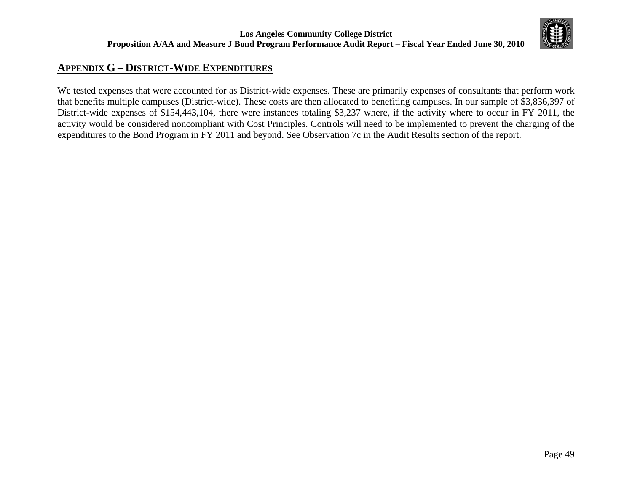

# **APPENDIX G – DISTRICT-WIDE EXPENDITURES**

We tested expenses that were accounted for as District-wide expenses. These are primarily expenses of consultants that perform work that benefits multiple campuses (District-wide). These costs are then allocated to benefiting campuses. In our sample of \$3,836,397 of District-wide expenses of \$154,443,104, there were instances totaling \$3,237 where, if the activity where to occur in FY 2011, the activity would be considered noncompliant with Cost Principles. Controls will need to be implemented to prevent the charging of the expenditures to the Bond Program in FY 2011 and beyond. See Observation 7c in the Audit Results section of the report.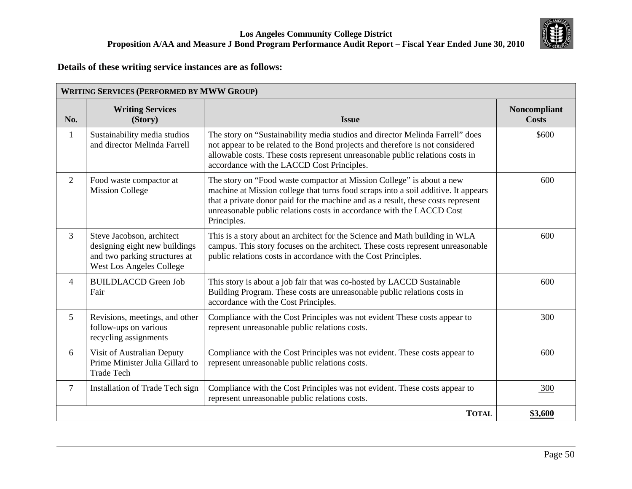

## **Details of these writing service instances are as follows:**

|                | <b>WRITING SERVICES (PERFORMED BY MWW GROUP)</b>                                                                               |                                                                                                                                                                                                                                                                                                                                         |                              |  |  |
|----------------|--------------------------------------------------------------------------------------------------------------------------------|-----------------------------------------------------------------------------------------------------------------------------------------------------------------------------------------------------------------------------------------------------------------------------------------------------------------------------------------|------------------------------|--|--|
| No.            | <b>Writing Services</b><br>(Story)                                                                                             | <b>Issue</b>                                                                                                                                                                                                                                                                                                                            | Noncompliant<br><b>Costs</b> |  |  |
| 1              | Sustainability media studios<br>and director Melinda Farrell                                                                   | The story on "Sustainability media studios and director Melinda Farrell" does<br>not appear to be related to the Bond projects and therefore is not considered<br>allowable costs. These costs represent unreasonable public relations costs in<br>accordance with the LACCD Cost Principles.                                           | \$600                        |  |  |
| 2              | Food waste compactor at<br><b>Mission College</b>                                                                              | The story on "Food waste compactor at Mission College" is about a new<br>machine at Mission college that turns food scraps into a soil additive. It appears<br>that a private donor paid for the machine and as a result, these costs represent<br>unreasonable public relations costs in accordance with the LACCD Cost<br>Principles. | 600                          |  |  |
| $\overline{3}$ | Steve Jacobson, architect<br>designing eight new buildings<br>and two parking structures at<br><b>West Los Angeles College</b> | This is a story about an architect for the Science and Math building in WLA<br>campus. This story focuses on the architect. These costs represent unreasonable<br>public relations costs in accordance with the Cost Principles.                                                                                                        | 600                          |  |  |
| 4              | <b>BUILDLACCD</b> Green Job<br>Fair                                                                                            | This story is about a job fair that was co-hosted by LACCD Sustainable<br>Building Program. These costs are unreasonable public relations costs in<br>accordance with the Cost Principles.                                                                                                                                              | 600                          |  |  |
| 5              | Revisions, meetings, and other<br>follow-ups on various<br>recycling assignments                                               | Compliance with the Cost Principles was not evident These costs appear to<br>represent unreasonable public relations costs.                                                                                                                                                                                                             | 300                          |  |  |
| 6              | Visit of Australian Deputy<br>Prime Minister Julia Gillard to<br><b>Trade Tech</b>                                             | Compliance with the Cost Principles was not evident. These costs appear to<br>represent unreasonable public relations costs.                                                                                                                                                                                                            | 600                          |  |  |
| 7              | Installation of Trade Tech sign                                                                                                | Compliance with the Cost Principles was not evident. These costs appear to<br>represent unreasonable public relations costs.                                                                                                                                                                                                            | 300                          |  |  |
|                |                                                                                                                                | <b>TOTAL</b>                                                                                                                                                                                                                                                                                                                            | \$3,600                      |  |  |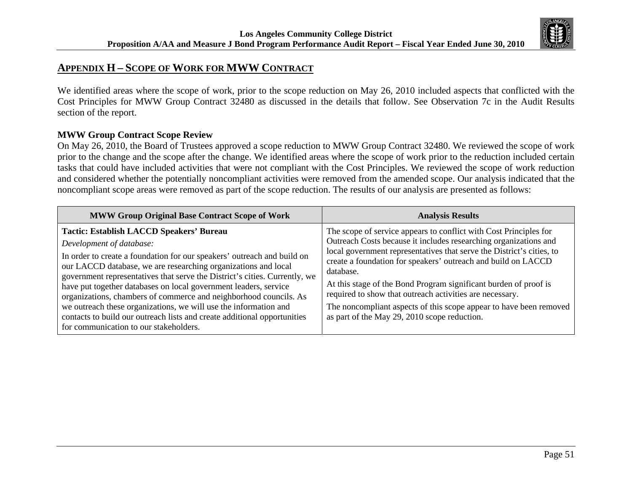

# **APPENDIX H – SCOPE OF WORK FOR MWW CONTRACT**

We identified areas where the scope of work, prior to the scope reduction on May 26, 2010 included aspects that conflicted with the Cost Principles for MWW Group Contract 32480 as discussed in the details that follow. See Observation 7c in the Audit Results section of the report.

### **MWW Group Contract Scope Review**

On May 26, 2010, the Board of Trustees approved a scope reduction to MWW Group Contract 32480. We reviewed the scope of work prior to the change and the scope after the change. We identified areas where the scope of work prior to the reduction included certain tasks that could have included activities that were not compliant with the Cost Principles. We reviewed the scope of work reduction and considered whether the potentially noncompliant activities were removed from the amended scope. Our analysis indicated that the noncompliant scope areas were removed as part of the scope reduction. The results of our analysis are presented as follows:

| <b>MWW Group Original Base Contract Scope of Work</b>                                                                                                                                                                                                                                                                                                                                                                                                                                                                                                                                                                                     | <b>Analysis Results</b>                                                                                                                                                                                                                                                                                                                                                                                                                                                                                                                            |
|-------------------------------------------------------------------------------------------------------------------------------------------------------------------------------------------------------------------------------------------------------------------------------------------------------------------------------------------------------------------------------------------------------------------------------------------------------------------------------------------------------------------------------------------------------------------------------------------------------------------------------------------|----------------------------------------------------------------------------------------------------------------------------------------------------------------------------------------------------------------------------------------------------------------------------------------------------------------------------------------------------------------------------------------------------------------------------------------------------------------------------------------------------------------------------------------------------|
| <b>Tactic: Establish LACCD Speakers' Bureau</b><br>Development of database:<br>In order to create a foundation for our speakers' outreach and build on<br>our LACCD database, we are researching organizations and local<br>government representatives that serve the District's cities. Currently, we<br>have put together databases on local government leaders, service<br>organizations, chambers of commerce and neighborhood councils. As<br>we outreach these organizations, we will use the information and<br>contacts to build our outreach lists and create additional opportunities<br>for communication to our stakeholders. | The scope of service appears to conflict with Cost Principles for<br>Outreach Costs because it includes researching organizations and<br>local government representatives that serve the District's cities, to<br>create a foundation for speakers' outreach and build on LACCD<br>database.<br>At this stage of the Bond Program significant burden of proof is<br>required to show that outreach activities are necessary.<br>The noncompliant aspects of this scope appear to have been removed<br>as part of the May 29, 2010 scope reduction. |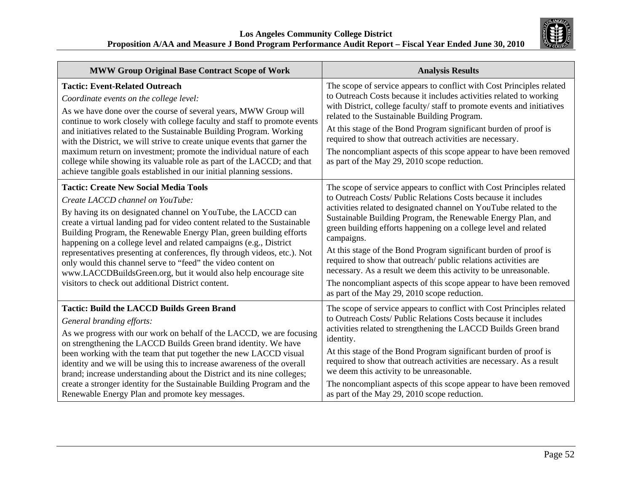

| <b>MWW Group Original Base Contract Scope of Work</b>                                                                                                                                                                                                                                                                                                                                                                                                                                                                                                                                                                                             | <b>Analysis Results</b>                                                                                                                                                                                                                                                                                                                                                                                                                                                                                                                                                                                                                                                                        |
|---------------------------------------------------------------------------------------------------------------------------------------------------------------------------------------------------------------------------------------------------------------------------------------------------------------------------------------------------------------------------------------------------------------------------------------------------------------------------------------------------------------------------------------------------------------------------------------------------------------------------------------------------|------------------------------------------------------------------------------------------------------------------------------------------------------------------------------------------------------------------------------------------------------------------------------------------------------------------------------------------------------------------------------------------------------------------------------------------------------------------------------------------------------------------------------------------------------------------------------------------------------------------------------------------------------------------------------------------------|
| <b>Tactic: Event-Related Outreach</b><br>Coordinate events on the college level:<br>As we have done over the course of several years, MWW Group will<br>continue to work closely with college faculty and staff to promote events<br>and initiatives related to the Sustainable Building Program. Working<br>with the District, we will strive to create unique events that garner the<br>maximum return on investment; promote the individual nature of each<br>college while showing its valuable role as part of the LACCD; and that<br>achieve tangible goals established in our initial planning sessions.                                   | The scope of service appears to conflict with Cost Principles related<br>to Outreach Costs because it includes activities related to working<br>with District, college faculty/staff to promote events and initiatives<br>related to the Sustainable Building Program.<br>At this stage of the Bond Program significant burden of proof is<br>required to show that outreach activities are necessary.<br>The noncompliant aspects of this scope appear to have been removed<br>as part of the May 29, 2010 scope reduction.                                                                                                                                                                   |
| <b>Tactic: Create New Social Media Tools</b><br>Create LACCD channel on YouTube:<br>By having its on designated channel on YouTube, the LACCD can<br>create a virtual landing pad for video content related to the Sustainable<br>Building Program, the Renewable Energy Plan, green building efforts<br>happening on a college level and related campaigns (e.g., District<br>representatives presenting at conferences, fly through videos, etc.). Not<br>only would this channel serve to "feed" the video content on<br>www.LACCDBuildsGreen.org, but it would also help encourage site<br>visitors to check out additional District content. | The scope of service appears to conflict with Cost Principles related<br>to Outreach Costs/ Public Relations Costs because it includes<br>activities related to designated channel on YouTube related to the<br>Sustainable Building Program, the Renewable Energy Plan, and<br>green building efforts happening on a college level and related<br>campaigns.<br>At this stage of the Bond Program significant burden of proof is<br>required to show that outreach/ public relations activities are<br>necessary. As a result we deem this activity to be unreasonable.<br>The noncompliant aspects of this scope appear to have been removed<br>as part of the May 29, 2010 scope reduction. |
| <b>Tactic: Build the LACCD Builds Green Brand</b><br>General branding efforts:<br>As we progress with our work on behalf of the LACCD, we are focusing<br>on strengthening the LACCD Builds Green brand identity. We have<br>been working with the team that put together the new LACCD visual<br>identity and we will be using this to increase awareness of the overall<br>brand; increase understanding about the District and its nine colleges;<br>create a stronger identity for the Sustainable Building Program and the<br>Renewable Energy Plan and promote key messages.                                                                | The scope of service appears to conflict with Cost Principles related<br>to Outreach Costs/ Public Relations Costs because it includes<br>activities related to strengthening the LACCD Builds Green brand<br>identity.<br>At this stage of the Bond Program significant burden of proof is<br>required to show that outreach activities are necessary. As a result<br>we deem this activity to be unreasonable.<br>The noncompliant aspects of this scope appear to have been removed<br>as part of the May 29, 2010 scope reduction.                                                                                                                                                         |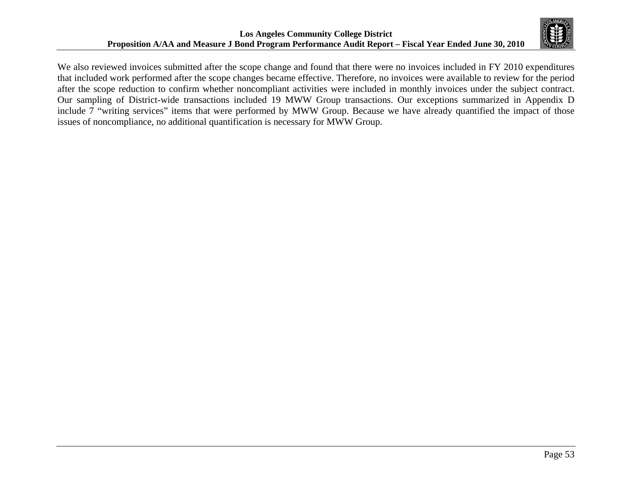

We also reviewed invoices submitted after the scope change and found that there were no invoices included in FY 2010 expenditures that included work performed after the scope changes became effective. Therefore, no invoices were available to review for the period after the scope reduction to confirm whether noncompliant activities were included in monthly invoices under the subject contract. Our sampling of District-wide transactions included 19 MWW Group transactions. Our exceptions summarized in Appendix D include 7 "writing services" items that were performed by MWW Group. Because we have already quantified the impact of those issues of noncompliance, no additional quantification is necessary for MWW Group.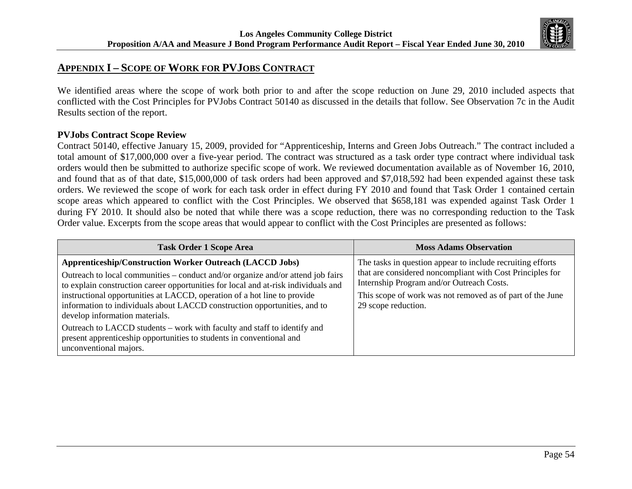

# **APPENDIX I – SCOPE OF WORK FOR PVJOBS CONTRACT**

We identified areas where the scope of work both prior to and after the scope reduction on June 29, 2010 included aspects that conflicted with the Cost Principles for PVJobs Contract 50140 as discussed in the details that follow. See Observation 7c in the Audit Results section of the report.

### **PVJobs Contract Scope Review**

Contract 50140, effective January 15, 2009, provided for "Apprenticeship, Interns and Green Jobs Outreach." The contract included a total amount of \$17,000,000 over a five-year period. The contract was structured as a task order type contract where individual task orders would then be submitted to authorize specific scope of work. We reviewed documentation available as of November 16, 2010, and found that as of that date, \$15,000,000 of task orders had been approved and \$7,018,592 had been expended against these task orders. We reviewed the scope of work for each task order in effect during FY 2010 and found that Task Order 1 contained certain scope areas which appeared to conflict with the Cost Principles. We observed that \$658,181 was expended against Task Order 1 during FY 2010. It should also be noted that while there was a scope reduction, there was no corresponding reduction to the Task Order value. Excerpts from the scope areas that would appear to conflict with the Cost Principles are presented as follows:

| <b>Task Order 1 Scope Area</b>                                                                                                                                                                                                                                                                                                                                                                                                                                                                                                                                                                                    | <b>Moss Adams Observation</b>                                                                                                                                                                                                                            |
|-------------------------------------------------------------------------------------------------------------------------------------------------------------------------------------------------------------------------------------------------------------------------------------------------------------------------------------------------------------------------------------------------------------------------------------------------------------------------------------------------------------------------------------------------------------------------------------------------------------------|----------------------------------------------------------------------------------------------------------------------------------------------------------------------------------------------------------------------------------------------------------|
| <b>Apprenticeship/Construction Worker Outreach (LACCD Jobs)</b><br>Outreach to local communities – conduct and/or organize and/or attend job fairs<br>to explain construction career opportunities for local and at-risk individuals and<br>instructional opportunities at LACCD, operation of a hot line to provide<br>information to individuals about LACCD construction opportunities, and to<br>develop information materials.<br>Outreach to LACCD students – work with faculty and staff to identify and<br>present apprenticeship opportunities to students in conventional and<br>unconventional majors. | The tasks in question appear to include recruiting efforts<br>that are considered noncompliant with Cost Principles for<br>Internship Program and/or Outreach Costs.<br>This scope of work was not removed as of part of the June<br>29 scope reduction. |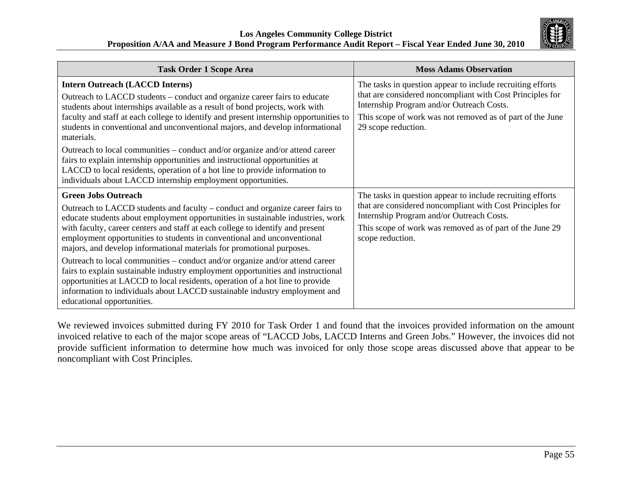

| <b>Task Order 1 Scope Area</b>                                                                                                                                                                                                                                                                                                                                                                                                                                                                                                                                                                                                                                                                                                                                                                        | <b>Moss Adams Observation</b>                                                                                                                                                                                                                            |
|-------------------------------------------------------------------------------------------------------------------------------------------------------------------------------------------------------------------------------------------------------------------------------------------------------------------------------------------------------------------------------------------------------------------------------------------------------------------------------------------------------------------------------------------------------------------------------------------------------------------------------------------------------------------------------------------------------------------------------------------------------------------------------------------------------|----------------------------------------------------------------------------------------------------------------------------------------------------------------------------------------------------------------------------------------------------------|
| <b>Intern Outreach (LACCD Interns)</b><br>Outreach to LACCD students – conduct and organize career fairs to educate<br>students about internships available as a result of bond projects, work with<br>faculty and staff at each college to identify and present internship opportunities to<br>students in conventional and unconventional majors, and develop informational<br>materials.<br>Outreach to local communities – conduct and/or organize and/or attend career<br>fairs to explain internship opportunities and instructional opportunities at<br>LACCD to local residents, operation of a hot line to provide information to<br>individuals about LACCD internship employment opportunities.                                                                                            | The tasks in question appear to include recruiting efforts<br>that are considered noncompliant with Cost Principles for<br>Internship Program and/or Outreach Costs.<br>This scope of work was not removed as of part of the June<br>29 scope reduction. |
| <b>Green Jobs Outreach</b><br>Outreach to LACCD students and faculty – conduct and organize career fairs to<br>educate students about employment opportunities in sustainable industries, work<br>with faculty, career centers and staff at each college to identify and present<br>employment opportunities to students in conventional and unconventional<br>majors, and develop informational materials for promotional purposes.<br>Outreach to local communities – conduct and/or organize and/or attend career<br>fairs to explain sustainable industry employment opportunities and instructional<br>opportunities at LACCD to local residents, operation of a hot line to provide<br>information to individuals about LACCD sustainable industry employment and<br>educational opportunities. | The tasks in question appear to include recruiting efforts<br>that are considered noncompliant with Cost Principles for<br>Internship Program and/or Outreach Costs.<br>This scope of work was removed as of part of the June 29<br>scope reduction.     |

We reviewed invoices submitted during FY 2010 for Task Order 1 and found that the invoices provided information on the amount invoiced relative to each of the major scope areas of "LACCD Jobs, LACCD Interns and Green Jobs." However, the invoices did not provide sufficient information to determine how much was invoiced for only those scope areas discussed above that appear to be noncompliant with Cost Principles.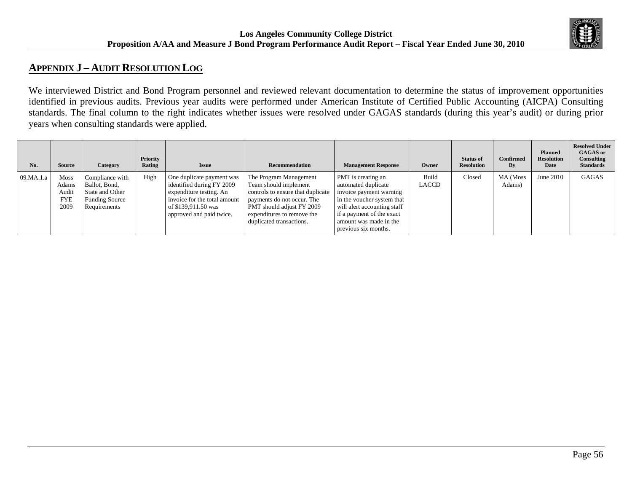

# **APPENDIX J – AUDIT RESOLUTION LOG**

We interviewed District and Bond Program personnel and reviewed relevant documentation to determine the status of improvement opportunities identified in previous audits. Previous year audits were performed under American Institute of Certified Public Accounting (AICPA) Consulting standards. The final column to the right indicates whether issues were resolved under GAGAS standards (during this year's audit) or during prior years when consulting standards were applied.

| No.       | <b>Source</b>                                | Category                                                                                     | Priority<br>Rating | <b>Issue</b>                                                                                                                                                         | Recommendation                                                                                                                                                                                            | <b>Management Response</b>                                                                                                                                                                                       | Owner          | <b>Status of</b><br><b>Resolution</b> | <b>Confirmed</b><br>By | <b>Planned</b><br><b>Resolution</b><br>Date | <b>Resolved Under</b><br><b>GAGAS</b> or<br><b>Consulting</b><br><b>Standards</b> |
|-----------|----------------------------------------------|----------------------------------------------------------------------------------------------|--------------------|----------------------------------------------------------------------------------------------------------------------------------------------------------------------|-----------------------------------------------------------------------------------------------------------------------------------------------------------------------------------------------------------|------------------------------------------------------------------------------------------------------------------------------------------------------------------------------------------------------------------|----------------|---------------------------------------|------------------------|---------------------------------------------|-----------------------------------------------------------------------------------|
| 09.MA.1.a | Moss<br>Adams<br>Audit<br><b>FYE</b><br>2009 | Compliance with<br>Ballot, Bond,<br>State and Other<br><b>Funding Source</b><br>Requirements | High               | One duplicate payment was<br>identified during FY 2009<br>expenditure testing. An<br>invoice for the total amount<br>of \$139,911.50 was<br>approved and paid twice. | The Program Management<br>Team should implement<br>controls to ensure that duplicate<br>payments do not occur. The<br>PMT should adjust FY 2009<br>expenditures to remove the<br>duplicated transactions. | PMT is creating an<br>automated duplicate<br>invoice payment warning<br>in the voucher system that<br>will alert accounting staff<br>if a payment of the exact<br>amount was made in the<br>previous six months. | Build<br>LACCD | Closed                                | MA (Moss<br>Adams)     | June 2010                                   | <b>GAGAS</b>                                                                      |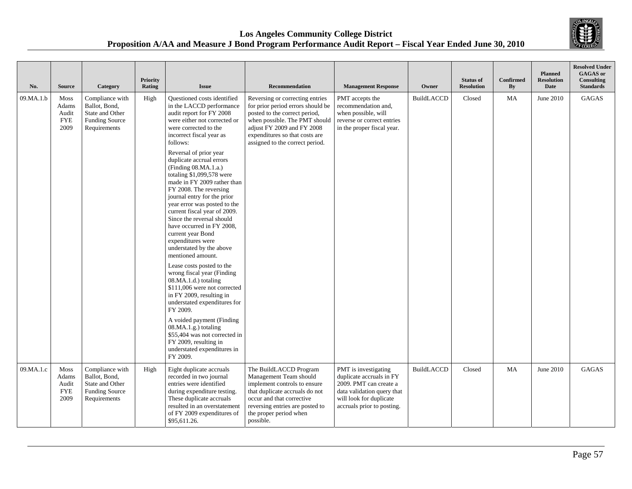

| No.       | <b>Source</b>                                       | Category                                                                                     | <b>Priority</b><br>Rating | <b>Issue</b>                                                                                                                                                                                                                                                                                                                                                                                                                                                                                                                                                                                                                                                                                                                                                                                                                                                                                                                                                              | <b>Recommendation</b>                                                                                                                                                                                                                     | <b>Management Response</b>                                                                                                                                        | Owner             | <b>Status of</b><br><b>Resolution</b> | Confirmed<br>By | <b>Planned</b><br><b>Resolution</b><br>Date | <b>Resolved Under</b><br><b>GAGAS</b> or<br><b>Consulting</b><br><b>Standards</b> |
|-----------|-----------------------------------------------------|----------------------------------------------------------------------------------------------|---------------------------|---------------------------------------------------------------------------------------------------------------------------------------------------------------------------------------------------------------------------------------------------------------------------------------------------------------------------------------------------------------------------------------------------------------------------------------------------------------------------------------------------------------------------------------------------------------------------------------------------------------------------------------------------------------------------------------------------------------------------------------------------------------------------------------------------------------------------------------------------------------------------------------------------------------------------------------------------------------------------|-------------------------------------------------------------------------------------------------------------------------------------------------------------------------------------------------------------------------------------------|-------------------------------------------------------------------------------------------------------------------------------------------------------------------|-------------------|---------------------------------------|-----------------|---------------------------------------------|-----------------------------------------------------------------------------------|
| 09.MA.1.b | Moss<br>Adams<br>Audit<br><b>FYE</b><br>2009        | Compliance with<br>Ballot, Bond,<br>State and Other<br><b>Funding Source</b><br>Requirements | High                      | <b>Ouestioned</b> costs identified<br>in the LACCD performance<br>audit report for FY 2008<br>were either not corrected or<br>were corrected to the<br>incorrect fiscal year as<br>follows:<br>Reversal of prior year<br>duplicate accrual errors<br>(Finding 08.MA.1.a.)<br>totaling $$1,099,578$ were<br>made in FY 2009 rather than<br>FY 2008. The reversing<br>journal entry for the prior<br>year error was posted to the<br>current fiscal year of 2009.<br>Since the reversal should<br>have occurred in FY 2008,<br>current year Bond<br>expenditures were<br>understated by the above<br>mentioned amount.<br>Lease costs posted to the<br>wrong fiscal year (Finding<br>08.MA.1.d.) totaling<br>\$111,006 were not corrected<br>in FY 2009, resulting in<br>understated expenditures for<br>FY 2009.<br>A voided payment (Finding<br>08.MA.1.g.) totaling<br>\$55,404 was not corrected in<br>FY 2009, resulting in<br>understated expenditures in<br>FY 2009. | Reversing or correcting entries<br>for prior period errors should be<br>posted to the correct period,<br>when possible. The PMT should<br>adjust FY 2009 and FY 2008<br>expenditures so that costs are<br>assigned to the correct period. | PMT accepts the<br>recommendation and,<br>when possible, will<br>reverse or correct entries<br>in the proper fiscal year.                                         | <b>BuildLACCD</b> | Closed                                | MA              | June 2010                                   | GAGAS                                                                             |
| 09.MA.1.c | <b>Moss</b><br>Adams<br>Audit<br><b>FYE</b><br>2009 | Compliance with<br>Ballot, Bond,<br>State and Other<br><b>Funding Source</b><br>Requirements | High                      | Eight duplicate accruals<br>recorded in two journal<br>entries were identified<br>during expenditure testing.<br>These duplicate accruals<br>resulted in an overstatement<br>of FY 2009 expenditures of<br>\$95,611.26.                                                                                                                                                                                                                                                                                                                                                                                                                                                                                                                                                                                                                                                                                                                                                   | The BuildLACCD Program<br>Management Team should<br>implement controls to ensure<br>that duplicate accruals do not<br>occur and that corrective<br>reversing entries are posted to<br>the proper period when<br>possible.                 | PMT is investigating<br>duplicate accruals in FY<br>2009. PMT can create a<br>data validation query that<br>will look for duplicate<br>accruals prior to posting. | <b>BuildLACCD</b> | Closed                                | MA              | June 2010                                   | <b>GAGAS</b>                                                                      |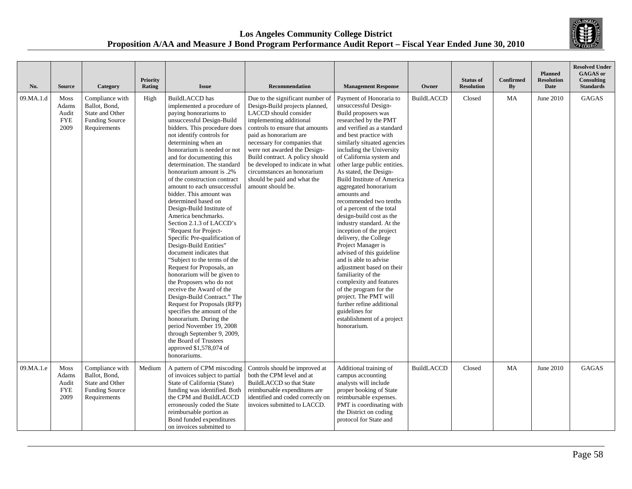

| No.       | <b>Source</b>                                       | Category                                                                                     | <b>Priority</b><br>Rating | <b>Issue</b>                                                                                                                                                                                                                                                                                                                                                                                                                                                                                                                                                                                                                                                                                                                                                                                                                                                                                                                                                                                                                          | <b>Recommendation</b>                                                                                                                                                                                                                                                                                                                                                                                         | <b>Management Response</b>                                                                                                                                                                                                                                                                                                                                                                                                                                                                                                                                                                                                                                                                                                                                                                                                                                          | Owner             | <b>Status of</b><br><b>Resolution</b> | Confirmed<br>By | <b>Planned</b><br><b>Resolution</b><br>Date | <b>Resolved Under</b><br>GAGAS or<br>Consulting<br><b>Standards</b> |
|-----------|-----------------------------------------------------|----------------------------------------------------------------------------------------------|---------------------------|---------------------------------------------------------------------------------------------------------------------------------------------------------------------------------------------------------------------------------------------------------------------------------------------------------------------------------------------------------------------------------------------------------------------------------------------------------------------------------------------------------------------------------------------------------------------------------------------------------------------------------------------------------------------------------------------------------------------------------------------------------------------------------------------------------------------------------------------------------------------------------------------------------------------------------------------------------------------------------------------------------------------------------------|---------------------------------------------------------------------------------------------------------------------------------------------------------------------------------------------------------------------------------------------------------------------------------------------------------------------------------------------------------------------------------------------------------------|---------------------------------------------------------------------------------------------------------------------------------------------------------------------------------------------------------------------------------------------------------------------------------------------------------------------------------------------------------------------------------------------------------------------------------------------------------------------------------------------------------------------------------------------------------------------------------------------------------------------------------------------------------------------------------------------------------------------------------------------------------------------------------------------------------------------------------------------------------------------|-------------------|---------------------------------------|-----------------|---------------------------------------------|---------------------------------------------------------------------|
| 09.MA.1.d | <b>Moss</b><br>Adams<br>Audit<br><b>FYE</b><br>2009 | Compliance with<br>Ballot, Bond,<br>State and Other<br><b>Funding Source</b><br>Requirements | High                      | BuildLACCD has<br>implemented a procedure of<br>paying honorariums to<br>unsuccessful Design-Build<br>bidders. This procedure does<br>not identify controls for<br>determining when an<br>honorarium is needed or not<br>and for documenting this<br>determination. The standard<br>honorarium amount is .2%<br>of the construction contract<br>amount to each unsuccessful<br>bidder. This amount was<br>determined based on<br>Design-Build Institute of<br>America benchmarks.<br>Section 2.1.3 of LACCD's<br>"Request for Project-<br>Specific Pre-qualification of<br>Design-Build Entities"<br>document indicates that<br>"Subject to the terms of the<br>Request for Proposals, an<br>honorarium will be given to<br>the Proposers who do not<br>receive the Award of the<br>Design-Build Contract." The<br>Request for Proposals (RFP)<br>specifies the amount of the<br>honorarium. During the<br>period November 19, 2008<br>through September 9, 2009,<br>the Board of Trustees<br>approved \$1,578,074 of<br>honorariums. | Due to the significant number of<br>Design-Build projects planned,<br>LACCD should consider<br>implementing additional<br>controls to ensure that amounts<br>paid as honorarium are<br>necessary for companies that<br>were not awarded the Design-<br>Build contract. A policy should<br>be developed to indicate in what<br>circumstances an honorarium<br>should be paid and what the<br>amount should be. | Payment of Honoraria to<br>unsuccessful Design-<br>Build proposers was<br>researched by the PMT<br>and verified as a standard<br>and best practice with<br>similarly situated agencies<br>including the University<br>of California system and<br>other large public entities.<br>As stated, the Design-<br><b>Build Institute of America</b><br>aggregated honorarium<br>amounts and<br>recommended two tenths<br>of a percent of the total<br>design-build cost as the<br>industry standard. At the<br>inception of the project<br>delivery, the College<br>Project Manager is<br>advised of this guideline<br>and is able to advise<br>adjustment based on their<br>familiarity of the<br>complexity and features<br>of the program for the<br>project. The PMT will<br>further refine additional<br>guidelines for<br>establishment of a project<br>honorarium. | <b>BuildLACCD</b> | Closed                                | MA              | June 2010                                   | GAGAS                                                               |
| 09.MA.1.e | Moss<br>Adams<br>Audit<br><b>FYE</b><br>2009        | Compliance with<br>Ballot, Bond,<br>State and Other<br><b>Funding Source</b><br>Requirements | Medium                    | A pattern of CPM miscoding<br>of invoices subject to partial<br>State of California (State)<br>funding was identified. Both<br>the CPM and BuildLACCD<br>erroneously coded the State<br>reimbursable portion as<br>Bond funded expenditures<br>on invoices submitted to                                                                                                                                                                                                                                                                                                                                                                                                                                                                                                                                                                                                                                                                                                                                                               | Controls should be improved at<br>both the CPM level and at<br>BuildLACCD so that State<br>reimbursable expenditures are<br>identified and coded correctly on<br>invoices submitted to LACCD.                                                                                                                                                                                                                 | Additional training of<br>campus accounting<br>analysts will include<br>proper booking of State<br>reimbursable expenses.<br>PMT is coordinating with<br>the District on coding<br>protocol for State and                                                                                                                                                                                                                                                                                                                                                                                                                                                                                                                                                                                                                                                           | <b>BuildLACCD</b> | Closed                                | MA              | June 2010                                   | <b>GAGAS</b>                                                        |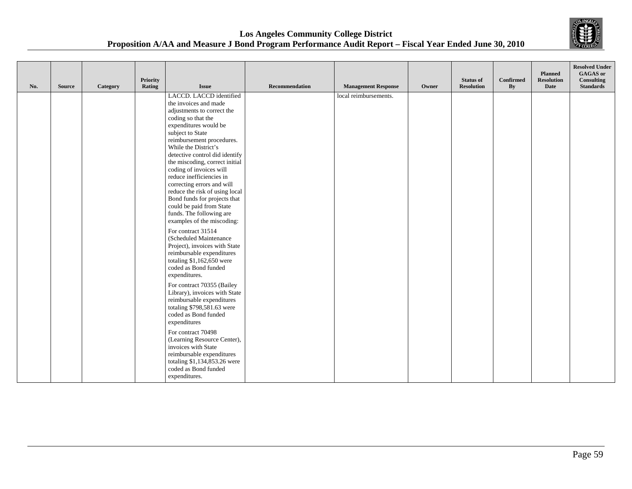

| No. | <b>Source</b> | Category | Priority<br>Rating | <b>Issue</b>                                                                                                                                                                                                                                                                                                                                                                                                                                                                                                                                                            | Recommendation | <b>Management Response</b> | Owner | <b>Status of</b><br><b>Resolution</b> | <b>Confirmed</b><br>By | <b>Planned</b><br><b>Resolution</b><br>Date | <b>Resolved Under</b><br><b>GAGAS</b> or<br>Consulting<br><b>Standards</b> |
|-----|---------------|----------|--------------------|-------------------------------------------------------------------------------------------------------------------------------------------------------------------------------------------------------------------------------------------------------------------------------------------------------------------------------------------------------------------------------------------------------------------------------------------------------------------------------------------------------------------------------------------------------------------------|----------------|----------------------------|-------|---------------------------------------|------------------------|---------------------------------------------|----------------------------------------------------------------------------|
|     |               |          |                    | LACCD. LACCD identified<br>the invoices and made<br>adjustments to correct the<br>coding so that the<br>expenditures would be<br>subject to State<br>reimbursement procedures.<br>While the District's<br>detective control did identify<br>the miscoding, correct initial<br>coding of invoices will<br>reduce inefficiencies in<br>correcting errors and will<br>reduce the risk of using local<br>Bond funds for projects that<br>could be paid from State<br>funds. The following are<br>examples of the miscoding:<br>For contract 31514<br>(Scheduled Maintenance |                | local reimbursements.      |       |                                       |                        |                                             |                                                                            |
|     |               |          |                    | Project), invoices with State<br>reimbursable expenditures<br>totaling $$1,162,650$ were<br>coded as Bond funded<br>expenditures.                                                                                                                                                                                                                                                                                                                                                                                                                                       |                |                            |       |                                       |                        |                                             |                                                                            |
|     |               |          |                    | For contract 70355 (Bailey<br>Library), invoices with State<br>reimbursable expenditures<br>totaling \$798,581.63 were<br>coded as Bond funded<br>expenditures                                                                                                                                                                                                                                                                                                                                                                                                          |                |                            |       |                                       |                        |                                             |                                                                            |
|     |               |          |                    | For contract 70498<br>(Learning Resource Center),<br>invoices with State<br>reimbursable expenditures<br>totaling \$1,134,853.26 were<br>coded as Bond funded<br>expenditures.                                                                                                                                                                                                                                                                                                                                                                                          |                |                            |       |                                       |                        |                                             |                                                                            |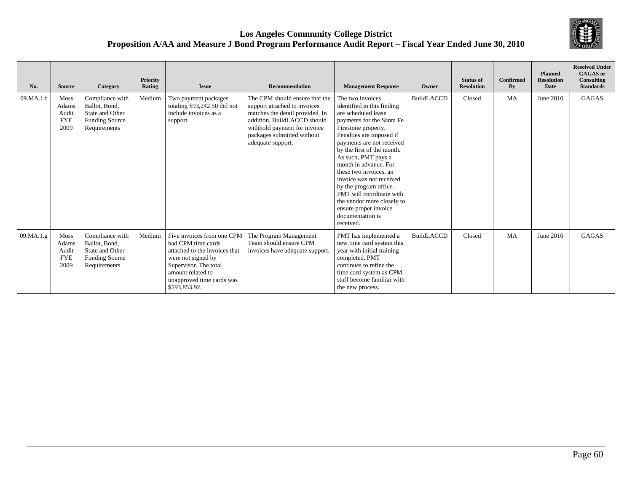

| No.       | <b>Source</b>                                       | Category                                                                                     | Priority<br>Rating | <b>Issue</b>                                                                                                                                                                                        | Recommendation                                                                                                                                                                                                      | <b>Management Response</b>                                                                                                                                                                                                                                                                                                                                                                                                                                           | Owner             | <b>Status of</b><br><b>Resolution</b> | <b>Confirmed</b><br>By | <b>Planned</b><br><b>Resolution</b><br>Date | <b>Resolved Under</b><br><b>GAGAS</b> or<br>Consulting<br><b>Standards</b> |
|-----------|-----------------------------------------------------|----------------------------------------------------------------------------------------------|--------------------|-----------------------------------------------------------------------------------------------------------------------------------------------------------------------------------------------------|---------------------------------------------------------------------------------------------------------------------------------------------------------------------------------------------------------------------|----------------------------------------------------------------------------------------------------------------------------------------------------------------------------------------------------------------------------------------------------------------------------------------------------------------------------------------------------------------------------------------------------------------------------------------------------------------------|-------------------|---------------------------------------|------------------------|---------------------------------------------|----------------------------------------------------------------------------|
| 09.MA.1.f | <b>Moss</b><br>Adams<br>Audit<br><b>FYE</b><br>2009 | Compliance with<br>Ballot, Bond,<br>State and Other<br><b>Funding Source</b><br>Requirements | Medium             | Two payment packages<br>totaling \$93,242.50 did not<br>include invoices as a<br>support.                                                                                                           | The CPM should ensure that the<br>support attached to invoices<br>matches the detail provided. In<br>addition, BuildLACCD should<br>withhold payment for invoice<br>packages submitted without<br>adequate support. | The two invoices<br>identified in this finding<br>are scheduled lease<br>payments for the Santa Fe<br>Firestone property.<br>Penalties are imposed if<br>payments are not received<br>by the first of the month.<br>As such, PMT pays a<br>month in advance. For<br>these two invoices, an<br>invoice was not received<br>by the program office.<br>PMT will coordinate with<br>the vendor more closely to<br>ensure proper invoice<br>documentation is<br>received. | <b>BuildLACCD</b> | Closed                                | MA                     | June 2010                                   | <b>GAGAS</b>                                                               |
| 09.MA.1.g | <b>Moss</b><br>Adams<br>Audit<br><b>FYE</b><br>2009 | Compliance with<br>Ballot, Bond,<br>State and Other<br>Funding Source<br>Requirements        | Medium             | Five invoices from one CPM<br>had CPM time cards<br>attached to the invoices that<br>were not signed by<br>Supervisor. The total<br>amount related to<br>unapproved time cards was<br>\$593,853.92. | The Program Management<br>Team should ensure CPM<br>invoices have adequate support                                                                                                                                  | PMT has implemented a<br>new time card system this<br>year with initial training<br>completed. PMT<br>continues to refine the<br>time card system as CPM<br>staff become familiar with<br>the new process.                                                                                                                                                                                                                                                           | <b>BuildLACCD</b> | Closed                                | MA                     | June 2010                                   | <b>GAGAS</b>                                                               |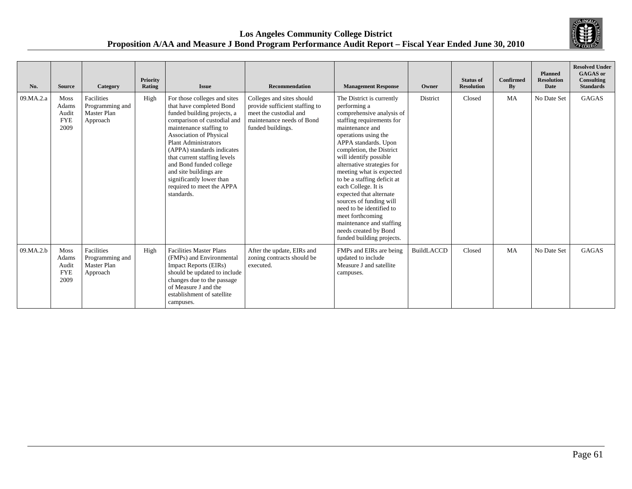

| No.       | <b>Source</b>                                | Category                                                 | <b>Priority</b><br>Rating | <b>Issue</b>                                                                                                                                                                                                                                                                                                                                                                                          | <b>Recommendation</b>                                                                                                                   | <b>Management Response</b>                                                                                                                                                                                                                                                                                                                                                                                                                                                                                                           | Owner             | <b>Status of</b><br><b>Resolution</b> | Confirmed<br>$\mathbf{B}\mathbf{y}$ | <b>Planned</b><br><b>Resolution</b><br><b>Date</b> | <b>Resolved Under</b><br><b>GAGAS</b> or<br>Consulting<br><b>Standards</b> |
|-----------|----------------------------------------------|----------------------------------------------------------|---------------------------|-------------------------------------------------------------------------------------------------------------------------------------------------------------------------------------------------------------------------------------------------------------------------------------------------------------------------------------------------------------------------------------------------------|-----------------------------------------------------------------------------------------------------------------------------------------|--------------------------------------------------------------------------------------------------------------------------------------------------------------------------------------------------------------------------------------------------------------------------------------------------------------------------------------------------------------------------------------------------------------------------------------------------------------------------------------------------------------------------------------|-------------------|---------------------------------------|-------------------------------------|----------------------------------------------------|----------------------------------------------------------------------------|
| 09.MA.2.a | Moss<br>Adams<br>Audit<br><b>FYE</b><br>2009 | Facilities<br>Programming and<br>Master Plan<br>Approach | High                      | For those colleges and sites<br>that have completed Bond<br>funded building projects, a<br>comparison of custodial and<br>maintenance staffing to<br>Association of Physical<br><b>Plant Administrators</b><br>(APPA) standards indicates<br>that current staffing levels<br>and Bond funded college<br>and site buildings are<br>significantly lower than<br>required to meet the APPA<br>standards. | Colleges and sites should<br>provide sufficient staffing to<br>meet the custodial and<br>maintenance needs of Bond<br>funded buildings. | The District is currently<br>performing a<br>comprehensive analysis of<br>staffing requirements for<br>maintenance and<br>operations using the<br>APPA standards. Upon<br>completion, the District<br>will identify possible<br>alternative strategies for<br>meeting what is expected<br>to be a staffing deficit at<br>each College. It is<br>expected that alternate<br>sources of funding will<br>need to be identified to<br>meet forthcoming<br>maintenance and staffing<br>needs created by Bond<br>funded building projects. | District          | Closed                                | MA                                  | No Date Set                                        | GAGAS                                                                      |
| 09.MA.2.b | Moss<br>Adams<br>Audit<br><b>FYE</b><br>2009 | Facilities<br>Programming and<br>Master Plan<br>Approach | High                      | <b>Facilities Master Plans</b><br>(FMPs) and Environmental<br><b>Impact Reports (EIRs)</b><br>should be updated to include<br>changes due to the passage<br>of Measure J and the<br>establishment of satellite<br>campuses.                                                                                                                                                                           | After the update, EIRs and<br>zoning contracts should be<br>executed.                                                                   | FMPs and EIRs are being<br>updated to include<br>Measure J and satellite<br>campuses.                                                                                                                                                                                                                                                                                                                                                                                                                                                | <b>BuildLACCD</b> | Closed                                | <b>MA</b>                           | No Date Set                                        | <b>GAGAS</b>                                                               |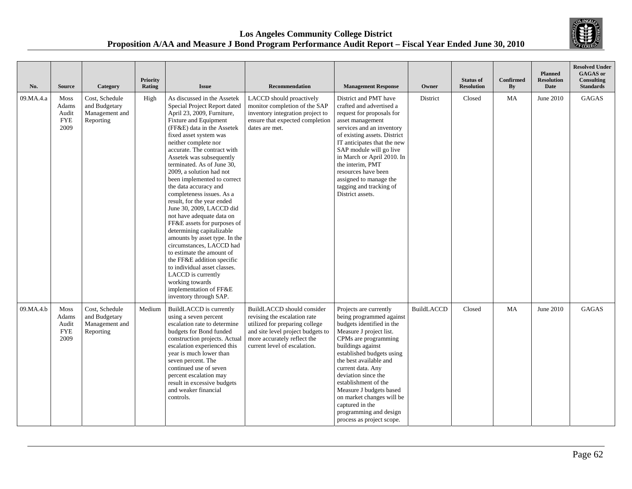

| No.       | <b>Source</b>                                | Category                                                       | Priority<br>Rating | <b>Issue</b>                                                                                                                                                                                                                                                                                                                                                                                                                                                                                                                                                                                                                                                                                                                                                                                                         | Recommendation                                                                                                                                                                                   | <b>Management Response</b>                                                                                                                                                                                                                                                                                                                                                                                           | Owner             | <b>Status of</b><br><b>Resolution</b> | <b>Confirmed</b><br>By | <b>Planned</b><br><b>Resolution</b><br><b>Date</b> | <b>Resolved Under</b><br><b>GAGAS</b> or<br><b>Consulting</b><br><b>Standards</b> |
|-----------|----------------------------------------------|----------------------------------------------------------------|--------------------|----------------------------------------------------------------------------------------------------------------------------------------------------------------------------------------------------------------------------------------------------------------------------------------------------------------------------------------------------------------------------------------------------------------------------------------------------------------------------------------------------------------------------------------------------------------------------------------------------------------------------------------------------------------------------------------------------------------------------------------------------------------------------------------------------------------------|--------------------------------------------------------------------------------------------------------------------------------------------------------------------------------------------------|----------------------------------------------------------------------------------------------------------------------------------------------------------------------------------------------------------------------------------------------------------------------------------------------------------------------------------------------------------------------------------------------------------------------|-------------------|---------------------------------------|------------------------|----------------------------------------------------|-----------------------------------------------------------------------------------|
| 09.MA.4.a | Moss<br>Adams<br>Audit<br><b>FYE</b><br>2009 | Cost, Schedule<br>and Budgetary<br>Management and<br>Reporting | High               | As discussed in the Assetek<br>Special Project Report dated<br>April 23, 2009, Furniture,<br>Fixture and Equipment<br>(FF&E) data in the Assetek<br>fixed asset system was<br>neither complete nor<br>accurate. The contract with<br>Assetek was subsequently<br>terminated. As of June 30.<br>2009, a solution had not<br>been implemented to correct<br>the data accuracy and<br>completeness issues. As a<br>result, for the year ended<br>June 30, 2009, LACCD did<br>not have adequate data on<br>FF&E assets for purposes of<br>determining capitalizable<br>amounts by asset type. In the<br>circumstances, LACCD had<br>to estimate the amount of<br>the FF&E addition specific<br>to individual asset classes.<br>LACCD is currently<br>working towards<br>implementation of FF&E<br>inventory through SAP. | LACCD should proactively<br>monitor completion of the SAP<br>inventory integration project to<br>ensure that expected completion<br>dates are met.                                               | District and PMT have<br>crafted and advertised a<br>request for proposals for<br>asset management<br>services and an inventory<br>of existing assets. District<br>IT anticipates that the new<br>SAP module will go live<br>in March or April 2010. In<br>the interim. PMT<br>resources have been<br>assigned to manage the<br>tagging and tracking of<br>District assets.                                          | District          | Closed                                | MA                     | June 2010                                          | GAGAS                                                                             |
| 09.MA.4.b | Moss<br>Adams<br>Audit<br><b>FYE</b><br>2009 | Cost, Schedule<br>and Budgetary<br>Management and<br>Reporting | Medium             | BuildLACCD is currently<br>using a seven percent<br>escalation rate to determine<br>budgets for Bond funded<br>construction projects. Actual<br>escalation experienced this<br>year is much lower than<br>seven percent. The<br>continued use of seven<br>percent escalation may<br>result in excessive budgets<br>and weaker financial<br>controls.                                                                                                                                                                                                                                                                                                                                                                                                                                                                 | BuildLACCD should consider<br>revising the escalation rate<br>utilized for preparing college<br>and site level project budgets to<br>more accurately reflect the<br>current level of escalation. | Projects are currently<br>being programmed against<br>budgets identified in the<br>Measure J project list.<br>CPMs are programming<br>buildings against<br>established budgets using<br>the best available and<br>current data. Any<br>deviation since the<br>establishment of the<br>Measure J budgets based<br>on market changes will be<br>captured in the<br>programming and design<br>process as project scope. | <b>BuildLACCD</b> | Closed                                | MA                     | June 2010                                          | <b>GAGAS</b>                                                                      |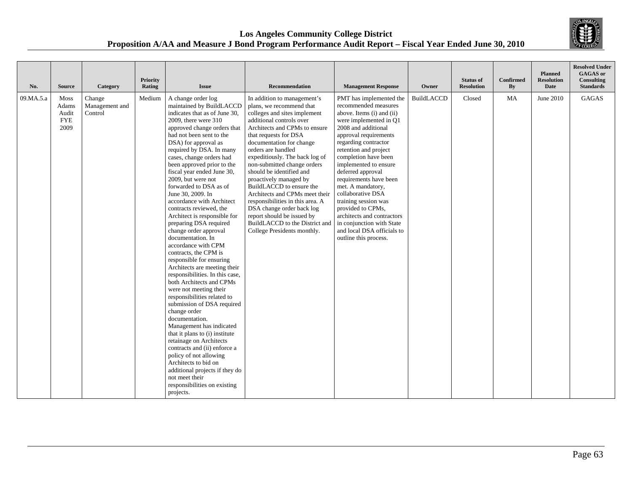

| No.       | <b>Source</b>                                       | Category                            | Priority<br>Rating | <b>Issue</b>                                                                                                                                                                                                                                                                                                                                                                                                                                                                                                                                                                                                                                                                                                                                                                                                                                                                                                                                                                                                                                                                                                                        | Recommendation                                                                                                                                                                                                                                                                                                                                                                                                                                                                                                                                                                       | <b>Management Response</b>                                                                                                                                                                                                                                                                                                                                                                                                                                                                                       | Owner             | <b>Status of</b><br><b>Resolution</b> | <b>Confirmed</b><br>By | <b>Planned</b><br><b>Resolution</b><br><b>Date</b> | <b>Resolved Under</b><br><b>GAGAS</b> or<br>Consulting<br><b>Standards</b> |
|-----------|-----------------------------------------------------|-------------------------------------|--------------------|-------------------------------------------------------------------------------------------------------------------------------------------------------------------------------------------------------------------------------------------------------------------------------------------------------------------------------------------------------------------------------------------------------------------------------------------------------------------------------------------------------------------------------------------------------------------------------------------------------------------------------------------------------------------------------------------------------------------------------------------------------------------------------------------------------------------------------------------------------------------------------------------------------------------------------------------------------------------------------------------------------------------------------------------------------------------------------------------------------------------------------------|--------------------------------------------------------------------------------------------------------------------------------------------------------------------------------------------------------------------------------------------------------------------------------------------------------------------------------------------------------------------------------------------------------------------------------------------------------------------------------------------------------------------------------------------------------------------------------------|------------------------------------------------------------------------------------------------------------------------------------------------------------------------------------------------------------------------------------------------------------------------------------------------------------------------------------------------------------------------------------------------------------------------------------------------------------------------------------------------------------------|-------------------|---------------------------------------|------------------------|----------------------------------------------------|----------------------------------------------------------------------------|
| 09.MA.5.a | <b>Moss</b><br>Adams<br>Audit<br><b>FYE</b><br>2009 | Change<br>Management and<br>Control | Medium             | A change order log<br>maintained by BuildLACCD<br>indicates that as of June 30,<br>2009, there were 310<br>approved change orders that<br>had not been sent to the<br>DSA) for approval as<br>required by DSA. In many<br>cases, change orders had<br>been approved prior to the<br>fiscal year ended June 30,<br>2009, but were not<br>forwarded to DSA as of<br>June 30, 2009. In<br>accordance with Architect<br>contracts reviewed, the<br>Architect is responsible for<br>preparing DSA required<br>change order approval<br>documentation. In<br>accordance with CPM<br>contracts, the CPM is<br>responsible for ensuring<br>Architects are meeting their<br>responsibilities. In this case,<br>both Architects and CPMs<br>were not meeting their<br>responsibilities related to<br>submission of DSA required<br>change order<br>documentation.<br>Management has indicated<br>that it plans to (i) institute<br>retainage on Architects<br>contracts and (ii) enforce a<br>policy of not allowing<br>Architects to bid on<br>additional projects if they do<br>not meet their<br>responsibilities on existing<br>projects. | In addition to management's<br>plans, we recommend that<br>colleges and sites implement<br>additional controls over<br>Architects and CPMs to ensure<br>that requests for DSA<br>documentation for change<br>orders are handled<br>expeditiously. The back log of<br>non-submitted change orders<br>should be identified and<br>proactively managed by<br>BuildLACCD to ensure the<br>Architects and CPMs meet their<br>responsibilities in this area. A<br>DSA change order back log<br>report should be issued by<br>BuildLACCD to the District and<br>College Presidents monthly. | PMT has implemented the<br>recommended measures<br>above. Items (i) and (ii)<br>were implemented in O1<br>2008 and additional<br>approval requirements<br>regarding contractor<br>retention and project<br>completion have been<br>implemented to ensure<br>deferred approval<br>requirements have been<br>met. A mandatory,<br>collaborative DSA<br>training session was<br>provided to CPMs,<br>architects and contractors<br>in conjunction with State<br>and local DSA officials to<br>outline this process. | <b>BuildLACCD</b> | Closed                                | <b>MA</b>              | June 2010                                          | GAGAS                                                                      |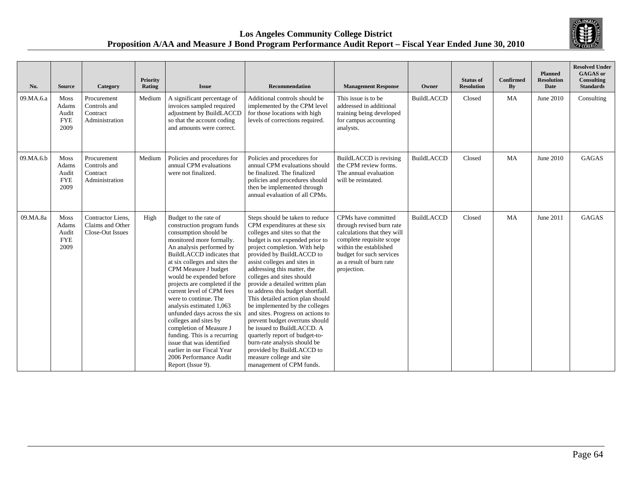

| No.       | <b>Source</b>                                | Category                                                  | Priority<br>Rating | <b>Issue</b>                                                                                                                                                                                                                                                                                                                                                                                                                                                                                                                                                                                            | <b>Recommendation</b>                                                                                                                                                                                                                                                                                                                                                                                                                                                                                                                                                                                                                                                                                     | <b>Management Response</b>                                                                                                                                                                                   | Owner             | <b>Status of</b><br><b>Resolution</b> | <b>Confirmed</b><br>By | <b>Planned</b><br><b>Resolution</b><br><b>Date</b> | <b>Resolved Under</b><br><b>GAGAS</b> or<br>Consulting<br><b>Standards</b> |
|-----------|----------------------------------------------|-----------------------------------------------------------|--------------------|---------------------------------------------------------------------------------------------------------------------------------------------------------------------------------------------------------------------------------------------------------------------------------------------------------------------------------------------------------------------------------------------------------------------------------------------------------------------------------------------------------------------------------------------------------------------------------------------------------|-----------------------------------------------------------------------------------------------------------------------------------------------------------------------------------------------------------------------------------------------------------------------------------------------------------------------------------------------------------------------------------------------------------------------------------------------------------------------------------------------------------------------------------------------------------------------------------------------------------------------------------------------------------------------------------------------------------|--------------------------------------------------------------------------------------------------------------------------------------------------------------------------------------------------------------|-------------------|---------------------------------------|------------------------|----------------------------------------------------|----------------------------------------------------------------------------|
| 09.MA.6.a | Moss<br>Adams<br>Audit<br><b>FYE</b><br>2009 | Procurement<br>Controls and<br>Contract<br>Administration | Medium             | A significant percentage of<br>invoices sampled required<br>adjustment by BuildLACCD<br>so that the account coding<br>and amounts were correct.                                                                                                                                                                                                                                                                                                                                                                                                                                                         | Additional controls should be<br>implemented by the CPM level<br>for those locations with high<br>levels of corrections required.                                                                                                                                                                                                                                                                                                                                                                                                                                                                                                                                                                         | This issue is to be<br>addressed in additional<br>training being developed<br>for campus accounting<br>analysts.                                                                                             | <b>BuildLACCD</b> | Closed                                | MA                     | June 2010                                          | Consulting                                                                 |
| 09.MA.6.b | Moss<br>Adams<br>Audit<br><b>FYE</b><br>2009 | Procurement<br>Controls and<br>Contract<br>Administration | Medium             | Policies and procedures for<br>annual CPM evaluations<br>were not finalized.                                                                                                                                                                                                                                                                                                                                                                                                                                                                                                                            | Policies and procedures for<br>annual CPM evaluations should<br>be finalized. The finalized<br>policies and procedures should<br>then be implemented through<br>annual evaluation of all CPMs.                                                                                                                                                                                                                                                                                                                                                                                                                                                                                                            | BuildLACCD is revising<br>the CPM review forms.<br>The annual evaluation<br>will be reinstated.                                                                                                              | <b>BuildLACCD</b> | Closed                                | <b>MA</b>              | June 2010                                          | <b>GAGAS</b>                                                               |
| 09.MA.8a  | Moss<br>Adams<br>Audit<br><b>FYE</b><br>2009 | Contractor Liens,<br>Claims and Other<br>Close-Out Issues | High               | Budget to the rate of<br>construction program funds<br>consumption should be<br>monitored more formally.<br>An analysis performed by<br>BuildLACCD indicates that<br>at six colleges and sites the<br>CPM Measure J budget<br>would be expended before<br>projects are completed if the<br>current level of CPM fees<br>were to continue. The<br>analysis estimated 1,063<br>unfunded days across the six<br>colleges and sites by<br>completion of Measure J<br>funding. This is a recurring<br>issue that was identified<br>earlier in our Fiscal Year<br>2006 Performance Audit<br>Report (Issue 9). | Steps should be taken to reduce<br>CPM expenditures at these six<br>colleges and sites so that the<br>budget is not expended prior to<br>project completion. With help<br>provided by BuildLACCD to<br>assist colleges and sites in<br>addressing this matter, the<br>colleges and sites should<br>provide a detailed written plan<br>to address this budget shortfall.<br>This detailed action plan should<br>be implemented by the colleges<br>and sites. Progress on actions to<br>prevent budget overruns should<br>be issued to BuildLACCD. A<br>quarterly report of budget-to-<br>burn-rate analysis should be<br>provided by BuildLACCD to<br>measure college and site<br>management of CPM funds. | CPMs have committed<br>through revised burn rate<br>calculations that they will<br>complete requisite scope<br>within the established<br>budget for such services<br>as a result of burn rate<br>projection. | <b>BuildLACCD</b> | Closed                                | MA                     | June 2011                                          | <b>GAGAS</b>                                                               |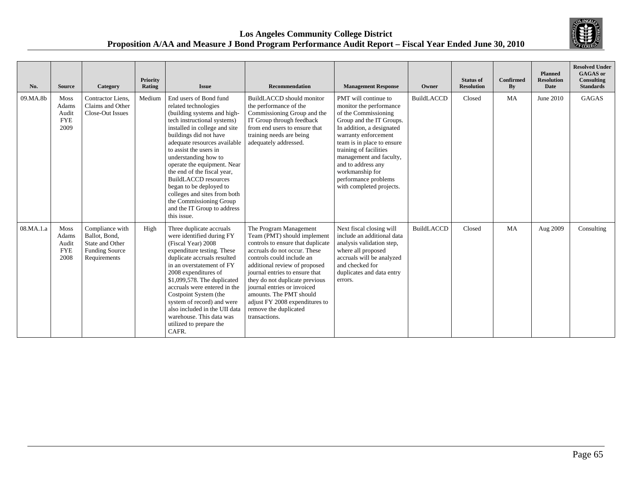

| No.       | <b>Source</b>                                | Category                                                                                     | Priority<br>Rating | <b>Issue</b>                                                                                                                                                                                                                                                                                                                                                                                                                                                                               | <b>Recommendation</b>                                                                                                                                                                                                                                                                                                                                                                              | <b>Management Response</b>                                                                                                                                                                                                                                                                                                               | Owner             | <b>Status of</b><br><b>Resolution</b> | Confirmed<br>By | <b>Planned</b><br><b>Resolution</b><br>Date | <b>Resolved Under</b><br><b>GAGAS</b> or<br>Consulting<br><b>Standards</b> |
|-----------|----------------------------------------------|----------------------------------------------------------------------------------------------|--------------------|--------------------------------------------------------------------------------------------------------------------------------------------------------------------------------------------------------------------------------------------------------------------------------------------------------------------------------------------------------------------------------------------------------------------------------------------------------------------------------------------|----------------------------------------------------------------------------------------------------------------------------------------------------------------------------------------------------------------------------------------------------------------------------------------------------------------------------------------------------------------------------------------------------|------------------------------------------------------------------------------------------------------------------------------------------------------------------------------------------------------------------------------------------------------------------------------------------------------------------------------------------|-------------------|---------------------------------------|-----------------|---------------------------------------------|----------------------------------------------------------------------------|
| 09.MA.8b  | Moss<br>Adams<br>Audit<br><b>FYE</b><br>2009 | Contractor Liens.<br>Claims and Other<br>Close-Out Issues                                    | Medium             | End users of Bond fund<br>related technologies<br>(building systems and high-<br>tech instructional systems)<br>installed in college and site<br>buildings did not have<br>adequate resources available<br>to assist the users in<br>understanding how to<br>operate the equipment. Near<br>the end of the fiscal year,<br><b>BuildLACCD</b> resources<br>began to be deployed to<br>colleges and sites from both<br>the Commissioning Group<br>and the IT Group to address<br>this issue. | BuildLACCD should monitor<br>the performance of the<br>Commissioning Group and the<br>IT Group through feedback<br>from end users to ensure that<br>training needs are being<br>adequately addressed.                                                                                                                                                                                              | PMT will continue to<br>monitor the performance<br>of the Commissioning<br>Group and the IT Groups.<br>In addition, a designated<br>warranty enforcement<br>team is in place to ensure<br>training of facilities<br>management and faculty,<br>and to address any<br>workmanship for<br>performance problems<br>with completed projects. | <b>BuildLACCD</b> | Closed                                | MA              | June 2010                                   | <b>GAGAS</b>                                                               |
| 08.MA.1.a | Moss<br>Adams<br>Audit<br><b>FYE</b><br>2008 | Compliance with<br>Ballot, Bond,<br>State and Other<br><b>Funding Source</b><br>Requirements | High               | Three duplicate accruals<br>were identified during FY<br>(Fiscal Year) 2008<br>expenditure testing. These<br>duplicate accruals resulted<br>in an overstatement of FY<br>2008 expenditures of<br>\$1,099,578. The duplicated<br>accruals were entered in the<br>Costpoint System (the<br>system of record) and were<br>also included in the UII data<br>warehouse. This data was<br>utilized to prepare the<br>CAFR.                                                                       | The Program Management<br>Team (PMT) should implement<br>controls to ensure that duplicate<br>accruals do not occur. These<br>controls could include an<br>additional review of proposed<br>journal entries to ensure that<br>they do not duplicate previous<br>journal entries or invoiced<br>amounts. The PMT should<br>adjust FY 2008 expenditures to<br>remove the duplicated<br>transactions. | Next fiscal closing will<br>include an additional data<br>analysis validation step,<br>where all proposed<br>accruals will be analyzed<br>and checked for<br>duplicates and data entry<br>errors.                                                                                                                                        | <b>BuildLACCD</b> | Closed                                | MA              | Aug 2009                                    | Consulting                                                                 |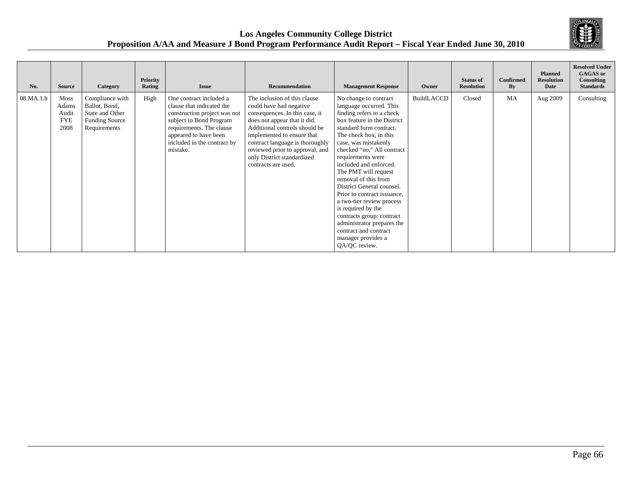

| No.       | <b>Source</b>                                | Category                                                                                     | Priority<br>Rating | <b>Issue</b>                                                                                                                                                                                                    | <b>Recommendation</b>                                                                                                                                                                                                                                                                                               | <b>Management Response</b>                                                                                                                                                                                                                                                                                                                                                                                                                                                                                                                                       | Owner      | <b>Status of</b><br><b>Resolution</b> | <b>Confirmed</b><br>By | <b>Planned</b><br><b>Resolution</b><br><b>Date</b> | <b>Resolved Under</b><br><b>GAGAS</b> or<br>Consulting<br><b>Standards</b> |
|-----------|----------------------------------------------|----------------------------------------------------------------------------------------------|--------------------|-----------------------------------------------------------------------------------------------------------------------------------------------------------------------------------------------------------------|---------------------------------------------------------------------------------------------------------------------------------------------------------------------------------------------------------------------------------------------------------------------------------------------------------------------|------------------------------------------------------------------------------------------------------------------------------------------------------------------------------------------------------------------------------------------------------------------------------------------------------------------------------------------------------------------------------------------------------------------------------------------------------------------------------------------------------------------------------------------------------------------|------------|---------------------------------------|------------------------|----------------------------------------------------|----------------------------------------------------------------------------|
| 08.MA.1.b | Moss<br>Adams<br>Audit<br><b>FYE</b><br>2008 | Compliance with<br>Ballot, Bond,<br>State and Other<br><b>Funding Source</b><br>Requirements | High               | One contract included a<br>clause that indicated the<br>construction project was not<br>subject to Bond Program<br>requirements. The clause<br>appeared to have been<br>included in the contract by<br>mistake. | The inclusion of this clause<br>could have had negative<br>consequences. In this case, it<br>does not appear that it did.<br>Additional controls should be<br>implemented to ensure that<br>contract language is thoroughly<br>reviewed prior to approval, and<br>only District standardized<br>contracts are used. | No change to contract<br>language occurred. This<br>finding refers to a check<br>box feature in the District<br>standard form contract.<br>The check box, in this<br>case, was mistakenly<br>checked "no." All contract<br>requirements were<br>included and enforced.<br>The PMT will request<br>removal of this from<br>District General counsel.<br>Prior to contract issuance,<br>a two-tier review process<br>is required by the<br>contracts group: contract<br>administrator prepares the<br>contract and contract<br>manager provides a<br>QA/QC review. | BuildLACCD | Closed                                | MA                     | Aug 2009                                           | Consulting                                                                 |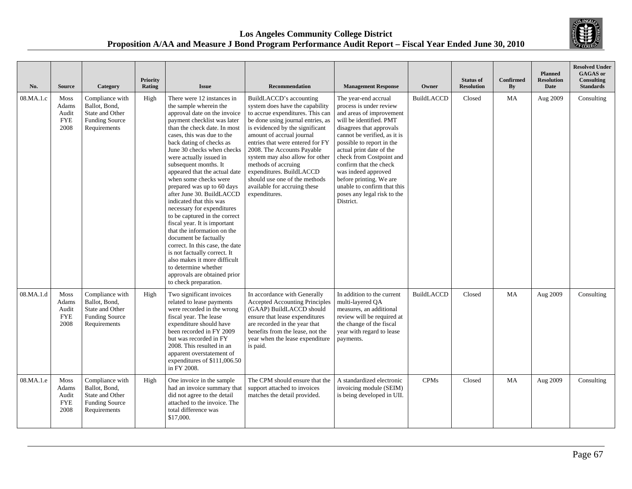

| No.       | <b>Source</b>                                       | Category                                                                                     | <b>Priority</b><br>Rating | <b>Issue</b>                                                                                                                                                                                                                                                                                                                                                                                                                                                                                                                                                                                                                                                                                                                                                                               | <b>Recommendation</b>                                                                                                                                                                                                                                                                                                                                                                                                                         | <b>Management Response</b>                                                                                                                                                                                                                                                                                                                                                                                     | Owner             | <b>Status of</b><br><b>Resolution</b> | Confirmed<br>By | <b>Planned</b><br><b>Resolution</b><br>Date | <b>Resolved Under</b><br><b>GAGAS</b> or<br>Consulting<br><b>Standards</b> |
|-----------|-----------------------------------------------------|----------------------------------------------------------------------------------------------|---------------------------|--------------------------------------------------------------------------------------------------------------------------------------------------------------------------------------------------------------------------------------------------------------------------------------------------------------------------------------------------------------------------------------------------------------------------------------------------------------------------------------------------------------------------------------------------------------------------------------------------------------------------------------------------------------------------------------------------------------------------------------------------------------------------------------------|-----------------------------------------------------------------------------------------------------------------------------------------------------------------------------------------------------------------------------------------------------------------------------------------------------------------------------------------------------------------------------------------------------------------------------------------------|----------------------------------------------------------------------------------------------------------------------------------------------------------------------------------------------------------------------------------------------------------------------------------------------------------------------------------------------------------------------------------------------------------------|-------------------|---------------------------------------|-----------------|---------------------------------------------|----------------------------------------------------------------------------|
| 08.MA.1.c | <b>Moss</b><br>Adams<br>Audit<br><b>FYE</b><br>2008 | Compliance with<br>Ballot, Bond.<br>State and Other<br><b>Funding Source</b><br>Requirements | High                      | There were 12 instances in<br>the sample wherein the<br>approval date on the invoice<br>payment checklist was later<br>than the check date. In most<br>cases, this was due to the<br>back dating of checks as<br>June 30 checks when checks<br>were actually issued in<br>subsequent months. It<br>appeared that the actual date<br>when some checks were<br>prepared was up to 60 days<br>after June 30. BuildLACCD<br>indicated that this was<br>necessary for expenditures<br>to be captured in the correct<br>fiscal year. It is important<br>that the information on the<br>document be factually<br>correct. In this case, the date<br>is not factually correct. It<br>also makes it more difficult<br>to determine whether<br>approvals are obtained prior<br>to check preparation. | BuildLACCD's accounting<br>system does have the capability<br>to accrue expenditures. This can<br>be done using journal entries, as<br>is evidenced by the significant<br>amount of accrual journal<br>entries that were entered for FY<br>2008. The Accounts Payable<br>system may also allow for other<br>methods of accruing<br>expenditures. BuildLACCD<br>should use one of the methods<br>available for accruing these<br>expenditures. | The year-end accrual<br>process is under review<br>and areas of improvement<br>will be identified. PMT<br>disagrees that approvals<br>cannot be verified, as it is<br>possible to report in the<br>actual print date of the<br>check from Costpoint and<br>confirm that the check<br>was indeed approved<br>before printing. We are<br>unable to confirm that this<br>poses any legal risk to the<br>District. | <b>BuildLACCD</b> | Closed                                | MA              | Aug 2009                                    | Consulting                                                                 |
| 08.MA.1.d | Moss<br>Adams<br>Audit<br><b>FYE</b><br>2008        | Compliance with<br>Ballot, Bond,<br>State and Other<br><b>Funding Source</b><br>Requirements | High                      | Two significant invoices<br>related to lease payments<br>were recorded in the wrong<br>fiscal year. The lease<br>expenditure should have<br>been recorded in FY 2009<br>but was recorded in FY<br>2008. This resulted in an<br>apparent overstatement of<br>expenditures of \$111,006.50<br>in FY 2008.                                                                                                                                                                                                                                                                                                                                                                                                                                                                                    | In accordance with Generally<br><b>Accepted Accounting Principles</b><br>(GAAP) BuildLACCD should<br>ensure that lease expenditures<br>are recorded in the year that<br>benefits from the lease, not the<br>year when the lease expenditure<br>is paid.                                                                                                                                                                                       | In addition to the current<br>multi-layered OA<br>measures, an additional<br>review will be required at<br>the change of the fiscal<br>year with regard to lease<br>payments.                                                                                                                                                                                                                                  | <b>BuildLACCD</b> | Closed                                | MA              | Aug 2009                                    | Consulting                                                                 |
| 08.MA.1.e | Moss<br>Adams<br>Audit<br><b>FYE</b><br>2008        | Compliance with<br>Ballot, Bond,<br>State and Other<br><b>Funding Source</b><br>Requirements | High                      | One invoice in the sample<br>had an invoice summary that<br>did not agree to the detail<br>attached to the invoice. The<br>total difference was<br>\$17,000.                                                                                                                                                                                                                                                                                                                                                                                                                                                                                                                                                                                                                               | The CPM should ensure that the<br>support attached to invoices<br>matches the detail provided.                                                                                                                                                                                                                                                                                                                                                | A standardized electronic<br>invoicing module (SEIM)<br>is being developed in UII.                                                                                                                                                                                                                                                                                                                             | <b>CPMs</b>       | Closed                                | MA              | Aug 2009                                    | Consulting                                                                 |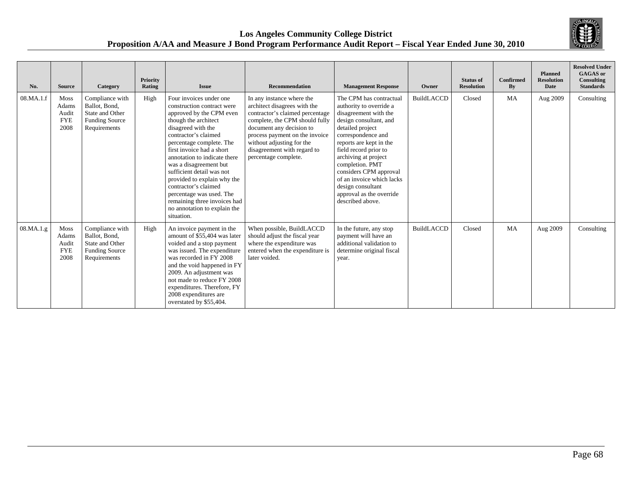

| No.       | <b>Source</b>                                       | Category                                                                                     | Priority<br>Rating | <b>Issue</b>                                                                                                                                                                                                                                                                                                                                                                                                                                                             | <b>Recommendation</b>                                                                                                                                                                                                                                                            | <b>Management Response</b>                                                                                                                                                                                                                                                                                                                                                 | Owner             | <b>Status of</b><br><b>Resolution</b> | Confirmed<br>By | <b>Planned</b><br><b>Resolution</b><br>Date | <b>Resolved Under</b><br><b>GAGAS</b> or<br>Consulting<br><b>Standards</b> |
|-----------|-----------------------------------------------------|----------------------------------------------------------------------------------------------|--------------------|--------------------------------------------------------------------------------------------------------------------------------------------------------------------------------------------------------------------------------------------------------------------------------------------------------------------------------------------------------------------------------------------------------------------------------------------------------------------------|----------------------------------------------------------------------------------------------------------------------------------------------------------------------------------------------------------------------------------------------------------------------------------|----------------------------------------------------------------------------------------------------------------------------------------------------------------------------------------------------------------------------------------------------------------------------------------------------------------------------------------------------------------------------|-------------------|---------------------------------------|-----------------|---------------------------------------------|----------------------------------------------------------------------------|
| 08.MA.1.f | <b>Moss</b><br>Adams<br>Audit<br><b>FYE</b><br>2008 | Compliance with<br>Ballot, Bond,<br>State and Other<br><b>Funding Source</b><br>Requirements | High               | Four invoices under one<br>construction contract were<br>approved by the CPM even<br>though the architect<br>disagreed with the<br>contractor's claimed<br>percentage complete. The<br>first invoice had a short<br>annotation to indicate there<br>was a disagreement but<br>sufficient detail was not<br>provided to explain why the<br>contractor's claimed<br>percentage was used. The<br>remaining three invoices had<br>no annotation to explain the<br>situation. | In any instance where the<br>architect disagrees with the<br>contractor's claimed percentage<br>complete, the CPM should fully<br>document any decision to<br>process payment on the invoice<br>without adjusting for the<br>disagreement with regard to<br>percentage complete. | The CPM has contractual<br>authority to override a<br>disagreement with the<br>design consultant, and<br>detailed project<br>correspondence and<br>reports are kept in the<br>field record prior to<br>archiving at project<br>completion. PMT<br>considers CPM approval<br>of an invoice which lacks<br>design consultant<br>approval as the override<br>described above. | <b>BuildLACCD</b> | Closed                                | MA              | Aug 2009                                    | Consulting                                                                 |
| 08.MA.1.g | Moss<br>Adams<br>Audit<br><b>FYE</b><br>2008        | Compliance with<br>Ballot, Bond,<br>State and Other<br><b>Funding Source</b><br>Requirements | High               | An invoice payment in the<br>amount of \$55,404 was later<br>voided and a stop payment<br>was issued. The expenditure<br>was recorded in FY 2008<br>and the void happened in FY<br>2009. An adjustment was<br>not made to reduce FY 2008<br>expenditures. Therefore, FY<br>2008 expenditures are<br>overstated by \$55,404.                                                                                                                                              | When possible, BuildLACCD<br>should adjust the fiscal year<br>where the expenditure was<br>entered when the expenditure is<br>later voided.                                                                                                                                      | In the future, any stop<br>payment will have an<br>additional validation to<br>determine original fiscal<br>year.                                                                                                                                                                                                                                                          | <b>BuildLACCD</b> | Closed                                | MA              | Aug 2009                                    | Consulting                                                                 |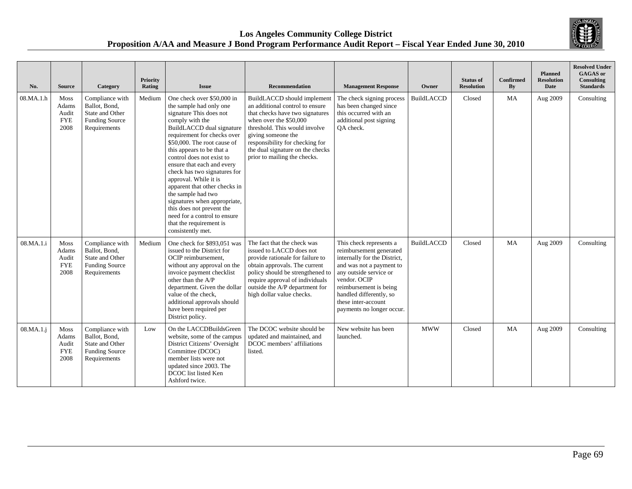

| No.       | <b>Source</b>                                | Category                                                                                     | Priority<br>Rating | <b>Issue</b>                                                                                                                                                                                                                                                                                                                                                                                                                                                                                                                                        | <b>Recommendation</b>                                                                                                                                                                                                                                                                     | <b>Management Response</b>                                                                                                                                                                                                                                        | Owner             | <b>Status of</b><br><b>Resolution</b> | <b>Confirmed</b><br>By | <b>Planned</b><br><b>Resolution</b><br>Date | <b>Resolved Under</b><br><b>GAGAS</b> or<br>Consulting<br><b>Standards</b> |
|-----------|----------------------------------------------|----------------------------------------------------------------------------------------------|--------------------|-----------------------------------------------------------------------------------------------------------------------------------------------------------------------------------------------------------------------------------------------------------------------------------------------------------------------------------------------------------------------------------------------------------------------------------------------------------------------------------------------------------------------------------------------------|-------------------------------------------------------------------------------------------------------------------------------------------------------------------------------------------------------------------------------------------------------------------------------------------|-------------------------------------------------------------------------------------------------------------------------------------------------------------------------------------------------------------------------------------------------------------------|-------------------|---------------------------------------|------------------------|---------------------------------------------|----------------------------------------------------------------------------|
| 08.MA.1.h | Moss<br>Adams<br>Audit<br><b>FYE</b><br>2008 | Compliance with<br>Ballot, Bond,<br>State and Other<br><b>Funding Source</b><br>Requirements | Medium             | One check over \$50,000 in<br>the sample had only one<br>signature This does not<br>comply with the<br>BuildLACCD dual signature<br>requirement for checks over<br>\$50,000. The root cause of<br>this appears to be that a<br>control does not exist to<br>ensure that each and every<br>check has two signatures for<br>approval. While it is<br>apparent that other checks in<br>the sample had two<br>signatures when appropriate,<br>this does not prevent the<br>need for a control to ensure<br>that the requirement is<br>consistently met. | BuildLACCD should implement<br>an additional control to ensure<br>that checks have two signatures<br>when over the \$50,000<br>threshold. This would involve<br>giving someone the<br>responsibility for checking for<br>the dual signature on the checks<br>prior to mailing the checks. | The check signing process<br>has been changed since<br>this occurred with an<br>additional post signing<br>OA check.                                                                                                                                              | <b>BuildLACCD</b> | Closed                                | <b>MA</b>              | Aug 2009                                    | Consulting                                                                 |
| 08.MA.1.i | Moss<br>Adams<br>Audit<br><b>FYE</b><br>2008 | Compliance with<br>Ballot, Bond,<br>State and Other<br><b>Funding Source</b><br>Requirements | Medium             | One check for \$893,051 was<br>issued to the District for<br>OCIP reimbursement.<br>without any approval on the<br>invoice payment checklist<br>other than the A/P<br>department. Given the dollar<br>value of the check.<br>additional approvals should<br>have been required per<br>District policy.                                                                                                                                                                                                                                              | The fact that the check was<br>issued to LACCD does not<br>provide rationale for failure to<br>obtain approvals. The current<br>policy should be strengthened to<br>require approval of individuals<br>outside the A/P department for<br>high dollar value checks.                        | This check represents a<br>reimbursement generated<br>internally for the District,<br>and was not a payment to<br>any outside service or<br>vendor. OCIP<br>reimbursement is being<br>handled differently, so<br>these inter-account<br>payments no longer occur. | <b>BuildLACCD</b> | Closed                                | <b>MA</b>              | Aug 2009                                    | Consulting                                                                 |
| 08.MA.1.i | Moss<br>Adams<br>Audit<br><b>FYE</b><br>2008 | Compliance with<br>Ballot, Bond,<br>State and Other<br><b>Funding Source</b><br>Requirements | Low                | On the LACCDBuildsGreen<br>website, some of the campus<br>District Citizens' Oversight<br>Committee (DCOC)<br>member lists were not<br>updated since 2003. The<br>DCOC list listed Ken<br>Ashford twice.                                                                                                                                                                                                                                                                                                                                            | The DCOC website should be<br>updated and maintained, and<br>DCOC members' affiliations<br>listed.                                                                                                                                                                                        | New website has been<br>launched.                                                                                                                                                                                                                                 | <b>MWW</b>        | Closed                                | MA                     | Aug 2009                                    | Consulting                                                                 |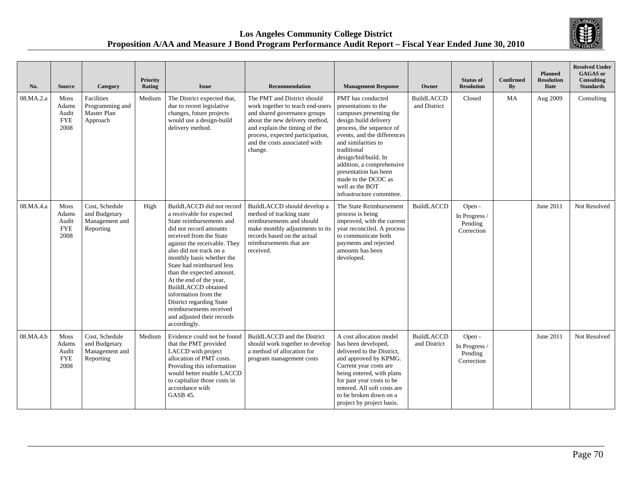

| No.       | <b>Source</b>                                | Category                                                       | <b>Priority</b><br>Rating | <b>Issue</b>                                                                                                                                                                                                                                                                                                                                                                                                                                                                    | <b>Recommendation</b>                                                                                                                                                                                                                              | <b>Management Response</b>                                                                                                                                                                                                                                                                                                                          | Owner                             | <b>Status of</b><br><b>Resolution</b>            | <b>Confirmed</b><br>By | <b>Planned</b><br><b>Resolution</b><br><b>Date</b> | <b>Resolved Under</b><br><b>GAGAS</b> or<br><b>Consulting</b><br><b>Standards</b> |
|-----------|----------------------------------------------|----------------------------------------------------------------|---------------------------|---------------------------------------------------------------------------------------------------------------------------------------------------------------------------------------------------------------------------------------------------------------------------------------------------------------------------------------------------------------------------------------------------------------------------------------------------------------------------------|----------------------------------------------------------------------------------------------------------------------------------------------------------------------------------------------------------------------------------------------------|-----------------------------------------------------------------------------------------------------------------------------------------------------------------------------------------------------------------------------------------------------------------------------------------------------------------------------------------------------|-----------------------------------|--------------------------------------------------|------------------------|----------------------------------------------------|-----------------------------------------------------------------------------------|
| 08.MA.2.a | Moss<br>Adams<br>Audit<br><b>FYE</b><br>2008 | Facilities<br>Programming and<br>Master Plan<br>Approach       | Medium                    | The District expected that,<br>due to recent legislative<br>changes, future projects<br>would use a design-build<br>delivery method.                                                                                                                                                                                                                                                                                                                                            | The PMT and District should<br>work together to teach end-users<br>and shared governance groups<br>about the new delivery method,<br>and explain the timing of the<br>process, expected participation,<br>and the costs associated with<br>change. | PMT has conducted<br>presentations to the<br>campuses presenting the<br>design build delivery<br>process, the sequence of<br>events, and the differences<br>and similarities to<br>traditional<br>design/bid/build. In<br>addition, a comprehensive<br>presentation has been<br>made to the DCOC as<br>well as the BOT<br>infrastructure committee. | <b>BuildLACCD</b><br>and District | Closed                                           | MA                     | Aug 2009                                           | Consulting                                                                        |
| 08.MA.4.a | Moss<br>Adams<br>Audit<br><b>FYE</b><br>2008 | Cost, Schedule<br>and Budgetary<br>Management and<br>Reporting | High                      | BuildLACCD did not record<br>a receivable for expected<br>State reimbursements and<br>did not record amounts<br>received from the State<br>against the receivable. They<br>also did not track on a<br>monthly basis whether the<br>State had reimbursed less<br>than the expected amount.<br>At the end of the year,<br><b>BuildLACCD</b> obtained<br>information from the<br>District regarding State<br>reimbursements received<br>and adjusted their records<br>accordingly. | BuildLACCD should develop a<br>method of tracking state<br>reimbursements and should<br>make monthly adjustments to its<br>records based on the actual<br>reimbursements that are<br>received.                                                     | The State Reimbursement<br>process is being<br>improved, with the current<br>year reconciled. A process<br>to communicate both<br>payments and rejected<br>amounts has been<br>developed.                                                                                                                                                           | <b>BuildLACCD</b>                 | Open -<br>In Progress /<br>Pending<br>Correction |                        | June 2011                                          | Not Resolved                                                                      |
| 08.MA.4.b | Moss<br>Adams<br>Audit<br><b>FYE</b><br>2008 | Cost, Schedule<br>and Budgetary<br>Management and<br>Reporting | Medium                    | Evidence could not be found<br>that the PMT provided<br>LACCD with project<br>allocation of PMT costs.<br>Providing this information<br>would better enable LACCD<br>to capitalize those costs in<br>accordance with<br>GASB 45.                                                                                                                                                                                                                                                | BuildLACCD and the District<br>should work together to develop<br>a method of allocation for<br>program management costs                                                                                                                           | A cost allocation model<br>has been developed,<br>delivered to the District,<br>and approved by KPMG.<br>Current year costs are<br>being entered, with plans<br>for past year costs to be<br>entered. All soft costs are<br>to be broken down on a<br>project by project basis.                                                                     | <b>BuildLACCD</b><br>and District | Open -<br>In Progress /<br>Pending<br>Correction |                        | June 2011                                          | Not Resolved                                                                      |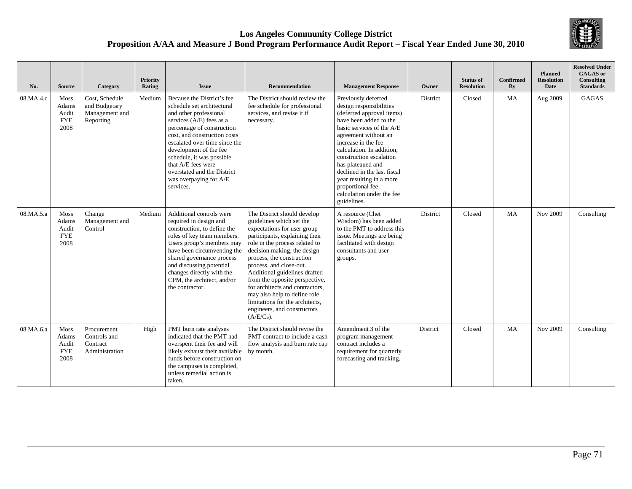

| No.       | <b>Source</b>                                       | Category                                                       | <b>Priority</b><br>Rating | <b>Issue</b>                                                                                                                                                                                                                                                                                                                                                     | <b>Recommendation</b>                                                                                                                                                                                                                                                                                                                                                                                                                                                     | <b>Management Response</b>                                                                                                                                                                                                                                                                                                                                                                | Owner    | <b>Status of</b><br><b>Resolution</b> | <b>Confirmed</b><br>By | <b>Planned</b><br><b>Resolution</b><br><b>Date</b> | <b>Resolved Under</b><br><b>GAGAS</b> or<br><b>Consulting</b><br><b>Standards</b> |
|-----------|-----------------------------------------------------|----------------------------------------------------------------|---------------------------|------------------------------------------------------------------------------------------------------------------------------------------------------------------------------------------------------------------------------------------------------------------------------------------------------------------------------------------------------------------|---------------------------------------------------------------------------------------------------------------------------------------------------------------------------------------------------------------------------------------------------------------------------------------------------------------------------------------------------------------------------------------------------------------------------------------------------------------------------|-------------------------------------------------------------------------------------------------------------------------------------------------------------------------------------------------------------------------------------------------------------------------------------------------------------------------------------------------------------------------------------------|----------|---------------------------------------|------------------------|----------------------------------------------------|-----------------------------------------------------------------------------------|
| 08.MA.4.c | <b>Moss</b><br>Adams<br>Audit<br><b>FYE</b><br>2008 | Cost, Schedule<br>and Budgetary<br>Management and<br>Reporting | Medium                    | Because the District's fee<br>schedule set architectural<br>and other professional<br>services (A/E) fees as a<br>percentage of construction<br>cost, and construction costs<br>escalated over time since the<br>development of the fee<br>schedule, it was possible<br>that A/E fees were<br>overstated and the District<br>was overpaying for A/E<br>services. | The District should review the<br>fee schedule for professional<br>services, and revise it if<br>necessary.                                                                                                                                                                                                                                                                                                                                                               | Previously deferred<br>design responsibilities<br>(deferred approval items)<br>have been added to the<br>basic services of the A/E<br>agreement without an<br>increase in the fee<br>calculation. In addition.<br>construction escalation<br>has plateaued and<br>declined in the last fiscal<br>year resulting in a more<br>proportional fee<br>calculation under the fee<br>guidelines. | District | Closed                                | MA                     | Aug 2009                                           | <b>GAGAS</b>                                                                      |
| 08.MA.5.a | Moss<br>Adams<br>Audit<br><b>FYE</b><br>2008        | Change<br>Management and<br>Control                            | Medium                    | Additional controls were<br>required in design and<br>construction, to define the<br>roles of key team members.<br>Users group's members may<br>have been circumventing the<br>shared governance process<br>and discussing potential<br>changes directly with the<br>CPM, the architect, and/or<br>the contractor.                                               | The District should develop<br>guidelines which set the<br>expectations for user group<br>participants, explaining their<br>role in the process related to<br>decision making, the design<br>process, the construction<br>process, and close-out.<br>Additional guidelines drafted<br>from the opposite perspective,<br>for architects and contractors.<br>may also help to define role<br>limitations for the architects,<br>engineers, and constructors<br>$(A/E/Cs)$ . | A resource (Chet<br>Wisdom) has been added<br>to the PMT to address this<br>issue. Meetings are being<br>facilitated with design<br>consultants and user<br>groups.                                                                                                                                                                                                                       | District | Closed                                | MA                     | Nov 2009                                           | Consulting                                                                        |
| 08.MA.6.a | <b>Moss</b><br>Adams<br>Audit<br><b>FYE</b><br>2008 | Procurement<br>Controls and<br>Contract<br>Administration      | High                      | PMT burn rate analyses<br>indicated that the PMT had<br>overspent their fee and will<br>likely exhaust their available<br>funds before construction on<br>the campuses is completed,<br>unless remedial action is<br>taken.                                                                                                                                      | The District should revise the<br>PMT contract to include a cash<br>flow analysis and burn rate cap<br>by month.                                                                                                                                                                                                                                                                                                                                                          | Amendment 3 of the<br>program management<br>contract includes a<br>requirement for quarterly<br>forecasting and tracking.                                                                                                                                                                                                                                                                 | District | Closed                                | MA                     | Nov 2009                                           | Consulting                                                                        |